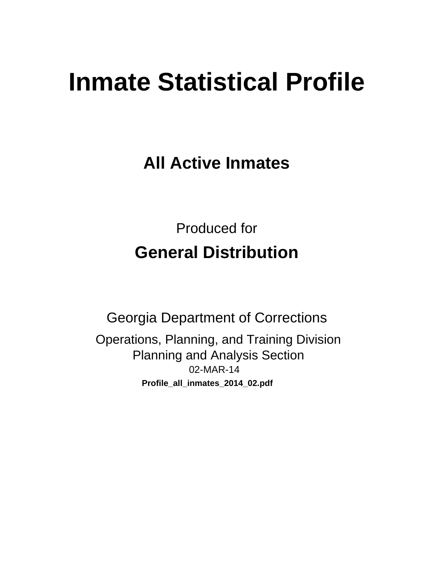# **Inmate Statistical Profile**

**All Active Inmates** 

**Produced for General Distribution** 

**Georgia Department of Corrections** Operations, Planning, and Training Division **Planning and Analysis Section** 02-MAR-14 Profile\_all\_inmates\_2014\_02.pdf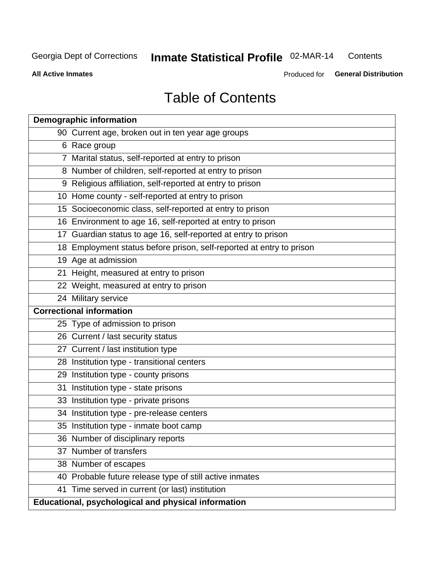#### Inmate Statistical Profile 02-MAR-14 Contents

**All Active Inmates** 

Produced for General Distribution

# **Table of Contents**

|    | <b>Demographic information</b>                                       |
|----|----------------------------------------------------------------------|
|    | 90 Current age, broken out in ten year age groups                    |
|    | 6 Race group                                                         |
|    | 7 Marital status, self-reported at entry to prison                   |
|    | 8 Number of children, self-reported at entry to prison               |
|    | 9 Religious affiliation, self-reported at entry to prison            |
|    | 10 Home county - self-reported at entry to prison                    |
|    | 15 Socioeconomic class, self-reported at entry to prison             |
|    | 16 Environment to age 16, self-reported at entry to prison           |
|    | 17 Guardian status to age 16, self-reported at entry to prison       |
|    | 18 Employment status before prison, self-reported at entry to prison |
|    | 19 Age at admission                                                  |
|    | 21 Height, measured at entry to prison                               |
|    | 22 Weight, measured at entry to prison                               |
|    | 24 Military service                                                  |
|    | <b>Correctional information</b>                                      |
|    | 25 Type of admission to prison                                       |
|    | 26 Current / last security status                                    |
|    | 27 Current / last institution type                                   |
|    | 28 Institution type - transitional centers                           |
|    | 29 Institution type - county prisons                                 |
| 31 | Institution type - state prisons                                     |
|    | 33 Institution type - private prisons                                |
|    | 34 Institution type - pre-release centers                            |
|    | 35 Institution type - inmate boot camp                               |
|    | 36 Number of disciplinary reports                                    |
|    | 37 Number of transfers                                               |
|    | 38 Number of escapes                                                 |
|    | 40 Probable future release type of still active inmates              |
|    | 41 Time served in current (or last) institution                      |
|    | Educational, psychological and physical information                  |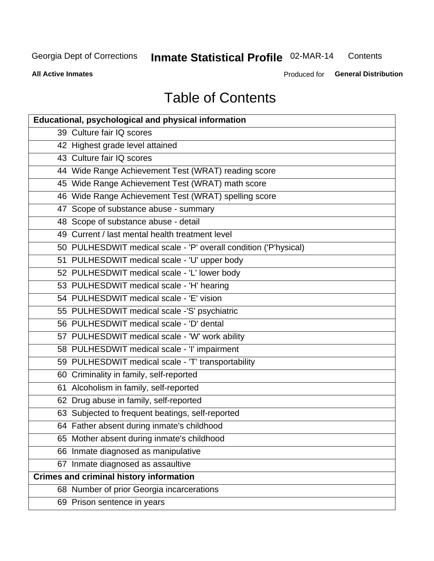#### Inmate Statistical Profile 02-MAR-14 Contents

**All Active Inmates** 

Produced for General Distribution

# **Table of Contents**

| <b>Educational, psychological and physical information</b>       |
|------------------------------------------------------------------|
| 39 Culture fair IQ scores                                        |
| 42 Highest grade level attained                                  |
| 43 Culture fair IQ scores                                        |
| 44 Wide Range Achievement Test (WRAT) reading score              |
| 45 Wide Range Achievement Test (WRAT) math score                 |
| 46 Wide Range Achievement Test (WRAT) spelling score             |
| 47 Scope of substance abuse - summary                            |
| 48 Scope of substance abuse - detail                             |
| 49 Current / last mental health treatment level                  |
| 50 PULHESDWIT medical scale - 'P' overall condition ('P'hysical) |
| 51 PULHESDWIT medical scale - 'U' upper body                     |
| 52 PULHESDWIT medical scale - 'L' lower body                     |
| 53 PULHESDWIT medical scale - 'H' hearing                        |
| 54 PULHESDWIT medical scale - 'E' vision                         |
| 55 PULHESDWIT medical scale -'S' psychiatric                     |
| 56 PULHESDWIT medical scale - 'D' dental                         |
| 57 PULHESDWIT medical scale - 'W' work ability                   |
| 58 PULHESDWIT medical scale - 'I' impairment                     |
| 59 PULHESDWIT medical scale - 'T' transportability               |
| 60 Criminality in family, self-reported                          |
| 61 Alcoholism in family, self-reported                           |
| 62 Drug abuse in family, self-reported                           |
| 63 Subjected to frequent beatings, self-reported                 |
| 64 Father absent during inmate's childhood                       |
| 65 Mother absent during inmate's childhood                       |
| 66 Inmate diagnosed as manipulative                              |
| 67 Inmate diagnosed as assaultive                                |
| <b>Crimes and criminal history information</b>                   |
| 68 Number of prior Georgia incarcerations                        |
| 69 Prison sentence in years                                      |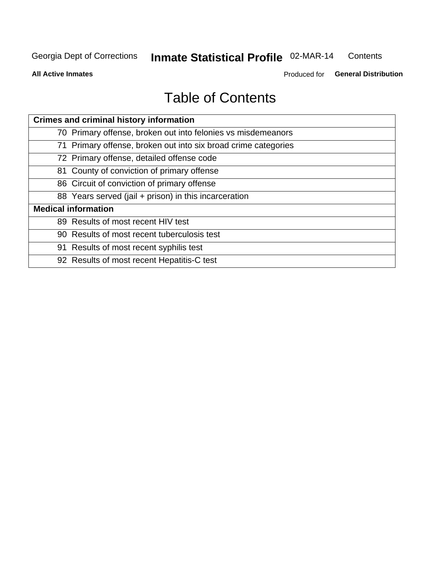#### Inmate Statistical Profile 02-MAR-14 Contents

**All Active Inmates** 

Produced for General Distribution

# **Table of Contents**

| <b>Crimes and criminal history information</b>                 |
|----------------------------------------------------------------|
| 70 Primary offense, broken out into felonies vs misdemeanors   |
| 71 Primary offense, broken out into six broad crime categories |
| 72 Primary offense, detailed offense code                      |
| 81 County of conviction of primary offense                     |
| 86 Circuit of conviction of primary offense                    |
| 88 Years served (jail + prison) in this incarceration          |
| <b>Medical information</b>                                     |
| 89 Results of most recent HIV test                             |
| 90 Results of most recent tuberculosis test                    |
| 91 Results of most recent syphilis test                        |
| 92 Results of most recent Hepatitis-C test                     |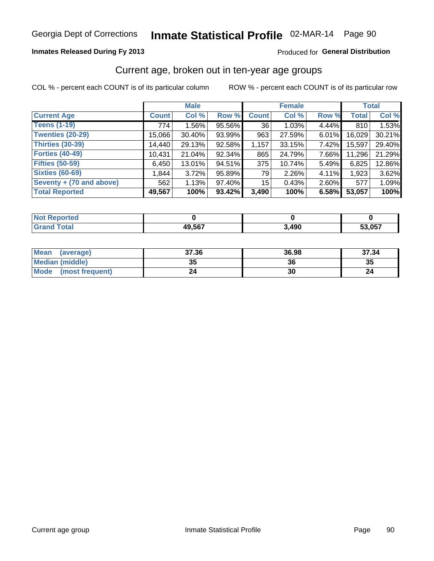### **Inmates Released During Fy 2013**

#### Produced for General Distribution

# Current age, broken out in ten-year age groups

COL % - percent each COUNT is of its particular column

|                          |              | <b>Male</b> |        |                 | <b>Female</b> |       |        | <b>Total</b> |
|--------------------------|--------------|-------------|--------|-----------------|---------------|-------|--------|--------------|
| <b>Current Age</b>       | <b>Count</b> | Col %       | Row %  | <b>Count</b>    | Col %         | Row % | Total  | Col %        |
| <b>Teens (1-19)</b>      | 774          | $1.56\%$    | 95.56% | 36              | 1.03%         | 4.44% | 810    | 1.53%        |
| <b>Twenties (20-29)</b>  | 15,066       | 30.40%      | 93.99% | 963             | 27.59%        | 6.01% | 16,029 | 30.21%       |
| <b>Thirties (30-39)</b>  | 14,440       | 29.13%      | 92.58% | 1,157           | 33.15%        | 7.42% | 15,597 | 29.40%       |
| <b>Forties (40-49)</b>   | 10,431       | 21.04%      | 92.34% | 865             | 24.79%        | 7.66% | 11,296 | 21.29%       |
| <b>Fifties (50-59)</b>   | 6,450        | 13.01%      | 94.51% | 375             | 10.74%        | 5.49% | 6,825  | 12.86%       |
| <b>Sixties (60-69)</b>   | 1,844        | 3.72%       | 95.89% | 79              | 2.26%         | 4.11% | 1,923  | 3.62%        |
| Seventy + (70 and above) | 562          | 1.13%       | 97.40% | 15 <sup>1</sup> | 0.43%         | 2.60% | 577    | 1.09%        |
| <b>Total Reported</b>    | 49,567       | 100%        | 93.42% | 3,490           | 100%          | 6.58% | 53,057 | 100%         |

| .<br>τeα<br>$\sim$ |        |                   |        |
|--------------------|--------|-------------------|--------|
| $T \cap 4 \cap T$  | 49,567 | <b>400</b><br>150 | 53,057 |

| Mean<br>(average)              | 37.36 | 36.98 | 37.34 |
|--------------------------------|-------|-------|-------|
| <b>Median (middle)</b>         | 35    | 36    | 35    |
| <b>Mode</b><br>(most frequent) | 24    | 30    |       |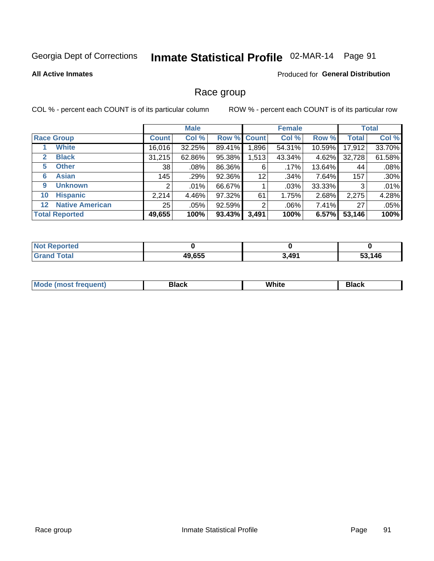# Inmate Statistical Profile 02-MAR-14 Page 91

**All Active Inmates** 

#### Produced for General Distribution

### Race group

COL % - percent each COUNT is of its particular column

|                                   |              | <b>Male</b> |        |             | <b>Female</b> |          |              | <b>Total</b> |
|-----------------------------------|--------------|-------------|--------|-------------|---------------|----------|--------------|--------------|
| <b>Race Group</b>                 | <b>Count</b> | Col %       |        | Row % Count | Col %         | Row %    | <b>Total</b> | Col %        |
| <b>White</b>                      | 16,016       | 32.25%      | 89.41% | 1,896       | 54.31%        | 10.59%   | 17,912       | 33.70%       |
| <b>Black</b><br>2                 | 31,215       | 62.86%      | 95.38% | 1,513       | 43.34%        | 4.62%    | 32,728       | 61.58%       |
| <b>Other</b><br>5.                | 38           | $.08\%$     | 86.36% | 6           | .17%          | 13.64%   | 44           | .08%         |
| <b>Asian</b><br>6                 | 145          | .29%        | 92.36% | 12          | .34%          | 7.64%    | 157          | .30%         |
| <b>Unknown</b><br>9               | 2            | $.01\%$     | 66.67% |             | .03%          | 33.33%   | 3            | .01%         |
| <b>Hispanic</b><br>10             | 2,214        | 4.46%       | 97.32% | 61          | 1.75%         | 2.68%    | 2,275        | 4.28%        |
| <b>Native American</b><br>$12 \,$ | 25           | $.05\%$     | 92.59% | 2           | $.06\%$       | $7.41\%$ | 27           | .05%         |
| <b>Total Reported</b>             | 49,655       | 100%        | 93.43% | 3,491       | 100%          | 6.57%    | 53,146       | 100%         |

| orted<br>NO.           |        |       |             |
|------------------------|--------|-------|-------------|
| <b>Total</b><br>'Grano | 49,655 | 3,491 | 146،<br>- - |

| M.<br>____ | . | ------- |
|------------|---|---------|
|            |   |         |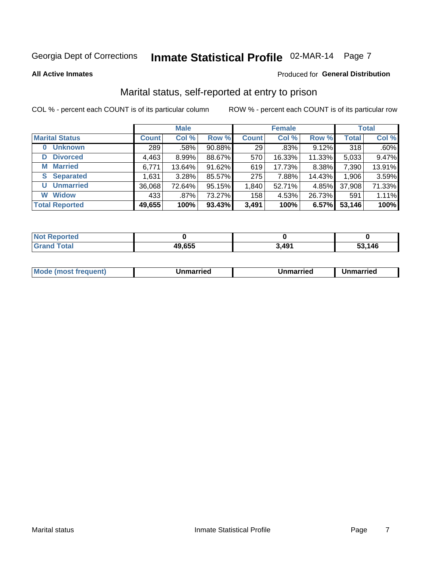# Inmate Statistical Profile 02-MAR-14 Page 7

**All Active Inmates** 

### Produced for General Distribution

### Marital status, self-reported at entry to prison

COL % - percent each COUNT is of its particular column

|                            |              | <b>Male</b> |        |              | <b>Female</b> |        |              | <b>Total</b> |
|----------------------------|--------------|-------------|--------|--------------|---------------|--------|--------------|--------------|
| <b>Marital Status</b>      | <b>Count</b> | Col %       | Row %  | <b>Count</b> | Col %         | Row %  | <b>Total</b> | Col %        |
| <b>Unknown</b><br>$\bf{0}$ | 289          | .58%        | 90.88% | 29           | .83%          | 9.12%  | 318          | .60%         |
| <b>Divorced</b><br>D       | 4,463        | $8.99\%$    | 88.67% | 570          | 16.33%        | 11.33% | 5,033        | 9.47%        |
| <b>Married</b><br>М        | 6,771        | 13.64%      | 91.62% | 619          | 17.73%        | 8.38%  | 7,390        | 13.91%       |
| <b>Separated</b><br>S.     | 1,631        | 3.28%       | 85.57% | 275          | 7.88%         | 14.43% | 1,906        | 3.59%        |
| <b>Unmarried</b><br>U      | 36,068       | 72.64%      | 95.15% | 1,840        | 52.71%        | 4.85%  | 37,908       | 71.33%       |
| <b>Widow</b><br>W          | 433          | .87%        | 73.27% | 158          | 4.53%         | 26.73% | 591          | 1.11%        |
| <b>Total Reported</b>      | 49,655       | 100%        | 93.43% | 3,491        | 100%          | 6.57%  | 53,146       | 100%         |

| rten<br>NOT  |        |       |      |
|--------------|--------|-------|------|
| <b>Total</b> | 49,655 | 3,491 | .146 |

| <b>Mode (most frequent)</b><br>Unmarried<br>Unmarried<br>Unmarried |
|--------------------------------------------------------------------|
|--------------------------------------------------------------------|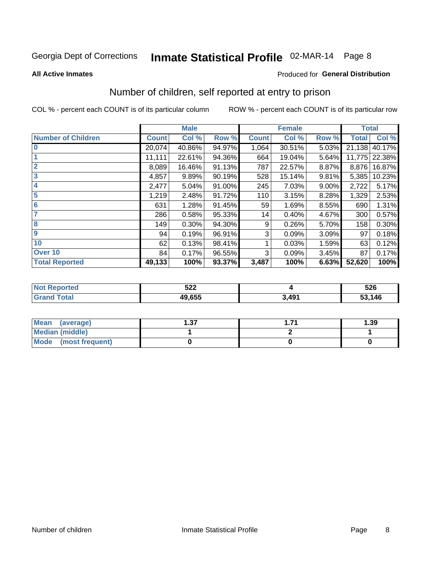# Inmate Statistical Profile 02-MAR-14 Page 8

#### **All Active Inmates**

#### Produced for General Distribution

### Number of children, self reported at entry to prison

COL % - percent each COUNT is of its particular column

|                           |              | <b>Male</b> |        |              | <b>Female</b> |          | <b>Total</b> |        |
|---------------------------|--------------|-------------|--------|--------------|---------------|----------|--------------|--------|
| <b>Number of Children</b> | <b>Count</b> | Col %       | Row %  | <b>Count</b> | Col %         | Row %    | <b>Total</b> | Col %  |
| $\bf{0}$                  | 20,074       | 40.86%      | 94.97% | 1,064        | 30.51%        | 5.03%    | 21,138       | 40.17% |
|                           | 11,111       | 22.61%      | 94.36% | 664          | 19.04%        | 5.64%    | 11,775       | 22.38% |
| $\overline{2}$            | 8,089        | 16.46%      | 91.13% | 787          | 22.57%        | 8.87%    | 8,876        | 16.87% |
| 3                         | 4,857        | 9.89%       | 90.19% | 528          | 15.14%        | 9.81%    | 5,385        | 10.23% |
| 4                         | 2,477        | 5.04%       | 91.00% | 245          | 7.03%         | $9.00\%$ | 2,722        | 5.17%  |
| 5                         | 1,219        | 2.48%       | 91.72% | 110          | 3.15%         | 8.28%    | 1,329        | 2.53%  |
| 6                         | 631          | 1.28%       | 91.45% | 59           | 1.69%         | 8.55%    | 690          | 1.31%  |
| 7                         | 286          | 0.58%       | 95.33% | 14           | 0.40%         | 4.67%    | 300          | 0.57%  |
| 8                         | 149          | 0.30%       | 94.30% | 9            | 0.26%         | 5.70%    | 158          | 0.30%  |
| $\boldsymbol{9}$          | 94           | 0.19%       | 96.91% | 3            | 0.09%         | 3.09%    | 97           | 0.18%  |
| 10                        | 62           | 0.13%       | 98.41% |              | 0.03%         | 1.59%    | 63           | 0.12%  |
| Over 10                   | 84           | 0.17%       | 96.55% | 3            | 0.09%         | 3.45%    | 87           | 0.17%  |
| <b>Total Reported</b>     | 49,133       | 100%        | 93.37% | 3,487        | 100%          | 6.63%    | 52,620       | 100%   |

| ちつつ<br>JZZ |      | 526<br>__ |
|------------|------|-----------|
| 10.000     | .49' | ,146<br>. |

| Mean (average)          | רפ<br>، ت | 1.39 |
|-------------------------|-----------|------|
| <b>Median (middle)</b>  |           |      |
| Mode<br>(most frequent) |           |      |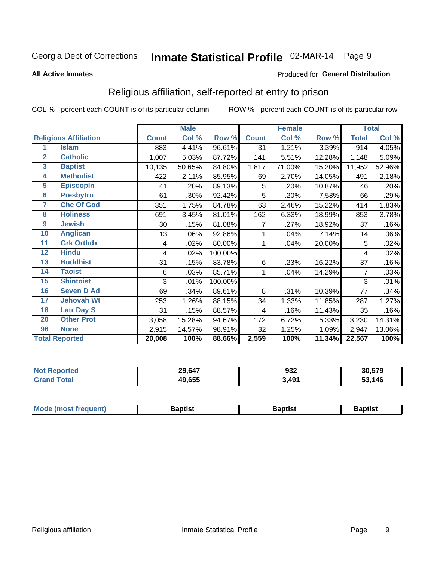# Inmate Statistical Profile 02-MAR-14 Page 9

#### **All Active Inmates**

#### Produced for General Distribution

### Religious affiliation, self-reported at entry to prison

COL % - percent each COUNT is of its particular column

|                         |                              |              | <b>Male</b> |         |              | <b>Female</b> |        |              | <b>Total</b> |  |
|-------------------------|------------------------------|--------------|-------------|---------|--------------|---------------|--------|--------------|--------------|--|
|                         | <b>Religious Affiliation</b> | <b>Count</b> | Col %       | Row %   | <b>Count</b> | Col %         | Row %  | <b>Total</b> | Col %        |  |
| 1                       | <b>Islam</b>                 | 883          | 4.41%       | 96.61%  | 31           | 1.21%         | 3.39%  | 914          | 4.05%        |  |
| $\overline{2}$          | <b>Catholic</b>              | 1,007        | 5.03%       | 87.72%  | 141          | 5.51%         | 12.28% | 1,148        | 5.09%        |  |
| $\overline{\mathbf{3}}$ | <b>Baptist</b>               | 10,135       | 50.65%      | 84.80%  | 1,817        | 71.00%        | 15.20% | 11,952       | 52.96%       |  |
| 4                       | <b>Methodist</b>             | 422          | 2.11%       | 85.95%  | 69           | 2.70%         | 14.05% | 491          | 2.18%        |  |
| $\overline{5}$          | <b>EpiscopIn</b>             | 41           | .20%        | 89.13%  | 5            | .20%          | 10.87% | 46           | .20%         |  |
| $6\overline{6}$         | <b>Presbytrn</b>             | 61           | .30%        | 92.42%  | 5            | .20%          | 7.58%  | 66           | .29%         |  |
| 7                       | <b>Chc Of God</b>            | 351          | 1.75%       | 84.78%  | 63           | 2.46%         | 15.22% | 414          | 1.83%        |  |
| 8                       | <b>Holiness</b>              | 691          | 3.45%       | 81.01%  | 162          | 6.33%         | 18.99% | 853          | 3.78%        |  |
| $\boldsymbol{9}$        | <b>Jewish</b>                | 30           | .15%        | 81.08%  | 7            | .27%          | 18.92% | 37           | .16%         |  |
| 10                      | <b>Anglican</b>              | 13           | .06%        | 92.86%  |              | .04%          | 7.14%  | 14           | .06%         |  |
| 11                      | <b>Grk Orthdx</b>            | 4            | .02%        | 80.00%  | 1            | .04%          | 20.00% | 5            | .02%         |  |
| 12                      | <b>Hindu</b>                 | 4            | .02%        | 100.00% |              |               |        | 4            | .02%         |  |
| 13                      | <b>Buddhist</b>              | 31           | .15%        | 83.78%  | 6            | .23%          | 16.22% | 37           | .16%         |  |
| 14                      | <b>Taoist</b>                | 6            | .03%        | 85.71%  | 1            | .04%          | 14.29% | 7            | .03%         |  |
| 15                      | <b>Shintoist</b>             | 3            | .01%        | 100.00% |              |               |        | 3            | .01%         |  |
| 16                      | <b>Seven D Ad</b>            | 69           | .34%        | 89.61%  | 8            | .31%          | 10.39% | 77           | .34%         |  |
| 17                      | <b>Jehovah Wt</b>            | 253          | 1.26%       | 88.15%  | 34           | 1.33%         | 11.85% | 287          | 1.27%        |  |
| 18                      | <b>Latr Day S</b>            | 31           | .15%        | 88.57%  | 4            | .16%          | 11.43% | 35           | .16%         |  |
| 20                      | <b>Other Prot</b>            | 3,058        | 15.28%      | 94.67%  | 172          | 6.72%         | 5.33%  | 3,230        | 14.31%       |  |
| 96                      | <b>None</b>                  | 2,915        | 14.57%      | 98.91%  | 32           | 1.25%         | 1.09%  | 2,947        | 13.06%       |  |
|                         | <b>Total Reported</b>        | 20,008       | 100%        | 88.66%  | 2,559        | 100%          | 11.34% | 22,567       | 100%         |  |

| 29,647 | 932               | 30.579        |
|--------|-------------------|---------------|
| 49,655 | 3.49 <sup>4</sup> | , 146<br>- 15 |

|  | Mode (most frequent) | 3aptist | 3aptist | Baptist |
|--|----------------------|---------|---------|---------|
|--|----------------------|---------|---------|---------|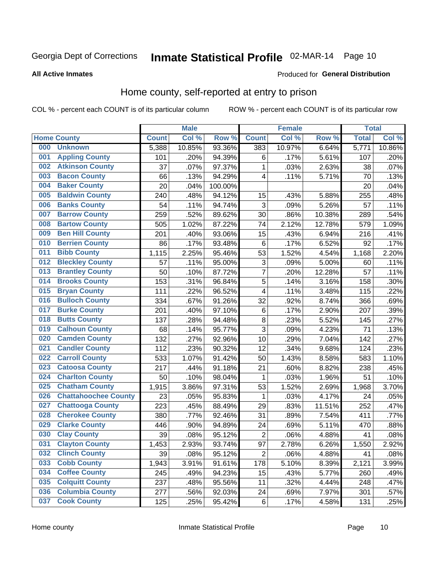# Inmate Statistical Profile 02-MAR-14 Page 10

**All Active Inmates** 

#### Produced for General Distribution

### Home county, self-reported at entry to prison

COL % - percent each COUNT is of its particular column

|     |                             |              | <b>Male</b> |         |                | <b>Female</b> |        | <b>Total</b> |        |
|-----|-----------------------------|--------------|-------------|---------|----------------|---------------|--------|--------------|--------|
|     | <b>Home County</b>          | <b>Count</b> | Col %       | Row %   | <b>Count</b>   | Col %         | Row %  | <b>Total</b> | Col %  |
| 000 | <b>Unknown</b>              | 5,388        | 10.85%      | 93.36%  | 383            | 10.97%        | 6.64%  | 5,771        | 10.86% |
| 001 | <b>Appling County</b>       | 101          | .20%        | 94.39%  | 6              | .17%          | 5.61%  | 107          | .20%   |
| 002 | <b>Atkinson County</b>      | 37           | .07%        | 97.37%  | 1              | .03%          | 2.63%  | 38           | .07%   |
| 003 | <b>Bacon County</b>         | 66           | .13%        | 94.29%  | 4              | .11%          | 5.71%  | 70           | .13%   |
| 004 | <b>Baker County</b>         | 20           | .04%        | 100.00% |                |               |        | 20           | .04%   |
| 005 | <b>Baldwin County</b>       | 240          | .48%        | 94.12%  | 15             | .43%          | 5.88%  | 255          | .48%   |
| 006 | <b>Banks County</b>         | 54           | .11%        | 94.74%  | 3              | .09%          | 5.26%  | 57           | .11%   |
| 007 | <b>Barrow County</b>        | 259          | .52%        | 89.62%  | 30             | .86%          | 10.38% | 289          | .54%   |
| 008 | <b>Bartow County</b>        | 505          | 1.02%       | 87.22%  | 74             | 2.12%         | 12.78% | 579          | 1.09%  |
| 009 | <b>Ben Hill County</b>      | 201          | .40%        | 93.06%  | 15             | .43%          | 6.94%  | 216          | .41%   |
| 010 | <b>Berrien County</b>       | 86           | .17%        | 93.48%  | $\,6$          | .17%          | 6.52%  | 92           | .17%   |
| 011 | <b>Bibb County</b>          | 1,115        | 2.25%       | 95.46%  | 53             | 1.52%         | 4.54%  | 1,168        | 2.20%  |
| 012 | <b>Bleckley County</b>      | 57           | .11%        | 95.00%  | 3              | .09%          | 5.00%  | 60           | .11%   |
| 013 | <b>Brantley County</b>      | 50           | .10%        | 87.72%  | $\overline{7}$ | .20%          | 12.28% | 57           | .11%   |
| 014 | <b>Brooks County</b>        | 153          | .31%        | 96.84%  | 5              | .14%          | 3.16%  | 158          | .30%   |
| 015 | <b>Bryan County</b>         | 111          | .22%        | 96.52%  | 4              | .11%          | 3.48%  | 115          | .22%   |
| 016 | <b>Bulloch County</b>       | 334          | .67%        | 91.26%  | 32             | .92%          | 8.74%  | 366          | .69%   |
| 017 | <b>Burke County</b>         | 201          | .40%        | 97.10%  | $\,6$          | .17%          | 2.90%  | 207          | .39%   |
| 018 | <b>Butts County</b>         | 137          | .28%        | 94.48%  | 8              | .23%          | 5.52%  | 145          | .27%   |
| 019 | <b>Calhoun County</b>       | 68           | .14%        | 95.77%  | 3              | .09%          | 4.23%  | 71           | .13%   |
| 020 | <b>Camden County</b>        | 132          | .27%        | 92.96%  | 10             | .29%          | 7.04%  | 142          | .27%   |
| 021 | <b>Candler County</b>       | 112          | .23%        | 90.32%  | 12             | .34%          | 9.68%  | 124          | .23%   |
| 022 | <b>Carroll County</b>       | 533          | 1.07%       | 91.42%  | 50             | 1.43%         | 8.58%  | 583          | 1.10%  |
| 023 | <b>Catoosa County</b>       | 217          | .44%        | 91.18%  | 21             | .60%          | 8.82%  | 238          | .45%   |
| 024 | <b>Charlton County</b>      | 50           | .10%        | 98.04%  | 1              | .03%          | 1.96%  | 51           | .10%   |
| 025 | <b>Chatham County</b>       | 1,915        | 3.86%       | 97.31%  | 53             | 1.52%         | 2.69%  | 1,968        | 3.70%  |
| 026 | <b>Chattahoochee County</b> | 23           | .05%        | 95.83%  | 1              | .03%          | 4.17%  | 24           | .05%   |
| 027 | <b>Chattooga County</b>     | 223          | .45%        | 88.49%  | 29             | .83%          | 11.51% | 252          | .47%   |
| 028 | <b>Cherokee County</b>      | 380          | .77%        | 92.46%  | 31             | .89%          | 7.54%  | 411          | .77%   |
| 029 | <b>Clarke County</b>        | 446          | .90%        | 94.89%  | 24             | .69%          | 5.11%  | 470          | .88%   |
| 030 | <b>Clay County</b>          | 39           | .08%        | 95.12%  | $\overline{2}$ | .06%          | 4.88%  | 41           | .08%   |
| 031 | <b>Clayton County</b>       | 1,453        | 2.93%       | 93.74%  | 97             | 2.78%         | 6.26%  | 1,550        | 2.92%  |
| 032 | <b>Clinch County</b>        | 39           | .08%        | 95.12%  | $\overline{2}$ | .06%          | 4.88%  | 41           | .08%   |
| 033 | <b>Cobb County</b>          | 1,943        | 3.91%       | 91.61%  | 178            | 5.10%         | 8.39%  | 2,121        | 3.99%  |
| 034 | <b>Coffee County</b>        | 245          | .49%        | 94.23%  | 15             | .43%          | 5.77%  | 260          | .49%   |
| 035 | <b>Colquitt County</b>      | 237          | .48%        | 95.56%  | 11             | .32%          | 4.44%  | 248          | .47%   |
| 036 | <b>Columbia County</b>      | 277          | .56%        | 92.03%  | 24             | .69%          | 7.97%  | 301          | .57%   |
| 037 | <b>Cook County</b>          | 125          | .25%        | 95.42%  | $\,6$          | .17%          | 4.58%  | 131          | .25%   |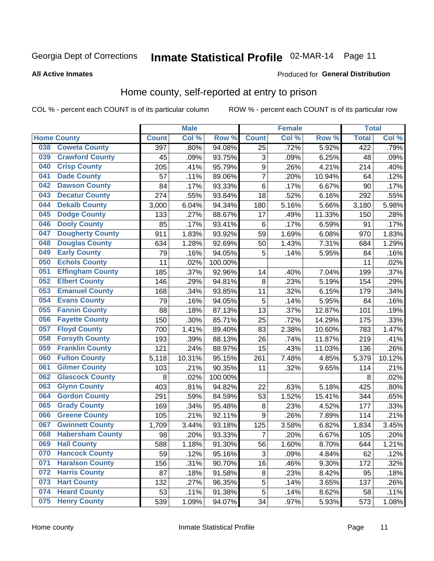# Inmate Statistical Profile 02-MAR-14 Page 11

#### **All Active Inmates**

#### Produced for General Distribution

### Home county, self-reported at entry to prison

COL % - percent each COUNT is of its particular column

|     |                         |              | <b>Male</b> |                  |                  | <b>Female</b> |        | <b>Total</b> |        |
|-----|-------------------------|--------------|-------------|------------------|------------------|---------------|--------|--------------|--------|
|     | <b>Home County</b>      | <b>Count</b> | Col%        | Row <sup>%</sup> | <b>Count</b>     | Col %         | Row %  | <b>Total</b> | Col %  |
| 038 | <b>Coweta County</b>    | 397          | .80%        | 94.08%           | 25               | .72%          | 5.92%  | 422          | .79%   |
| 039 | <b>Crawford County</b>  | 45           | .09%        | 93.75%           | 3                | .09%          | 6.25%  | 48           | .09%   |
| 040 | <b>Crisp County</b>     | 205          | .41%        | 95.79%           | $\boldsymbol{9}$ | .26%          | 4.21%  | 214          | .40%   |
| 041 | <b>Dade County</b>      | 57           | .11%        | 89.06%           | $\overline{7}$   | .20%          | 10.94% | 64           | .12%   |
| 042 | <b>Dawson County</b>    | 84           | .17%        | 93.33%           | $\,6$            | .17%          | 6.67%  | 90           | .17%   |
| 043 | <b>Decatur County</b>   | 274          | .55%        | 93.84%           | 18               | .52%          | 6.16%  | 292          | .55%   |
| 044 | <b>Dekalb County</b>    | 3,000        | 6.04%       | 94.34%           | 180              | 5.16%         | 5.66%  | 3,180        | 5.98%  |
| 045 | <b>Dodge County</b>     | 133          | .27%        | 88.67%           | 17               | .49%          | 11.33% | 150          | .28%   |
| 046 | <b>Dooly County</b>     | 85           | .17%        | 93.41%           | 6                | .17%          | 6.59%  | 91           | .17%   |
| 047 | <b>Dougherty County</b> | 911          | 1.83%       | 93.92%           | 59               | 1.69%         | 6.08%  | 970          | 1.83%  |
| 048 | <b>Douglas County</b>   | 634          | 1.28%       | 92.69%           | 50               | 1.43%         | 7.31%  | 684          | 1.29%  |
| 049 | <b>Early County</b>     | 79           | .16%        | 94.05%           | 5                | .14%          | 5.95%  | 84           | .16%   |
| 050 | <b>Echols County</b>    | 11           | .02%        | 100.00%          |                  |               |        | 11           | .02%   |
| 051 | <b>Effingham County</b> | 185          | .37%        | 92.96%           | 14               | .40%          | 7.04%  | 199          | .37%   |
| 052 | <b>Elbert County</b>    | 146          | .29%        | 94.81%           | 8                | .23%          | 5.19%  | 154          | .29%   |
| 053 | <b>Emanuel County</b>   | 168          | .34%        | 93.85%           | 11               | .32%          | 6.15%  | 179          | .34%   |
| 054 | <b>Evans County</b>     | 79           | .16%        | 94.05%           | 5                | .14%          | 5.95%  | 84           | .16%   |
| 055 | <b>Fannin County</b>    | 88           | .18%        | 87.13%           | 13               | .37%          | 12.87% | 101          | .19%   |
| 056 | <b>Fayette County</b>   | 150          | .30%        | 85.71%           | 25               | .72%          | 14.29% | 175          | .33%   |
| 057 | <b>Floyd County</b>     | 700          | 1.41%       | 89.40%           | 83               | 2.38%         | 10.60% | 783          | 1.47%  |
| 058 | <b>Forsyth County</b>   | 193          | .39%        | 88.13%           | 26               | .74%          | 11.87% | 219          | .41%   |
| 059 | <b>Franklin County</b>  | 121          | .24%        | 88.97%           | 15               | .43%          | 11.03% | 136          | .26%   |
| 060 | <b>Fulton County</b>    | 5,118        | 10.31%      | 95.15%           | 261              | 7.48%         | 4.85%  | 5,379        | 10.12% |
| 061 | <b>Gilmer County</b>    | 103          | .21%        | 90.35%           | 11               | .32%          | 9.65%  | 114          | .21%   |
| 062 | <b>Glascock County</b>  | 8            | .02%        | 100.00%          |                  |               |        | 8            | .02%   |
| 063 | <b>Glynn County</b>     | 403          | .81%        | 94.82%           | 22               | .63%          | 5.18%  | 425          | .80%   |
| 064 | <b>Gordon County</b>    | 291          | .59%        | 84.59%           | 53               | 1.52%         | 15.41% | 344          | .65%   |
| 065 | <b>Grady County</b>     | 169          | .34%        | 95.48%           | 8                | .23%          | 4.52%  | 177          | .33%   |
| 066 | <b>Greene County</b>    | 105          | .21%        | 92.11%           | 9                | .26%          | 7.89%  | 114          | .21%   |
| 067 | <b>Gwinnett County</b>  | 1,709        | 3.44%       | 93.18%           | 125              | 3.58%         | 6.82%  | 1,834        | 3.45%  |
| 068 | <b>Habersham County</b> | 98           | .20%        | 93.33%           | 7                | .20%          | 6.67%  | 105          | .20%   |
| 069 | <b>Hall County</b>      | 588          | 1.18%       | 91.30%           | 56               | 1.60%         | 8.70%  | 644          | 1.21%  |
| 070 | <b>Hancock County</b>   | 59           | .12%        | 95.16%           | 3                | .09%          | 4.84%  | 62           | .12%   |
| 071 | <b>Haralson County</b>  | 156          | .31%        | 90.70%           | 16               | .46%          | 9.30%  | 172          | .32%   |
| 072 | <b>Harris County</b>    | 87           | .18%        | 91.58%           | 8                | .23%          | 8.42%  | 95           | .18%   |
| 073 | <b>Hart County</b>      | 132          | .27%        | 96.35%           | 5                | .14%          | 3.65%  | 137          | .26%   |
| 074 | <b>Heard County</b>     | 53           | .11%        | 91.38%           | 5                | .14%          | 8.62%  | 58           | .11%   |
| 075 | <b>Henry County</b>     | 539          | 1.09%       | 94.07%           | 34               | .97%          | 5.93%  | 573          | 1.08%  |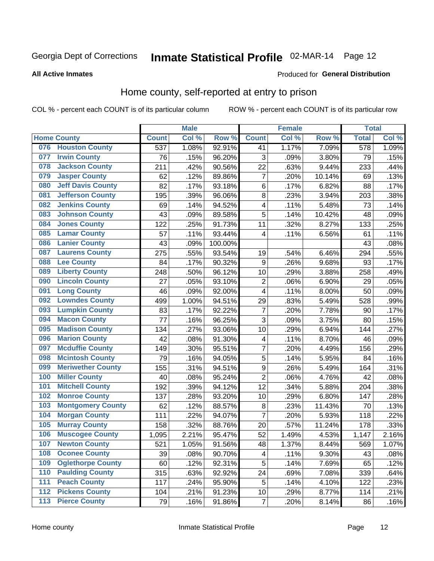# Inmate Statistical Profile 02-MAR-14 Page 12

#### **All Active Inmates**

### Produced for General Distribution

### Home county, self-reported at entry to prison

COL % - percent each COUNT is of its particular column

|                  |                          |              | <b>Male</b> |         |                | <b>Female</b> |        | <b>Total</b> |       |
|------------------|--------------------------|--------------|-------------|---------|----------------|---------------|--------|--------------|-------|
|                  | <b>Home County</b>       | <b>Count</b> | Col %       | Row %   | <b>Count</b>   | Col %         | Row %  | <b>Total</b> | Col % |
| 076              | <b>Houston County</b>    | 537          | 1.08%       | 92.91%  | 41             | 1.17%         | 7.09%  | 578          | 1.09% |
| 077              | <b>Irwin County</b>      | 76           | .15%        | 96.20%  | 3              | .09%          | 3.80%  | 79           | .15%  |
| 078              | <b>Jackson County</b>    | 211          | .42%        | 90.56%  | 22             | .63%          | 9.44%  | 233          | .44%  |
| 079              | <b>Jasper County</b>     | 62           | .12%        | 89.86%  | $\overline{7}$ | .20%          | 10.14% | 69           | .13%  |
| 080              | <b>Jeff Davis County</b> | 82           | .17%        | 93.18%  | $\,6$          | .17%          | 6.82%  | 88           | .17%  |
| 081              | <b>Jefferson County</b>  | 195          | .39%        | 96.06%  | 8              | .23%          | 3.94%  | 203          | .38%  |
| 082              | <b>Jenkins County</b>    | 69           | .14%        | 94.52%  | 4              | .11%          | 5.48%  | 73           | .14%  |
| 083              | <b>Johnson County</b>    | 43           | .09%        | 89.58%  | 5              | .14%          | 10.42% | 48           | .09%  |
| 084              | <b>Jones County</b>      | 122          | .25%        | 91.73%  | 11             | .32%          | 8.27%  | 133          | .25%  |
| 085              | <b>Lamar County</b>      | 57           | .11%        | 93.44%  | 4              | .11%          | 6.56%  | 61           | .11%  |
| 086              | <b>Lanier County</b>     | 43           | .09%        | 100.00% |                |               |        | 43           | .08%  |
| 087              | <b>Laurens County</b>    | 275          | .55%        | 93.54%  | 19             | .54%          | 6.46%  | 294          | .55%  |
| 088              | <b>Lee County</b>        | 84           | .17%        | 90.32%  | 9              | .26%          | 9.68%  | 93           | .17%  |
| 089              | <b>Liberty County</b>    | 248          | .50%        | 96.12%  | 10             | .29%          | 3.88%  | 258          | .49%  |
| 090              | <b>Lincoln County</b>    | 27           | .05%        | 93.10%  | $\overline{2}$ | .06%          | 6.90%  | 29           | .05%  |
| 091              | <b>Long County</b>       | 46           | .09%        | 92.00%  | 4              | .11%          | 8.00%  | 50           | .09%  |
| 092              | <b>Lowndes County</b>    | 499          | 1.00%       | 94.51%  | 29             | .83%          | 5.49%  | 528          | .99%  |
| 093              | <b>Lumpkin County</b>    | 83           | .17%        | 92.22%  | $\overline{7}$ | .20%          | 7.78%  | 90           | .17%  |
| 094              | <b>Macon County</b>      | 77           | .16%        | 96.25%  | $\overline{3}$ | .09%          | 3.75%  | 80           | .15%  |
| 095              | <b>Madison County</b>    | 134          | .27%        | 93.06%  | 10             | .29%          | 6.94%  | 144          | .27%  |
| 096              | <b>Marion County</b>     | 42           | .08%        | 91.30%  | 4              | .11%          | 8.70%  | 46           | .09%  |
| 097              | <b>Mcduffie County</b>   | 149          | .30%        | 95.51%  | $\overline{7}$ | .20%          | 4.49%  | 156          | .29%  |
| 098              | <b>Mcintosh County</b>   | 79           | .16%        | 94.05%  | 5              | .14%          | 5.95%  | 84           | .16%  |
| 099              | <b>Meriwether County</b> | 155          | .31%        | 94.51%  | 9              | .26%          | 5.49%  | 164          | .31%  |
| 100              | <b>Miller County</b>     | 40           | .08%        | 95.24%  | $\overline{c}$ | .06%          | 4.76%  | 42           | .08%  |
| 101              | <b>Mitchell County</b>   | 192          | .39%        | 94.12%  | 12             | .34%          | 5.88%  | 204          | .38%  |
| 102              | <b>Monroe County</b>     | 137          | .28%        | 93.20%  | 10             | .29%          | 6.80%  | 147          | .28%  |
| 103              | <b>Montgomery County</b> | 62           | .12%        | 88.57%  | 8              | .23%          | 11.43% | 70           | .13%  |
| 104              | <b>Morgan County</b>     | 111          | .22%        | 94.07%  | $\overline{7}$ | .20%          | 5.93%  | 118          | .22%  |
| 105              | <b>Murray County</b>     | 158          | .32%        | 88.76%  | 20             | .57%          | 11.24% | 178          | .33%  |
| 106              | <b>Muscogee County</b>   | 1,095        | 2.21%       | 95.47%  | 52             | 1.49%         | 4.53%  | 1,147        | 2.16% |
| 107              | <b>Newton County</b>     | 521          | 1.05%       | 91.56%  | 48             | 1.37%         | 8.44%  | 569          | 1.07% |
| 108              | <b>Oconee County</b>     | 39           | .08%        | 90.70%  | 4              | .11%          | 9.30%  | 43           | .08%  |
| 109              | <b>Oglethorpe County</b> | 60           | .12%        | 92.31%  | 5              | .14%          | 7.69%  | 65           | .12%  |
| 110              | <b>Paulding County</b>   | 315          | .63%        | 92.92%  | 24             | .69%          | 7.08%  | 339          | .64%  |
| 111              | <b>Peach County</b>      | 117          | .24%        | 95.90%  | 5              | .14%          | 4.10%  | 122          | .23%  |
| $\overline{112}$ | <b>Pickens County</b>    | 104          | .21%        | 91.23%  | 10             | .29%          | 8.77%  | 114          | .21%  |
| 113              | <b>Pierce County</b>     | 79           | .16%        | 91.86%  | $\overline{7}$ | .20%          | 8.14%  | 86           | .16%  |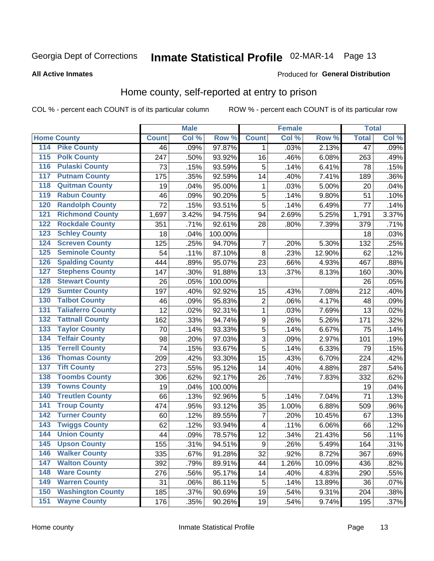# Inmate Statistical Profile 02-MAR-14 Page 13

#### **All Active Inmates**

### **Produced for General Distribution**

### Home county, self-reported at entry to prison

COL % - percent each COUNT is of its particular column

|                                          |              | <b>Male</b> |         |                  | <b>Female</b> |        | <b>Total</b>    |       |
|------------------------------------------|--------------|-------------|---------|------------------|---------------|--------|-----------------|-------|
| <b>Home County</b>                       | <b>Count</b> | Col %       | Row %   | <b>Count</b>     | Col %         | Row %  | <b>Total</b>    | Col % |
| <b>Pike County</b><br>114                | 46           | .09%        | 97.87%  | 1                | .03%          | 2.13%  | $\overline{47}$ | .09%  |
| <b>Polk County</b><br>115                | 247          | .50%        | 93.92%  | 16               | .46%          | 6.08%  | 263             | .49%  |
| <b>Pulaski County</b><br>116             | 73           | .15%        | 93.59%  | 5                | .14%          | 6.41%  | 78              | .15%  |
| <b>Putnam County</b><br>117              | 175          | .35%        | 92.59%  | 14               | .40%          | 7.41%  | 189             | .36%  |
| <b>Quitman County</b><br>118             | 19           | .04%        | 95.00%  | 1                | .03%          | 5.00%  | 20              | .04%  |
| <b>Rabun County</b><br>119               | 46           | .09%        | 90.20%  | 5                | .14%          | 9.80%  | 51              | .10%  |
| <b>Randolph County</b><br>120            | 72           | .15%        | 93.51%  | 5                | .14%          | 6.49%  | 77              | .14%  |
| <b>Richmond County</b><br>121            | 1,697        | 3.42%       | 94.75%  | 94               | 2.69%         | 5.25%  | 1,791           | 3.37% |
| <b>Rockdale County</b><br>122            | 351          | .71%        | 92.61%  | 28               | .80%          | 7.39%  | 379             | .71%  |
| <b>Schley County</b><br>123              | 18           | .04%        | 100.00% |                  |               |        | 18              | .03%  |
| <b>Screven County</b><br>124             | 125          | .25%        | 94.70%  | 7                | .20%          | 5.30%  | 132             | .25%  |
| <b>Seminole County</b><br>125            | 54           | .11%        | 87.10%  | 8                | .23%          | 12.90% | 62              | .12%  |
| <b>Spalding County</b><br>126            | 444          | .89%        | 95.07%  | 23               | .66%          | 4.93%  | 467             | .88%  |
| <b>Stephens County</b><br>127            | 147          | .30%        | 91.88%  | 13               | .37%          | 8.13%  | 160             | .30%  |
| <b>Stewart County</b><br>128             | 26           | .05%        | 100.00% |                  |               |        | 26              | .05%  |
| <b>Sumter County</b><br>129              | 197          | .40%        | 92.92%  | 15               | .43%          | 7.08%  | 212             | .40%  |
| <b>Talbot County</b><br>130              | 46           | .09%        | 95.83%  | $\overline{2}$   | .06%          | 4.17%  | 48              | .09%  |
| <b>Taliaferro County</b><br>131          | 12           | .02%        | 92.31%  | $\mathbf{1}$     | .03%          | 7.69%  | 13              | .02%  |
| <b>Tattnall County</b><br>132            | 162          | .33%        | 94.74%  | $\boldsymbol{9}$ | .26%          | 5.26%  | 171             | .32%  |
| <b>Taylor County</b><br>133              | 70           | .14%        | 93.33%  | 5                | .14%          | 6.67%  | 75              | .14%  |
| <b>Telfair County</b><br>134             | 98           | .20%        | 97.03%  | $\overline{3}$   | .09%          | 2.97%  | 101             | .19%  |
| <b>Terrell County</b><br>135             | 74           | .15%        | 93.67%  | 5                | .14%          | 6.33%  | 79              | .15%  |
| <b>Thomas County</b><br>136              | 209          | .42%        | 93.30%  | 15               | .43%          | 6.70%  | 224             | .42%  |
| 137<br><b>Tift County</b>                | 273          | .55%        | 95.12%  | 14               | .40%          | 4.88%  | 287             | .54%  |
| <b>Toombs County</b><br>138              | 306          | .62%        | 92.17%  | 26               | .74%          | 7.83%  | 332             | .62%  |
| <b>Towns County</b><br>139               | 19           | .04%        | 100.00% |                  |               |        | 19              | .04%  |
| <b>Treutlen County</b><br>140            | 66           | .13%        | 92.96%  | 5                | .14%          | 7.04%  | 71              | .13%  |
| <b>Troup County</b><br>141               | 474          | .95%        | 93.12%  | 35               | 1.00%         | 6.88%  | 509             | .96%  |
| <b>Turner County</b><br>$\overline{142}$ | 60           | .12%        | 89.55%  | 7                | .20%          | 10.45% | 67              | .13%  |
| <b>Twiggs County</b><br>143              | 62           | .12%        | 93.94%  | 4                | .11%          | 6.06%  | 66              | .12%  |
| <b>Union County</b><br>144               | 44           | .09%        | 78.57%  | 12               | .34%          | 21.43% | 56              | .11%  |
| 145<br><b>Upson County</b>               | 155          | .31%        | 94.51%  | $\boldsymbol{9}$ | .26%          | 5.49%  | 164             | .31%  |
| <b>Walker County</b><br>146              | 335          | .67%        | 91.28%  | 32               | .92%          | 8.72%  | 367             | .69%  |
| <b>Walton County</b><br>147              | 392          | .79%        | 89.91%  | 44               | 1.26%         | 10.09% | 436             | .82%  |
| <b>Ware County</b><br>148                | 276          | .56%        | 95.17%  | 14               | .40%          | 4.83%  | 290             | .55%  |
| <b>Warren County</b><br>149              | 31           | .06%        | 86.11%  | 5                | .14%          | 13.89% | 36              | .07%  |
| <b>Washington County</b><br>150          | 185          | .37%        | 90.69%  | 19               | .54%          | 9.31%  | 204             | .38%  |
| <b>Wayne County</b><br>151               | 176          | .35%        | 90.26%  | 19               | .54%          | 9.74%  | 195             | .37%  |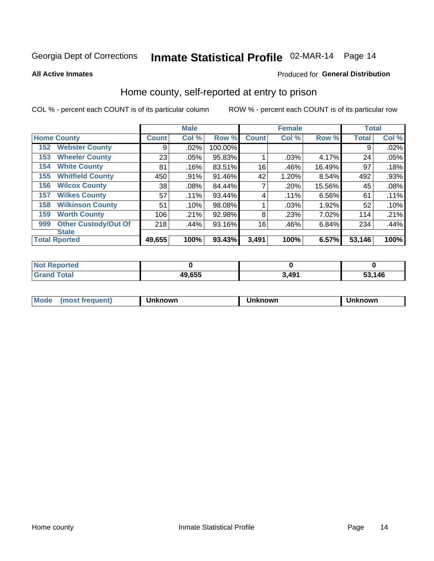# Inmate Statistical Profile 02-MAR-14 Page 14

**All Active Inmates** 

#### Produced for General Distribution

### Home county, self-reported at entry to prison

COL % - percent each COUNT is of its particular column

|     |                             |              | <b>Male</b> |         |              | <b>Female</b> |        | <b>Total</b> |       |
|-----|-----------------------------|--------------|-------------|---------|--------------|---------------|--------|--------------|-------|
|     | <b>Home County</b>          | <b>Count</b> | Col %       | Row %   | <b>Count</b> | Col %         | Row %  | <b>Total</b> | Col % |
| 152 | <b>Webster County</b>       | 9            | .02%        | 100.00% |              |               |        | 9            | .02%  |
| 153 | <b>Wheeler County</b>       | 23           | .05%        | 95.83%  |              | .03%          | 4.17%  | 24           | .05%  |
| 154 | <b>White County</b>         | 81           | .16%        | 83.51%  | 16           | .46%          | 16.49% | 97           | .18%  |
| 155 | <b>Whitfield County</b>     | 450          | .91%        | 91.46%  | 42           | 1.20%         | 8.54%  | 492          | .93%  |
| 156 | <b>Wilcox County</b>        | 38           | .08%        | 84.44%  | 7            | .20%          | 15.56% | 45           | .08%  |
| 157 | <b>Wilkes County</b>        | 57           | .11%        | 93.44%  | 4            | .11%          | 6.56%  | 61           | .11%  |
| 158 | <b>Wilkinson County</b>     | 51           | .10%        | 98.08%  |              | .03%          | 1.92%  | 52           | .10%  |
| 159 | <b>Worth County</b>         | 106          | .21%        | 92.98%  | 8            | .23%          | 7.02%  | 114          | .21%  |
| 999 | <b>Other Custody/Out Of</b> | 218          | .44%        | 93.16%  | 16           | .46%          | 6.84%  | 234          | .44%  |
|     | <b>State</b>                |              |             |         |              |               |        |              |       |
|     | <b>Total Rported</b>        | 49,655       | 100%        | 93.43%  | 3,491        | 100%          | 6.57%  | 53,146       | 100%  |

| NO<br>τeα |  |                   |      |
|-----------|--|-------------------|------|
| 49,655    |  | <b>3 101</b><br>™ | ,146 |

| Mode<br><b>Tequent)</b><br>ns | nown | mown | เทown |
|-------------------------------|------|------|-------|
|                               |      |      |       |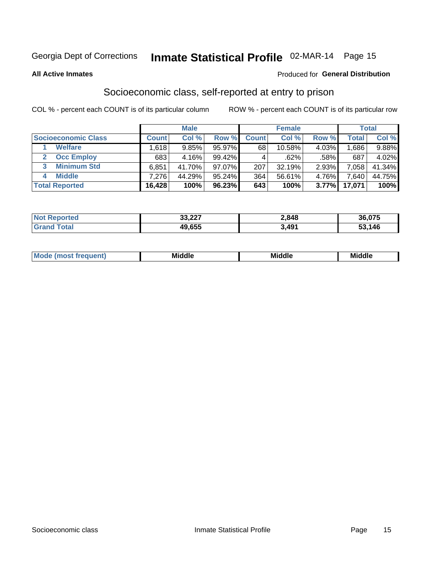# Inmate Statistical Profile 02-MAR-14 Page 15

#### **All Active Inmates**

#### Produced for General Distribution

### Socioeconomic class, self-reported at entry to prison

COL % - percent each COUNT is of its particular column

|                         |              | <b>Male</b> |           |              | <b>Female</b> |       |        | <b>Total</b> |
|-------------------------|--------------|-------------|-----------|--------------|---------------|-------|--------|--------------|
| Socioeconomic Class     | <b>Count</b> | Col %       | Row %     | <b>Count</b> | Col %         | Row % | Total, | Col %        |
| <b>Welfare</b>          | .618         | 9.85%       | $95.97\%$ | 68           | 10.58%        | 4.03% | .686   | 9.88%        |
| <b>Occ Employ</b>       | 683          | 4.16%       | 99.42%    |              | .62%          | .58%  | 687    | 4.02%        |
| <b>Minimum Std</b><br>3 | 6,851        | 41.70%      | $97.07\%$ | 207          | 32.19%        | 2.93% | 058    | 41.34%       |
| <b>Middle</b><br>4      | 7,276        | 44.29%      | 95.24%    | 364          | 56.61%        | 4.76% | .640   | 44.75%       |
| <b>Total Reported</b>   | 16,428       | 100%        | 96.23%    | 643          | 100%          | 3.77% | 17,071 | 100%         |

| <b>Not Reported</b> | 33,227 | 2,848 | 36,075 |
|---------------------|--------|-------|--------|
| $\tau$ otal         | 49,655 | 491   | 53,146 |

| ____<br>____ |
|--------------|
|--------------|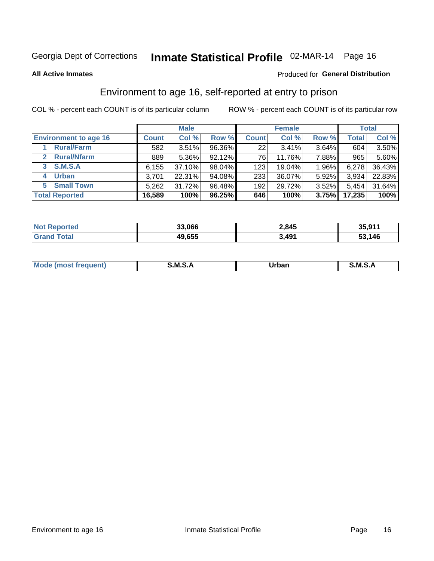# Inmate Statistical Profile 02-MAR-14 Page 16

**All Active Inmates** 

#### Produced for General Distribution

### Environment to age 16, self-reported at entry to prison

COL % - percent each COUNT is of its particular column

|                                    |              | <b>Male</b> |        |              | <b>Female</b> |       |              | <b>Total</b> |
|------------------------------------|--------------|-------------|--------|--------------|---------------|-------|--------------|--------------|
| <b>Environment to age 16</b>       | <b>Count</b> | Col %       | Row %  | <b>Count</b> | Col %         | Row % | <b>Total</b> | Col %        |
| <b>Rural/Farm</b>                  | 582          | 3.51%       | 96.36% | 221          | 3.41%         | 3.64% | 604          | 3.50%        |
| <b>Rural/Nfarm</b><br>$\mathbf{2}$ | 889          | $5.36\%$    | 92.12% | 76           | 11.76%        | 7.88% | 965          | 5.60%        |
| 3 S.M.S.A                          | 6,155        | 37.10%      | 98.04% | 123          | 19.04%        | 1.96% | 6,278        | 36.43%       |
| <b>Urban</b><br>4                  | 3,701        | 22.31%      | 94.08% | 233          | 36.07%        | 5.92% | 3,934        | 22.83%       |
| <b>Small Town</b><br>5.            | 5,262        | 31.72%      | 96.48% | 192          | 29.72%        | 3.52% | 5,454        | 31.64%       |
| <b>Total Reported</b>              | 16,589       | 100%        | 96.25% | 646          | 100%          | 3.75% | 17,235       | 100%         |

| <b>Not Reported</b> | 33,066 | 2,845 | 35,911 |
|---------------------|--------|-------|--------|
| <b>Total</b>        | 49,655 | 3,491 | 53,146 |

| Mo | M | Irhan<br>rva<br>_____ | M<br>______ |
|----|---|-----------------------|-------------|
|    |   |                       |             |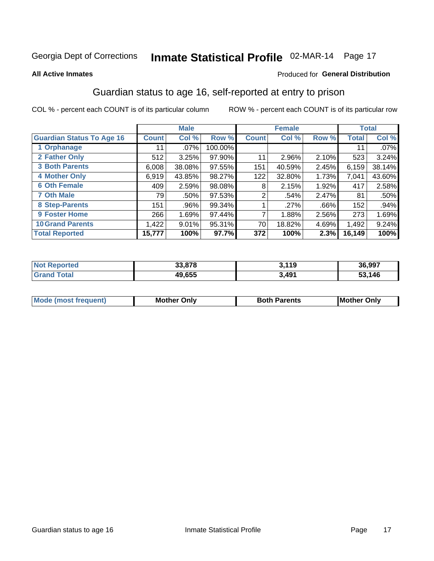# Inmate Statistical Profile 02-MAR-14 Page 17

#### **All Active Inmates**

#### Produced for General Distribution

### Guardian status to age 16, self-reported at entry to prison

COL % - percent each COUNT is of its particular column

|                                  |              | <b>Male</b> |         |              | <b>Female</b> |       |              | <b>Total</b> |
|----------------------------------|--------------|-------------|---------|--------------|---------------|-------|--------------|--------------|
| <b>Guardian Status To Age 16</b> | <b>Count</b> | Col %       | Row %   | <b>Count</b> | Col %         | Row % | <b>Total</b> | Col %        |
| 1 Orphanage                      | 11           | $.07\%$     | 100.00% |              |               |       | 11           | $.07\%$      |
| 2 Father Only                    | 512          | 3.25%       | 97.90%  | 11           | 2.96%         | 2.10% | 523          | 3.24%        |
| <b>3 Both Parents</b>            | 6,008        | 38.08%      | 97.55%  | 151          | 40.59%        | 2.45% | 6,159        | 38.14%       |
| <b>4 Mother Only</b>             | 6,919        | 43.85%      | 98.27%  | 122          | 32.80%        | 1.73% | 7,041        | 43.60%       |
| <b>6 Oth Female</b>              | 409          | 2.59%       | 98.08%  | 8            | 2.15%         | 1.92% | 417          | 2.58%        |
| <b>7 Oth Male</b>                | 79           | .50%        | 97.53%  | 2            | .54%          | 2.47% | 81           | .50%         |
| 8 Step-Parents                   | 151          | .96%        | 99.34%  |              | .27%          | .66%  | 152          | .94%         |
| 9 Foster Home                    | 266          | 1.69%       | 97.44%  | ⇁            | 1.88%         | 2.56% | 273          | 1.69%        |
| <b>10 Grand Parents</b>          | 1,422        | 9.01%       | 95.31%  | 70           | 18.82%        | 4.69% | 1,492        | 9.24%        |
| <b>Total Reported</b>            | 15,777       | 100%        | 97.7%   | 372          | 100%          | 2.3%  | 16,149       | 100%         |

| <b>orteg</b><br>NOT | 00020<br>აა.o <i>i</i> o | 3,119 | 36,997 |
|---------------------|--------------------------|-------|--------|
| Gr:                 | 49.655                   | 3,491 | 53,146 |

| <b>Mode</b><br>(most frequent) | <b>Mother Only</b> | <b>Both Parents</b> | <b>Mother Only</b> |
|--------------------------------|--------------------|---------------------|--------------------|
|                                |                    |                     |                    |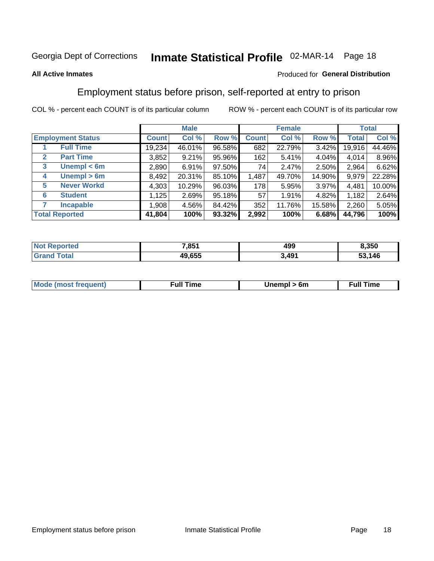# Inmate Statistical Profile 02-MAR-14 Page 18

#### **All Active Inmates**

#### Produced for General Distribution

### Employment status before prison, self-reported at entry to prison

COL % - percent each COUNT is of its particular column

|                                  |              | <b>Male</b> |        |              | <b>Female</b> |          |        | <b>Total</b> |
|----------------------------------|--------------|-------------|--------|--------------|---------------|----------|--------|--------------|
| <b>Employment Status</b>         | <b>Count</b> | Col %       | Row %  | <b>Count</b> | Col %         | Row %    | Total  | Col %        |
| <b>Full Time</b>                 | 19,234       | 46.01%      | 96.58% | 682          | 22.79%        | $3.42\%$ | 19,916 | 44.46%       |
| <b>Part Time</b><br>$\mathbf{2}$ | 3,852        | 9.21%       | 95.96% | 162          | 5.41%         | 4.04%    | 4,014  | 8.96%        |
| Unempl $<$ 6m<br>3               | 2,890        | 6.91%       | 97.50% | 74           | 2.47%         | 2.50%    | 2,964  | 6.62%        |
| Unempl > 6m<br>4                 | 8,492        | 20.31%      | 85.10% | 1,487        | 49.70%        | 14.90%   | 9,979  | 22.28%       |
| <b>Never Workd</b><br>5          | 4,303        | 10.29%      | 96.03% | 178          | 5.95%         | 3.97%    | 4,481  | 10.00%       |
| <b>Student</b><br>6              | 1,125        | 2.69%       | 95.18% | 57           | 1.91%         | 4.82%    | 1,182  | 2.64%        |
| <b>Incapable</b>                 | 1,908        | 4.56%       | 84.42% | 352          | 11.76%        | 15.58%   | 2,260  | 5.05%        |
| <b>Total Reported</b>            | 41,804       | 100%        | 93.32% | 2,992        | 100%          | 6.68%    | 44,796 | 100%         |

| rted<br>NO | 7,851  | 499   | 8,350      |
|------------|--------|-------|------------|
| stal       | 49.655 | 3,491 | .146<br>-- |

| <b>Mode (most frequent)</b> | full "<br>the contract of the contract of the contract of the contract of the contract of the contract of the contract of | 6m | ïme<br>้นเ<br>the contract of the contract of the contract of the contract of the contract of the contract of the contract of |
|-----------------------------|---------------------------------------------------------------------------------------------------------------------------|----|-------------------------------------------------------------------------------------------------------------------------------|
|                             |                                                                                                                           |    |                                                                                                                               |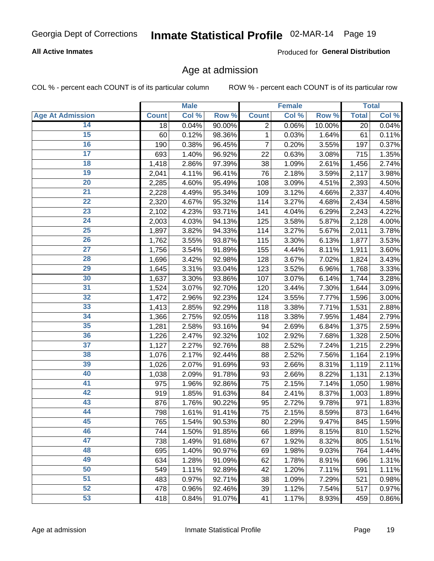### **All Active Inmates**

Produced for General Distribution

### Age at admission

COL % - percent each COUNT is of its particular column

|                         |              | <b>Male</b> |        |              | <b>Female</b>       |        |              | <b>Total</b> |
|-------------------------|--------------|-------------|--------|--------------|---------------------|--------|--------------|--------------|
| <b>Age At Admission</b> | <b>Count</b> | Col %       | Row %  | <b>Count</b> | Col %               | Row %  | <b>Total</b> | Col %        |
| 14                      | 18           | 0.04%       | 90.00% | 2            | 0.06%               | 10.00% | 20           | 0.04%        |
| 15                      | 60           | 0.12%       | 98.36% | $\mathbf{1}$ | 0.03%               | 1.64%  | 61           | 0.11%        |
| 16                      | 190          | 0.38%       | 96.45% | 7            | 0.20%               | 3.55%  | 197          | 0.37%        |
| $\overline{17}$         | 693          | 1.40%       | 96.92% | 22           | 0.63%               | 3.08%  | 715          | 1.35%        |
| $\overline{18}$         | 1,418        | 2.86%       | 97.39% | 38           | 1.09%               | 2.61%  | 1,456        | 2.74%        |
| 19                      | 2,041        | 4.11%       | 96.41% | 76           | 2.18%               | 3.59%  | 2,117        | 3.98%        |
| $\overline{20}$         | 2,285        | 4.60%       | 95.49% | 108          | 3.09%               | 4.51%  | 2,393        | 4.50%        |
| $\overline{21}$         | 2,228        | 4.49%       | 95.34% | 109          | 3.12%               | 4.66%  | 2,337        | 4.40%        |
| $\overline{22}$         | 2,320        | 4.67%       | 95.32% | 114          | 3.27%               | 4.68%  | 2,434        | 4.58%        |
| 23                      | 2,102        | 4.23%       | 93.71% | 141          | 4.04%               | 6.29%  | 2,243        | 4.22%        |
| $\overline{24}$         | 2,003        | 4.03%       | 94.13% | 125          | 3.58%               | 5.87%  | 2,128        | 4.00%        |
| 25                      | 1,897        | 3.82%       | 94.33% | 114          | 3.27%               | 5.67%  | 2,011        | 3.78%        |
| $\overline{26}$         | 1,762        | 3.55%       | 93.87% | 115          | 3.30%               | 6.13%  | 1,877        | 3.53%        |
| $\overline{27}$         | 1,756        | 3.54%       | 91.89% | 155          | 4.44%               | 8.11%  | 1,911        | 3.60%        |
| 28                      | 1,696        | 3.42%       | 92.98% | 128          | 3.67%               | 7.02%  | 1,824        | 3.43%        |
| 29                      | 1,645        | 3.31%       | 93.04% | 123          | 3.52%               | 6.96%  | 1,768        | 3.33%        |
| 30                      | 1,637        | 3.30%       | 93.86% | 107          | 3.07%               | 6.14%  | 1,744        | 3.28%        |
| $\overline{31}$         | 1,524        | 3.07%       | 92.70% | 120          | 3.44%               | 7.30%  | 1,644        | 3.09%        |
| 32                      | 1,472        | 2.96%       | 92.23% | 124          | 3.55%               | 7.77%  | 1,596        | 3.00%        |
| 33                      | 1,413        | 2.85%       | 92.29% | 118          | 3.38%               | 7.71%  | 1,531        | 2.88%        |
| 34                      | 1,366        | 2.75%       | 92.05% | 118          | 3.38%               | 7.95%  | 1,484        | 2.79%        |
| 35                      | 1,281        | 2.58%       | 93.16% | 94           | 2.69%               | 6.84%  | 1,375        | 2.59%        |
| 36                      | 1,226        | 2.47%       | 92.32% | 102          | 2.92%               | 7.68%  | 1,328        | 2.50%        |
| $\overline{37}$         | 1,127        | 2.27%       | 92.76% | 88           | 2.52%               | 7.24%  | 1,215        | 2.29%        |
| 38                      | 1,076        | 2.17%       | 92.44% | 88           | 2.52%               | 7.56%  | 1,164        | 2.19%        |
| 39                      | 1,026        | 2.07%       | 91.69% | 93           | 2.66%               | 8.31%  | 1,119        | 2.11%        |
| 40                      | 1,038        | 2.09%       | 91.78% | 93           | 2.66%               | 8.22%  | 1,131        | 2.13%        |
| 41                      | 975          | 1.96%       | 92.86% | 75           | 2.15%               | 7.14%  | 1,050        | 1.98%        |
| 42                      | 919          | 1.85%       | 91.63% | 84           | 2.41%               | 8.37%  | 1,003        | 1.89%        |
| 43                      | 876          | 1.76%       | 90.22% | 95           | 2.72%               | 9.78%  | 971          | 1.83%        |
| 44                      | 798          | 1.61%       | 91.41% | 75           | 2.15%               | 8.59%  | 873          | 1.64%        |
| 45                      | 765          | 1.54%       | 90.53% | 80           | 2.29%               | 9.47%  | 845          | 1.59%        |
| 46                      | 744          | 1.50%       | 91.85% | 66           | 1.89%               | 8.15%  | 810          | 1.52%        |
| 47                      | 738          | 1.49%       | 91.68% | 67           | 1.92%               | 8.32%  | 805          | 1.51%        |
| 48                      | 695          | 1.40%       | 90.97% | 69           | 1.98%               | 9.03%  | 764          | 1.44%        |
| 49                      | 634          | 1.28%       | 91.09% | 62           | 1.78%               | 8.91%  | 696          | 1.31%        |
| 50                      | 549          | 1.11%       | 92.89% | 42           | 1.20%               | 7.11%  | 591          | 1.11%        |
| 51                      | 483          | 0.97%       | 92.71% | 38           | 1.09%               | 7.29%  | 521          | 0.98%        |
| 52                      | 478          | 0.96%       | 92.46% | 39           | 1.12%               | 7.54%  | 517          | 0.97%        |
| 53                      | 418          | 0.84%       | 91.07% | 41           | $\overline{1.17\%}$ | 8.93%  | 459          | 0.86%        |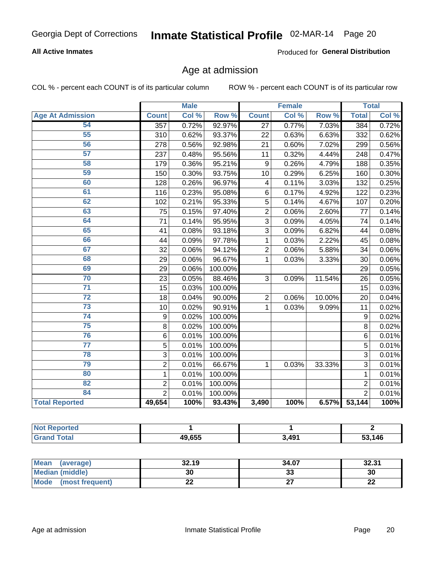### **All Active Inmates**

Produced for General Distribution

### Age at admission

COL % - percent each COUNT is of its particular column

|                         | <b>Male</b>    |       | <b>Female</b> |                         |       | <b>Total</b> |                |       |
|-------------------------|----------------|-------|---------------|-------------------------|-------|--------------|----------------|-------|
| <b>Age At Admission</b> | <b>Count</b>   | Col % | Row %         | <b>Count</b>            | Col % | Row %        | <b>Total</b>   | Col % |
| 54                      | 357            | 0.72% | 92.97%        | 27                      | 0.77% | 7.03%        | 384            | 0.72% |
| 55                      | 310            | 0.62% | 93.37%        | 22                      | 0.63% | 6.63%        | 332            | 0.62% |
| 56                      | 278            | 0.56% | 92.98%        | 21                      | 0.60% | 7.02%        | 299            | 0.56% |
| 57                      | 237            | 0.48% | 95.56%        | 11                      | 0.32% | 4.44%        | 248            | 0.47% |
| 58                      | 179            | 0.36% | 95.21%        | 9                       | 0.26% | 4.79%        | 188            | 0.35% |
| 59                      | 150            | 0.30% | 93.75%        | 10                      | 0.29% | 6.25%        | 160            | 0.30% |
| 60                      | 128            | 0.26% | 96.97%        | $\overline{\mathbf{4}}$ | 0.11% | 3.03%        | 132            | 0.25% |
| 61                      | 116            | 0.23% | 95.08%        | 6                       | 0.17% | 4.92%        | 122            | 0.23% |
| 62                      | 102            | 0.21% | 95.33%        | 5                       | 0.14% | 4.67%        | 107            | 0.20% |
| 63                      | 75             | 0.15% | 97.40%        | $\overline{c}$          | 0.06% | 2.60%        | 77             | 0.14% |
| 64                      | 71             | 0.14% | 95.95%        | $\overline{3}$          | 0.09% | 4.05%        | 74             | 0.14% |
| 65                      | 41             | 0.08% | 93.18%        | 3                       | 0.09% | 6.82%        | 44             | 0.08% |
| 66                      | 44             | 0.09% | 97.78%        | 1                       | 0.03% | 2.22%        | 45             | 0.08% |
| 67                      | 32             | 0.06% | 94.12%        | $\overline{2}$          | 0.06% | 5.88%        | 34             | 0.06% |
| 68                      | 29             | 0.06% | 96.67%        | 1                       | 0.03% | 3.33%        | 30             | 0.06% |
| 69                      | 29             | 0.06% | 100.00%       |                         |       |              | 29             | 0.05% |
| 70                      | 23             | 0.05% | 88.46%        | 3                       | 0.09% | 11.54%       | 26             | 0.05% |
| $\overline{71}$         | 15             | 0.03% | 100.00%       |                         |       |              | 15             | 0.03% |
| $\overline{72}$         | 18             | 0.04% | 90.00%        | $\overline{2}$          | 0.06% | 10.00%       | 20             | 0.04% |
| $\overline{73}$         | 10             | 0.02% | 90.91%        | 1                       | 0.03% | 9.09%        | 11             | 0.02% |
| 74                      | 9              | 0.02% | 100.00%       |                         |       |              | 9              | 0.02% |
| $\overline{75}$         | 8              | 0.02% | 100.00%       |                         |       |              | 8              | 0.02% |
| 76                      | $\,6$          | 0.01% | 100.00%       |                         |       |              | 6              | 0.01% |
| $\overline{77}$         | 5              | 0.01% | 100.00%       |                         |       |              | 5              | 0.01% |
| 78                      | 3              | 0.01% | 100.00%       |                         |       |              | $\overline{3}$ | 0.01% |
| 79                      | $\overline{2}$ | 0.01% | 66.67%        | 1                       | 0.03% | 33.33%       | 3              | 0.01% |
| 80                      | $\mathbf{1}$   | 0.01% | 100.00%       |                         |       |              | $\mathbf{1}$   | 0.01% |
| 82                      | $\overline{2}$ | 0.01% | 100.00%       |                         |       |              | $\overline{2}$ | 0.01% |
| 84                      | $\overline{2}$ | 0.01% | 100.00%       |                         |       |              | $\overline{2}$ | 0.01% |
| <b>Total Reported</b>   | 49,654         | 100%  | 93.43%        | 3,490                   | 100%  | 6.57%        | 53,144         | 100%  |

| orted<br><b>NOT</b>  |        |       |        |
|----------------------|--------|-------|--------|
| <b>otal</b><br>. Gre | 49,655 | 3.491 | 53,146 |

| Mean (average)         | 32.19 | 34.07   | 32.31   |
|------------------------|-------|---------|---------|
| <b>Median (middle)</b> | 30    | ົ<br>აა | 30      |
| Mode (most frequent)   | LL    |         | ົ<br>LL |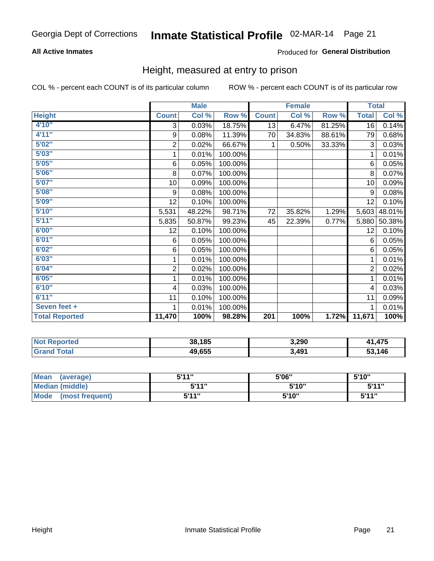### **All Active Inmates**

### Produced for General Distribution

### Height, measured at entry to prison

COL % - percent each COUNT is of its particular column

|                       | <b>Male</b>             |        |         | <b>Female</b> |        |        | <b>Total</b> |        |
|-----------------------|-------------------------|--------|---------|---------------|--------|--------|--------------|--------|
| <b>Height</b>         | <b>Count</b>            | Col %  | Row %   | <b>Count</b>  | Col %  | Row %  | <b>Total</b> | Col %  |
| 4'10"                 | 3                       | 0.03%  | 18.75%  | 13            | 6.47%  | 81.25% | 16           | 0.14%  |
| 4'11''                | 9                       | 0.08%  | 11.39%  | 70            | 34.83% | 88.61% | 79           | 0.68%  |
| 5'02''                | $\mathbf 2$             | 0.02%  | 66.67%  | 1             | 0.50%  | 33.33% | 3            | 0.03%  |
| 5'03''                | 1                       | 0.01%  | 100.00% |               |        |        | 1            | 0.01%  |
| 5'05''                | 6                       | 0.05%  | 100.00% |               |        |        | 6            | 0.05%  |
| 5'06''                | 8                       | 0.07%  | 100.00% |               |        |        | 8            | 0.07%  |
| 5'07''                | 10                      | 0.09%  | 100.00% |               |        |        | 10           | 0.09%  |
| 5'08''                | 9                       | 0.08%  | 100.00% |               |        |        | 9            | 0.08%  |
| 5'09''                | 12                      | 0.10%  | 100.00% |               |        |        | 12           | 0.10%  |
| 5'10''                | 5,531                   | 48.22% | 98.71%  | 72            | 35.82% | 1.29%  | 5,603        | 48.01% |
| 5'11''                | 5,835                   | 50.87% | 99.23%  | 45            | 22.39% | 0.77%  | 5,880        | 50.38% |
| 6'00''                | 12                      | 0.10%  | 100.00% |               |        |        | 12           | 0.10%  |
| 6'01''                | 6                       | 0.05%  | 100.00% |               |        |        | 6            | 0.05%  |
| 6'02''                | 6                       | 0.05%  | 100.00% |               |        |        | 6            | 0.05%  |
| 6'03''                | 1                       | 0.01%  | 100.00% |               |        |        | 1            | 0.01%  |
| 6'04''                | $\overline{\mathbf{c}}$ | 0.02%  | 100.00% |               |        |        | $\sqrt{2}$   | 0.02%  |
| 6'05''                | 1                       | 0.01%  | 100.00% |               |        |        | 1            | 0.01%  |
| 6'10''                | $\overline{\mathbf{4}}$ | 0.03%  | 100.00% |               |        |        | 4            | 0.03%  |
| 6'11''                | 11                      | 0.10%  | 100.00% |               |        |        | 11           | 0.09%  |
| Seven feet +          | 1                       | 0.01%  | 100.00% |               |        |        | 1            | 0.01%  |
| <b>Total Reported</b> | 11,470                  | 100%   | 98.28%  | 201           | 100%   | 1.72%  | 11,671       | 100%   |

| <b>Not Reported</b> | 38,185 | 3,290 | ,475   |
|---------------------|--------|-------|--------|
| īotal               | 49,655 | ,491  | 53,146 |

| Mean<br>(average)              | 544"  | 5'06" | 5'10''       |
|--------------------------------|-------|-------|--------------|
| Median (middle)                | 544"  | 5'10" | 5'11"        |
| <b>Mode</b><br>(most frequent) | 5'11" | 5'10" | <b>5'11"</b> |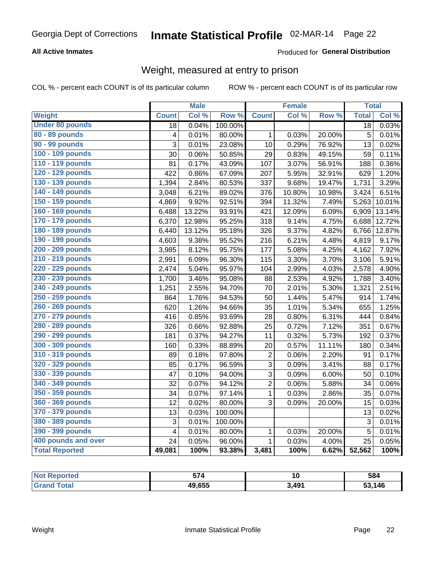### **All Active Inmates**

### Produced for General Distribution

### Weight, measured at entry to prison

COL % - percent each COUNT is of its particular column

|                        |                         | <b>Male</b> |                  |                | <b>Female</b> |        | <b>Total</b> |                     |
|------------------------|-------------------------|-------------|------------------|----------------|---------------|--------|--------------|---------------------|
| <b>Weight</b>          | <b>Count</b>            | Col %       | Row <sup>%</sup> | <b>Count</b>   | Col %         | Row %  | <b>Total</b> | Col %               |
| <b>Under 80 pounds</b> | 18                      | 0.04%       | 100.00%          |                |               |        | 18           | 0.03%               |
| 80 - 89 pounds         | 4                       | 0.01%       | 80.00%           | $\mathbf{1}$   | 0.03%         | 20.00% | 5            | 0.01%               |
| 90 - 99 pounds         | 3                       | 0.01%       | 23.08%           | 10             | 0.29%         | 76.92% | 13           | 0.02%               |
| 100 - 109 pounds       | 30                      | 0.06%       | 50.85%           | 29             | 0.83%         | 49.15% | 59           | 0.11%               |
| 110 - 119 pounds       | 81                      | 0.17%       | 43.09%           | 107            | 3.07%         | 56.91% | 188          | 0.36%               |
| 120 - 129 pounds       | 422                     | 0.86%       | 67.09%           | 207            | 5.95%         | 32.91% | 629          | 1.20%               |
| 130 - 139 pounds       | 1,394                   | 2.84%       | 80.53%           | 337            | 9.68%         | 19.47% | 1,731        | 3.29%               |
| 140 - 149 pounds       | 3,048                   | 6.21%       | 89.02%           | 376            | 10.80%        | 10.98% | 3,424        | 6.51%               |
| 150 - 159 pounds       | 4,869                   | 9.92%       | 92.51%           | 394            | 11.32%        | 7.49%  | 5,263        | 10.01%              |
| 160 - 169 pounds       | 6,488                   | 13.22%      | 93.91%           | 421            | 12.09%        | 6.09%  | 6,909        | 13.14%              |
| 170 - 179 pounds       | 6,370                   | 12.98%      | 95.25%           | 318            | 9.14%         | 4.75%  | 6,688        | 12.72%              |
| 180 - 189 pounds       | 6,440                   | 13.12%      | 95.18%           | 326            | 9.37%         | 4.82%  | 6,766        | 12.87%              |
| 190 - 199 pounds       | 4,603                   | 9.38%       | 95.52%           | 216            | 6.21%         | 4.48%  | 4,819        | 9.17%               |
| 200 - 209 pounds       | 3,985                   | 8.12%       | 95.75%           | 177            | 5.08%         | 4.25%  | 4,162        | 7.92%               |
| 210 - 219 pounds       | 2,991                   | 6.09%       | 96.30%           | 115            | 3.30%         | 3.70%  | 3,106        | 5.91%               |
| 220 - 229 pounds       | 2,474                   | 5.04%       | 95.97%           | 104            | 2.99%         | 4.03%  | 2,578        | 4.90%               |
| 230 - 239 pounds       | 1,700                   | 3.46%       | 95.08%           | 88             | 2.53%         | 4.92%  | 1,788        | 3.40%               |
| 240 - 249 pounds       | 1,251                   | 2.55%       | 94.70%           | 70             | 2.01%         | 5.30%  | 1,321        | 2.51%               |
| 250 - 259 pounds       | 864                     | 1.76%       | 94.53%           | 50             | 1.44%         | 5.47%  | 914          | 1.74%               |
| 260 - 269 pounds       | 620                     | 1.26%       | 94.66%           | 35             | 1.01%         | 5.34%  | 655          | 1.25%               |
| 270 - 279 pounds       | 416                     | 0.85%       | 93.69%           | 28             | 0.80%         | 6.31%  | 444          | 0.84%               |
| 280 - 289 pounds       | 326                     | 0.66%       | 92.88%           | 25             | 0.72%         | 7.12%  | 351          | 0.67%               |
| 290 - 299 pounds       | 181                     | 0.37%       | 94.27%           | 11             | 0.32%         | 5.73%  | 192          | 0.37%               |
| 300 - 309 pounds       | 160                     | 0.33%       | 88.89%           | 20             | 0.57%         | 11.11% | 180          | $\overline{0.34\%}$ |
| 310 - 319 pounds       | 89                      | 0.18%       | 97.80%           | $\overline{c}$ | 0.06%         | 2.20%  | 91           | 0.17%               |
| 320 - 329 pounds       | 85                      | 0.17%       | 96.59%           | 3              | 0.09%         | 3.41%  | 88           | 0.17%               |
| 330 - 339 pounds       | 47                      | 0.10%       | 94.00%           | 3              | 0.09%         | 6.00%  | 50           | 0.10%               |
| 340 - 349 pounds       | 32                      | 0.07%       | 94.12%           | $\overline{2}$ | 0.06%         | 5.88%  | 34           | 0.06%               |
| 350 - 359 pounds       | 34                      | 0.07%       | 97.14%           | $\mathbf{1}$   | 0.03%         | 2.86%  | 35           | 0.07%               |
| 360 - 369 pounds       | 12                      | 0.02%       | 80.00%           | 3              | 0.09%         | 20.00% | 15           | 0.03%               |
| 370 - 379 pounds       | 13                      | 0.03%       | 100.00%          |                |               |        | 13           | 0.02%               |
| 380 - 389 pounds       | 3                       | 0.01%       | 100.00%          |                |               |        | 3            | 0.01%               |
| 390 - 399 pounds       | $\overline{\mathbf{4}}$ | 0.01%       | 80.00%           | $\mathbf 1$    | 0.03%         | 20.00% | 5            | 0.01%               |
| 400 pounds and over    | 24                      | 0.05%       | 96.00%           | $\mathbf{1}$   | 0.03%         | 4.00%  | 25           | 0.05%               |
| <b>Total Reported</b>  | 49,081                  | 100%        | 93.38%           | 3,481          | 100%          | 6.62%  | 52,562       | 100%                |

| <b>Not</b><br>ported<br>. NGF | $- -$  |                         | 584    |
|-------------------------------|--------|-------------------------|--------|
| ⊺ota⊾                         | 49,655 | <b>AQ1</b><br><b>TV</b> | 53,146 |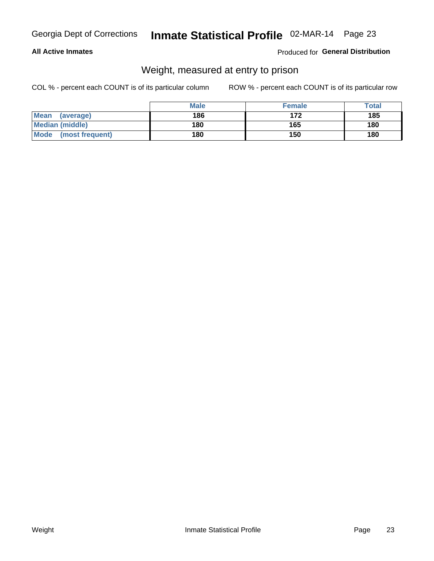#### **All Active Inmates**

#### Produced for General Distribution

### Weight, measured at entry to prison

COL % - percent each COUNT is of its particular column

|                          | <b>Male</b> | <b>Female</b> | Total |
|--------------------------|-------------|---------------|-------|
| <b>Mean</b><br>(average) | 186         | 172           | 185   |
| <b>Median (middle)</b>   | 180         | 165           | 180   |
| Mode<br>(most frequent)  | 180         | 150           | 180   |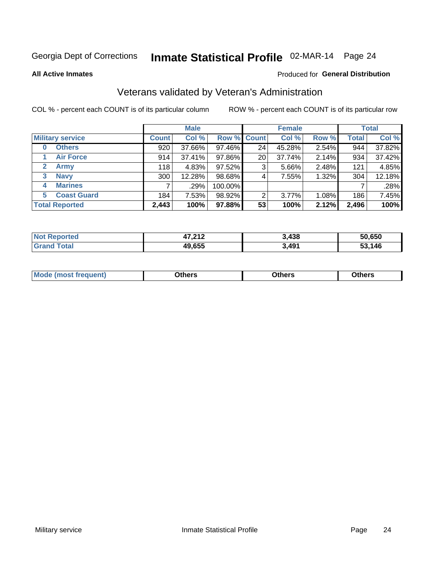**All Active Inmates** 

# Inmate Statistical Profile 02-MAR-14 Page 24

#### Produced for General Distribution

### Veterans validated by Veteran's Administration

COL % - percent each COUNT is of its particular column

|                          | <b>Male</b>  |        |             | <b>Female</b> |        |       | <b>Total</b> |        |
|--------------------------|--------------|--------|-------------|---------------|--------|-------|--------------|--------|
| <b>Military service</b>  | <b>Count</b> | Col %  | Row % Count |               | Col %  | Row % | <b>Total</b> | Col %  |
| <b>Others</b><br>0       | 920          | 37.66% | 97.46%      | 24            | 45.28% | 2.54% | 944          | 37.82% |
| <b>Air Force</b>         | 914          | 37.41% | 97.86%      | 20            | 37.74% | 2.14% | 934          | 37.42% |
| 2<br><b>Army</b>         | 118          | 4.83%  | 97.52%      | 3             | 5.66%  | 2.48% | 121          | 4.85%  |
| <b>Navy</b><br>3         | 300          | 12.28% | 98.68%      | 4             | 7.55%  | 1.32% | 304          | 12.18% |
| <b>Marines</b><br>4      |              | .29%   | 100.00%     |               |        |       |              | .28%   |
| <b>Coast Guard</b><br>5. | 184          | 7.53%  | 98.92%      | 2             | 3.77%  | 1.08% | 186          | 7.45%  |
| <b>Total Reported</b>    | 2,443        | 100%   | 97.88%      | 53            | 100%   | 2.12% | 2,496        | 100%   |

| rted<br><b>NOT</b> | 17 71 7<br>4 I 4 | 3,438 | 50.650 |
|--------------------|------------------|-------|--------|
| $-1$               | 49,655           | 3,491 | .146   |

|  |  | <b>Mode</b><br>quent)<br>most trea | <b>Dthers</b> | Others | Others |
|--|--|------------------------------------|---------------|--------|--------|
|--|--|------------------------------------|---------------|--------|--------|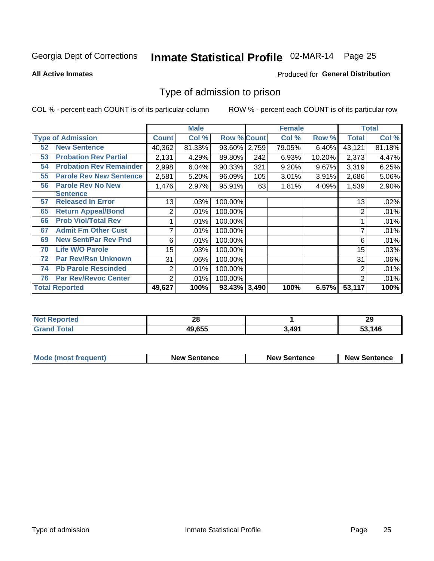# Inmate Statistical Profile 02-MAR-14 Page 25

**All Active Inmates** 

#### Produced for General Distribution

### Type of admission to prison

COL % - percent each COUNT is of its particular column

|    |                                |                | <b>Male</b> |                    |     | <b>Female</b> |        |        | <b>Total</b> |
|----|--------------------------------|----------------|-------------|--------------------|-----|---------------|--------|--------|--------------|
|    | <b>Type of Admission</b>       | <b>Count</b>   | Col %       | <b>Row % Count</b> |     | Col %         | Row %  | Total  | Col %        |
| 52 | <b>New Sentence</b>            | 40,362         | 81.33%      | 93.60% 2,759       |     | 79.05%        | 6.40%  | 43,121 | 81.18%       |
| 53 | <b>Probation Rev Partial</b>   | 2,131          | 4.29%       | 89.80%             | 242 | 6.93%         | 10.20% | 2,373  | 4.47%        |
| 54 | <b>Probation Rev Remainder</b> | 2,998          | 6.04%       | 90.33%             | 321 | 9.20%         | 9.67%  | 3,319  | 6.25%        |
| 55 | <b>Parole Rev New Sentence</b> | 2,581          | 5.20%       | 96.09%             | 105 | 3.01%         | 3.91%  | 2,686  | 5.06%        |
| 56 | <b>Parole Rev No New</b>       | 1,476          | 2.97%       | 95.91%             | 63  | 1.81%         | 4.09%  | 1,539  | 2.90%        |
|    | <b>Sentence</b>                |                |             |                    |     |               |        |        |              |
| 57 | <b>Released In Error</b>       | 13             | .03%        | 100.00%            |     |               |        | 13     | .02%         |
| 65 | <b>Return Appeal/Bond</b>      | 2              | .01%        | 100.00%            |     |               |        | 2      | .01%         |
| 66 | <b>Prob Viol/Total Rev</b>     |                | .01%        | 100.00%            |     |               |        |        | .01%         |
| 67 | <b>Admit Fm Other Cust</b>     | 7              | .01%        | 100.00%            |     |               |        | 7      | .01%         |
| 69 | <b>New Sent/Par Rev Pnd</b>    | 6              | .01%        | 100.00%            |     |               |        | 6      | .01%         |
| 70 | <b>Life W/O Parole</b>         | 15             | .03%        | 100.00%            |     |               |        | 15     | .03%         |
| 72 | <b>Par Rev/Rsn Unknown</b>     | 31             | .06%        | 100.00%            |     |               |        | 31     | .06%         |
| 74 | <b>Pb Parole Rescinded</b>     | 2              | .01%        | 100.00%            |     |               |        | 2      | .01%         |
| 76 | <b>Par Rev/Revoc Center</b>    | $\overline{2}$ | .01%        | 100.00%            |     |               |        | 2      | .01%         |
|    | <b>Total Reported</b>          | 49,627         | 100%        | 93.43% 3,490       |     | 100%          | 6.57%  | 53,117 | 100%         |

| N0 | . .<br>Zυ |       | 20<br>29 |
|----|-----------|-------|----------|
|    | 49,655    | 3.491 | 53,146   |

| Mode (most frequent) | <b>New Sentence</b> | <b>New Sentence</b> | <b>New Sentence</b> |
|----------------------|---------------------|---------------------|---------------------|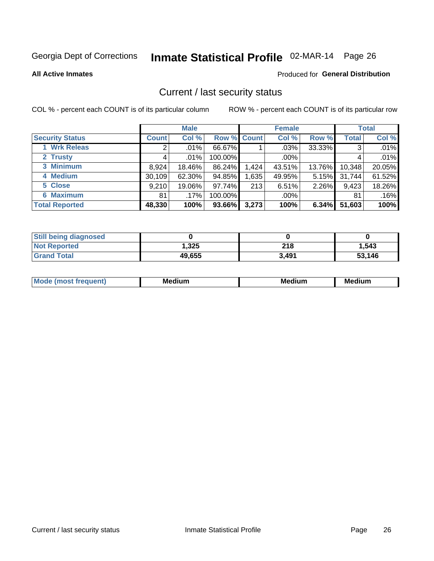# Inmate Statistical Profile 02-MAR-14 Page 26

**All Active Inmates** 

#### Produced for General Distribution

### Current / last security status

COL % - percent each COUNT is of its particular column

|                        |              | <b>Male</b> |             |       | <b>Female</b> |        |              | <b>Total</b> |
|------------------------|--------------|-------------|-------------|-------|---------------|--------|--------------|--------------|
| <b>Security Status</b> | <b>Count</b> | Col %       | Row % Count |       | Col %         | Row %  | <b>Total</b> | Col %        |
| 1 Wrk Releas           | 2            | $.01\%$     | 66.67%      |       | $.03\%$       | 33.33% | 3            | .01%         |
| 2 Trusty               |              | .01%        | 100.00%     |       | $.00\%$       |        |              | .01%         |
| 3 Minimum              | 8,924        | 18.46%      | 86.24%      | 1,424 | 43.51%        | 13.76% | 10,348       | 20.05%       |
| 4 Medium               | 30,109       | 62.30%      | 94.85%      | ,635  | 49.95%        | 5.15%  | 31,744       | 61.52%       |
| 5 Close                | 9,210        | 19.06%      | 97.74%      | 213   | 6.51%         | 2.26%  | 9,423        | 18.26%       |
| <b>6 Maximum</b>       | 81           | .17%        | 100.00%     |       | $.00\%$       |        | 81           | .16%         |
| <b>Total Reported</b>  | 48,330       | 100%        | 93.66%      | 3,273 | 100%          | 6.34%  | 51,603       | 100%         |

| <b>Still being diagnosed</b> |        |       |        |
|------------------------------|--------|-------|--------|
| <b>Not Reported</b>          | 1,325  | 218   | 1.543  |
| <b>Grand Total</b>           | 49,655 | 3.491 | 53,146 |

| <b>Mo</b><br>ети | M<br>. .<br>dium | M٢<br>. | <br><b>Medium</b> |
|------------------|------------------|---------|-------------------|
|                  |                  |         |                   |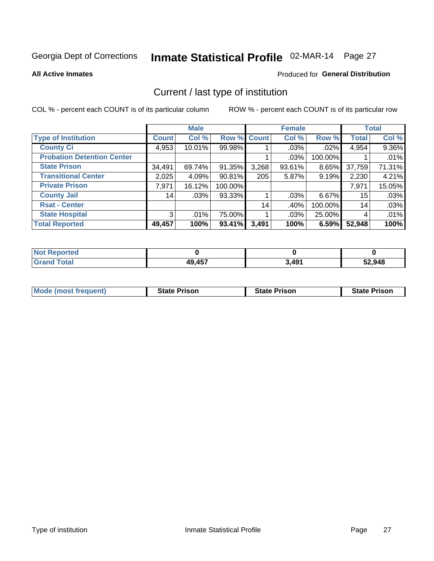# Inmate Statistical Profile 02-MAR-14 Page 27

**All Active Inmates** 

### **Produced for General Distribution**

### Current / last type of institution

COL % - percent each COUNT is of its particular column

|                                   |              | <b>Male</b> |             |       | <b>Female</b> |          |              | <b>Total</b> |
|-----------------------------------|--------------|-------------|-------------|-------|---------------|----------|--------------|--------------|
| <b>Type of Institution</b>        | <b>Count</b> | Col %       | Row % Count |       | Col %         | Row %    | <b>Total</b> | Col %        |
| <b>County Ci</b>                  | 4,953        | 10.01%      | 99.98%      |       | $.03\%$       | $.02\%$  | 4,954        | 9.36%        |
| <b>Probation Detention Center</b> |              |             |             |       | .03%          | 100.00%  |              | .01%         |
| <b>State Prison</b>               | 34,491       | 69.74%      | 91.35%      | 3,268 | $93.61\%$     | $8.65\%$ | 37,759       | 71.31%       |
| <b>Transitional Center</b>        | 2,025        | 4.09%       | 90.81%      | 205   | 5.87%         | 9.19%    | 2,230        | 4.21%        |
| <b>Private Prison</b>             | 7,971        | 16.12%      | 100.00%     |       |               |          | 7,971        | 15.05%       |
| <b>County Jail</b>                | 14           | .03%        | 93.33%      |       | $.03\%$       | $6.67\%$ | 15           | .03%         |
| <b>Rsat - Center</b>              |              |             |             | 14    | .40%          | 100.00%  | 14           | .03%         |
| <b>State Hospital</b>             | 3            | .01%        | 75.00%      |       | $.03\%$       | 25.00%   | 4            | .01%         |
| <b>Total Reported</b>             | 49,457       | 100%        | 93.41%      | 3,491 | 100%          | 6.59%    | 52,948       | 100%         |

| <b>Not Reported</b> |        |       |        |  |  |
|---------------------|--------|-------|--------|--|--|
| <b>Grand Total</b>  | 49,457 | 3,491 | 52,948 |  |  |

| Mode (most frequent) | <b>State Prison</b> | <b>State Prison</b> | <b>State Prison</b> |
|----------------------|---------------------|---------------------|---------------------|
|                      |                     |                     |                     |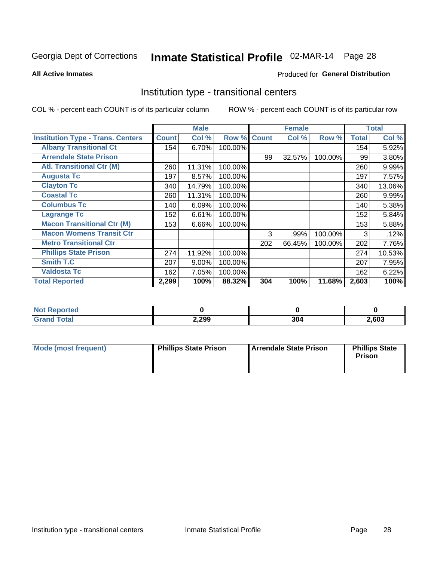# Inmate Statistical Profile 02-MAR-14 Page 28

**All Active Inmates** 

#### Produced for General Distribution

### Institution type - transitional centers

COL % - percent each COUNT is of its particular column

|                                          |              | <b>Male</b> |         |              | <b>Female</b> |         |              | <b>Total</b> |
|------------------------------------------|--------------|-------------|---------|--------------|---------------|---------|--------------|--------------|
| <b>Institution Type - Trans. Centers</b> | <b>Count</b> | Col %       | Row %   | <b>Count</b> | Col %         | Row %   | <b>Total</b> | Col %        |
| <b>Albany Transitional Ct</b>            | 154          | 6.70%       | 100.00% |              |               |         | 154          | 5.92%        |
| <b>Arrendale State Prison</b>            |              |             |         | 99           | 32.57%        | 100.00% | 99           | 3.80%        |
| <b>Atl. Transitional Ctr (M)</b>         | 260          | 11.31%      | 100.00% |              |               |         | 260          | 9.99%        |
| <b>Augusta Tc</b>                        | 197          | 8.57%       | 100.00% |              |               |         | 197          | 7.57%        |
| <b>Clayton Tc</b>                        | 340          | 14.79%      | 100.00% |              |               |         | 340          | 13.06%       |
| <b>Coastal Tc</b>                        | 260          | 11.31%      | 100.00% |              |               |         | 260          | 9.99%        |
| <b>Columbus Tc</b>                       | 140          | 6.09%       | 100.00% |              |               |         | 140          | 5.38%        |
| <b>Lagrange Tc</b>                       | 152          | 6.61%       | 100.00% |              |               |         | 152          | 5.84%        |
| <b>Macon Transitional Ctr (M)</b>        | 153          | 6.66%       | 100.00% |              |               |         | 153          | 5.88%        |
| <b>Macon Womens Transit Ctr</b>          |              |             |         | 3            | .99%          | 100.00% | 3            | .12%         |
| <b>Metro Transitional Ctr</b>            |              |             |         | 202          | 66.45%        | 100.00% | 202          | 7.76%        |
| <b>Phillips State Prison</b>             | 274          | 11.92%      | 100.00% |              |               |         | 274          | 10.53%       |
| Smith T.C                                | 207          | 9.00%       | 100.00% |              |               |         | 207          | 7.95%        |
| <b>Valdosta Tc</b>                       | 162          | 7.05%       | 100.00% |              |               |         | 162          | 6.22%        |
| <b>Total Reported</b>                    | 2,299        | 100%        | 88.32%  | 304          | 100%          | 11.68%  | 2,603        | 100%         |

| orted |       |     |      |
|-------|-------|-----|------|
|       | 2,299 | 304 | ,603 |

| Mode (most frequent) | <b>Phillips State Prison</b> | Arrendale State Prison | <b>Phillips State</b><br>Prison |
|----------------------|------------------------------|------------------------|---------------------------------|
|                      |                              |                        |                                 |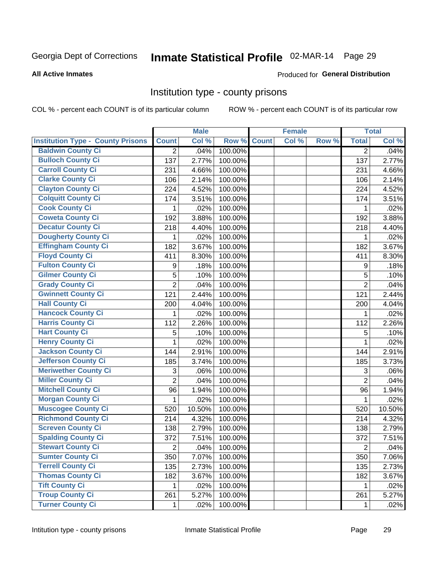# Inmate Statistical Profile 02-MAR-14 Page 29

#### **All Active Inmates**

### **Produced for General Distribution**

### Institution type - county prisons

COL % - percent each COUNT is of its particular column

|                                          |                | <b>Male</b> |         |              | <b>Female</b> |       |                | <b>Total</b> |
|------------------------------------------|----------------|-------------|---------|--------------|---------------|-------|----------------|--------------|
| <b>Institution Type - County Prisons</b> | <b>Count</b>   | Col %       | Row %   | <b>Count</b> | Col %         | Row % | <b>Total</b>   | Col %        |
| <b>Baldwin County Ci</b>                 | $\overline{2}$ | .04%        | 100.00% |              |               |       | $\overline{2}$ | .04%         |
| <b>Bulloch County Ci</b>                 | 137            | 2.77%       | 100.00% |              |               |       | 137            | 2.77%        |
| <b>Carroll County Ci</b>                 | 231            | 4.66%       | 100.00% |              |               |       | 231            | 4.66%        |
| <b>Clarke County Ci</b>                  | 106            | 2.14%       | 100.00% |              |               |       | 106            | 2.14%        |
| <b>Clayton County Ci</b>                 | 224            | 4.52%       | 100.00% |              |               |       | 224            | 4.52%        |
| <b>Colquitt County Ci</b>                | 174            | 3.51%       | 100.00% |              |               |       | 174            | 3.51%        |
| <b>Cook County Ci</b>                    | 1              | .02%        | 100.00% |              |               |       | 1              | .02%         |
| <b>Coweta County Ci</b>                  | 192            | 3.88%       | 100.00% |              |               |       | 192            | 3.88%        |
| <b>Decatur County Ci</b>                 | 218            | 4.40%       | 100.00% |              |               |       | 218            | 4.40%        |
| Dougherty County Ci                      | 1              | .02%        | 100.00% |              |               |       | 1              | .02%         |
| <b>Effingham County Ci</b>               | 182            | 3.67%       | 100.00% |              |               |       | 182            | 3.67%        |
| <b>Floyd County Ci</b>                   | 411            | 8.30%       | 100.00% |              |               |       | 411            | 8.30%        |
| <b>Fulton County Ci</b>                  | 9              | .18%        | 100.00% |              |               |       | 9              | .18%         |
| <b>Gilmer County Ci</b>                  | 5              | .10%        | 100.00% |              |               |       | 5              | .10%         |
| <b>Grady County Ci</b>                   | $\overline{2}$ | .04%        | 100.00% |              |               |       | $\overline{2}$ | .04%         |
| <b>Gwinnett County Ci</b>                | 121            | 2.44%       | 100.00% |              |               |       | 121            | 2.44%        |
| <b>Hall County Ci</b>                    | 200            | 4.04%       | 100.00% |              |               |       | 200            | 4.04%        |
| <b>Hancock County Ci</b>                 | 1              | .02%        | 100.00% |              |               |       | 1              | .02%         |
| <b>Harris County Ci</b>                  | 112            | 2.26%       | 100.00% |              |               |       | 112            | 2.26%        |
| <b>Hart County Ci</b>                    | 5              | .10%        | 100.00% |              |               |       | 5              | .10%         |
| <b>Henry County Ci</b>                   | 1              | .02%        | 100.00% |              |               |       | $\mathbf{1}$   | .02%         |
| <b>Jackson County Ci</b>                 | 144            | 2.91%       | 100.00% |              |               |       | 144            | 2.91%        |
| Jefferson County Ci                      | 185            | 3.74%       | 100.00% |              |               |       | 185            | 3.73%        |
| <b>Meriwether County Ci</b>              | 3              | .06%        | 100.00% |              |               |       | 3              | .06%         |
| <b>Miller County Ci</b>                  | $\overline{2}$ | .04%        | 100.00% |              |               |       | $\overline{2}$ | .04%         |
| <b>Mitchell County Ci</b>                | 96             | 1.94%       | 100.00% |              |               |       | 96             | 1.94%        |
| <b>Morgan County Ci</b>                  | 1              | .02%        | 100.00% |              |               |       | 1              | .02%         |
| <b>Muscogee County Ci</b>                | 520            | 10.50%      | 100.00% |              |               |       | 520            | 10.50%       |
| <b>Richmond County Ci</b>                | 214            | 4.32%       | 100.00% |              |               |       | 214            | 4.32%        |
| <b>Screven County Ci</b>                 | 138            | 2.79%       | 100.00% |              |               |       | 138            | 2.79%        |
| <b>Spalding County Ci</b>                | 372            | 7.51%       | 100.00% |              |               |       | 372            | 7.51%        |
| <b>Stewart County Ci</b>                 | $\overline{c}$ | .04%        | 100.00% |              |               |       | $\overline{c}$ | .04%         |
| <b>Sumter County Ci</b>                  | 350            | 7.07%       | 100.00% |              |               |       | 350            | 7.06%        |
| <b>Terrell County Ci</b>                 | 135            | 2.73%       | 100.00% |              |               |       | 135            | 2.73%        |
| <b>Thomas County Ci</b>                  | 182            | 3.67%       | 100.00% |              |               |       | 182            | 3.67%        |
| <b>Tift County Ci</b>                    | 1.             | .02%        | 100.00% |              |               |       | 1              | .02%         |
| <b>Troup County Ci</b>                   | 261            | 5.27%       | 100.00% |              |               |       | 261            | 5.27%        |
| <b>Turner County Ci</b>                  | $\mathbf 1$    | .02%        | 100.00% |              |               |       | 1              | .02%         |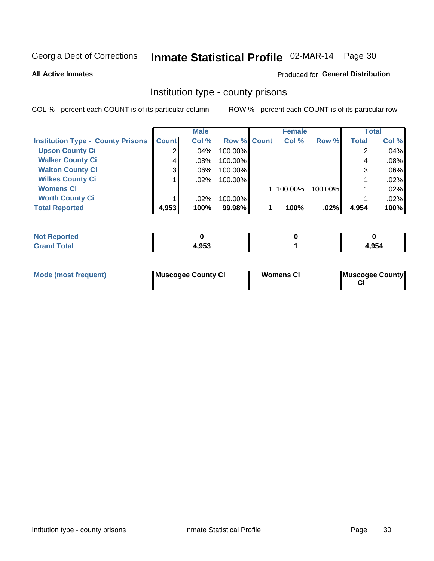# Inmate Statistical Profile 02-MAR-14 Page 30

**All Active Inmates** 

### **Produced for General Distribution**

### Institution type - county prisons

COL % - percent each COUNT is of its particular column

|                                          |              | <b>Male</b> |             | <b>Female</b> |         |              | <b>Total</b> |
|------------------------------------------|--------------|-------------|-------------|---------------|---------|--------------|--------------|
| <b>Institution Type - County Prisons</b> | <b>Count</b> | Col %       | Row % Count | Col %         | Row %   | <b>Total</b> | Col %        |
| <b>Upson County Ci</b>                   | 2            | $.04\%$     | 100.00%     |               |         |              | .04%         |
| <b>Walker County Ci</b>                  | 4            | $.08\%$     | 100.00%     |               |         |              | .08%         |
| <b>Walton County Ci</b>                  | 3            | $.06\%$     | 100.00%     |               |         |              | .06%         |
| <b>Wilkes County Ci</b>                  |              | .02%        | 100.00%     |               |         |              | .02%         |
| <b>Womens Ci</b>                         |              |             |             | 100.00%       | 100.00% |              | .02%         |
| <b>Worth County Ci</b>                   |              | $.02\%$     | 100.00%     |               |         |              | .02%         |
| <b>Total Reported</b>                    | 4,953        | 100%        | 99.98%      | 100%          | $.02\%$ | 4,954        | 100%         |

| <b>Reported</b><br><b>NOT</b> |       |       |
|-------------------------------|-------|-------|
| <b>Total</b>                  | 4,953 | 4,954 |

| <b>Mode (most frequent)</b> | Muscogee County Ci | <b>Womens Ci</b> | Muscogee County |
|-----------------------------|--------------------|------------------|-----------------|
|-----------------------------|--------------------|------------------|-----------------|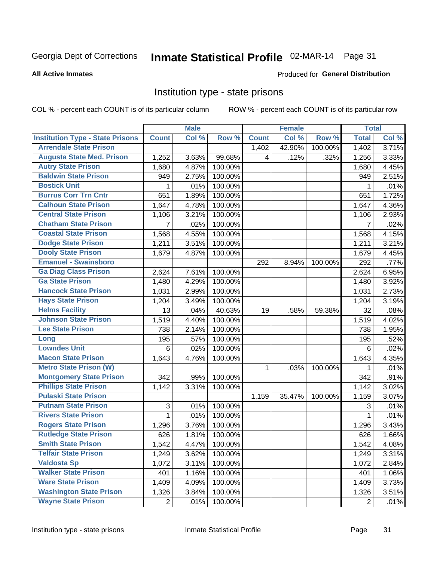# Inmate Statistical Profile 02-MAR-14 Page 31

**All Active Inmates** 

#### Produced for General Distribution

### Institution type - state prisons

COL % - percent each COUNT is of its particular column

|                                         |                | <b>Male</b> |         |              | <b>Female</b> |         | <b>Total</b>   |       |
|-----------------------------------------|----------------|-------------|---------|--------------|---------------|---------|----------------|-------|
| <b>Institution Type - State Prisons</b> | <b>Count</b>   | Col %       | Row %   | <b>Count</b> | Col %         | Row %   | <b>Total</b>   | Col % |
| <b>Arrendale State Prison</b>           |                |             |         | 1,402        | 42.90%        | 100.00% | 1,402          | 3.71% |
| <b>Augusta State Med. Prison</b>        | 1,252          | 3.63%       | 99.68%  | 4            | .12%          | .32%    | 1,256          | 3.33% |
| <b>Autry State Prison</b>               | 1,680          | 4.87%       | 100.00% |              |               |         | 1,680          | 4.45% |
| <b>Baldwin State Prison</b>             | 949            | 2.75%       | 100.00% |              |               |         | 949            | 2.51% |
| <b>Bostick Unit</b>                     | 1              | .01%        | 100.00% |              |               |         | 1              | .01%  |
| <b>Burrus Corr Trn Cntr</b>             | 651            | 1.89%       | 100.00% |              |               |         | 651            | 1.72% |
| <b>Calhoun State Prison</b>             | 1,647          | 4.78%       | 100.00% |              |               |         | 1,647          | 4.36% |
| <b>Central State Prison</b>             | 1,106          | 3.21%       | 100.00% |              |               |         | 1,106          | 2.93% |
| <b>Chatham State Prison</b>             | 7              | .02%        | 100.00% |              |               |         | 7              | .02%  |
| <b>Coastal State Prison</b>             | 1,568          | 4.55%       | 100.00% |              |               |         | 1,568          | 4.15% |
| <b>Dodge State Prison</b>               | 1,211          | 3.51%       | 100.00% |              |               |         | 1,211          | 3.21% |
| <b>Dooly State Prison</b>               | 1,679          | 4.87%       | 100.00% |              |               |         | 1,679          | 4.45% |
| <b>Emanuel - Swainsboro</b>             |                |             |         | 292          | 8.94%         | 100.00% | 292            | .77%  |
| <b>Ga Diag Class Prison</b>             | 2,624          | 7.61%       | 100.00% |              |               |         | 2,624          | 6.95% |
| <b>Ga State Prison</b>                  | 1,480          | 4.29%       | 100.00% |              |               |         | 1,480          | 3.92% |
| <b>Hancock State Prison</b>             | 1,031          | 2.99%       | 100.00% |              |               |         | 1,031          | 2.73% |
| <b>Hays State Prison</b>                | 1,204          | 3.49%       | 100.00% |              |               |         | 1,204          | 3.19% |
| <b>Helms Facility</b>                   | 13             | .04%        | 40.63%  | 19           | .58%          | 59.38%  | 32             | .08%  |
| <b>Johnson State Prison</b>             | 1,519          | 4.40%       | 100.00% |              |               |         | 1,519          | 4.02% |
| <b>Lee State Prison</b>                 | 738            | 2.14%       | 100.00% |              |               |         | 738            | 1.95% |
| Long                                    | 195            | .57%        | 100.00% |              |               |         | 195            | .52%  |
| <b>Lowndes Unit</b>                     | 6              | .02%        | 100.00% |              |               |         | 6              | .02%  |
| <b>Macon State Prison</b>               | 1,643          | 4.76%       | 100.00% |              |               |         | 1,643          | 4.35% |
| <b>Metro State Prison (W)</b>           |                |             |         | $\mathbf{1}$ | .03%          | 100.00% | 1              | .01%  |
| <b>Montgomery State Prison</b>          | 342            | .99%        | 100.00% |              |               |         | 342            | .91%  |
| <b>Phillips State Prison</b>            | 1,142          | 3.31%       | 100.00% |              |               |         | 1,142          | 3.02% |
| <b>Pulaski State Prison</b>             |                |             |         | 1,159        | 35.47%        | 100.00% | 1,159          | 3.07% |
| <b>Putnam State Prison</b>              | 3              | .01%        | 100.00% |              |               |         | 3              | .01%  |
| <b>Rivers State Prison</b>              | $\mathbf{1}$   | .01%        | 100.00% |              |               |         | 1              | .01%  |
| <b>Rogers State Prison</b>              | 1,296          | 3.76%       | 100.00% |              |               |         | 1,296          | 3.43% |
| <b>Rutledge State Prison</b>            | 626            | 1.81%       | 100.00% |              |               |         | 626            | 1.66% |
| <b>Smith State Prison</b>               | 1,542          | 4.47%       | 100.00% |              |               |         | 1,542          | 4.08% |
| <b>Telfair State Prison</b>             | 1,249          | 3.62%       | 100.00% |              |               |         | 1,249          | 3.31% |
| <b>Valdosta Sp</b>                      | 1,072          | 3.11%       | 100.00% |              |               |         | 1,072          | 2.84% |
| <b>Walker State Prison</b>              | 401            | 1.16%       | 100.00% |              |               |         | 401            | 1.06% |
| <b>Ware State Prison</b>                | 1,409          | 4.09%       | 100.00% |              |               |         | 1,409          | 3.73% |
| <b>Washington State Prison</b>          | 1,326          | 3.84%       | 100.00% |              |               |         | 1,326          | 3.51% |
| <b>Wayne State Prison</b>               | $\overline{2}$ | .01%        | 100.00% |              |               |         | $\overline{2}$ | .01%  |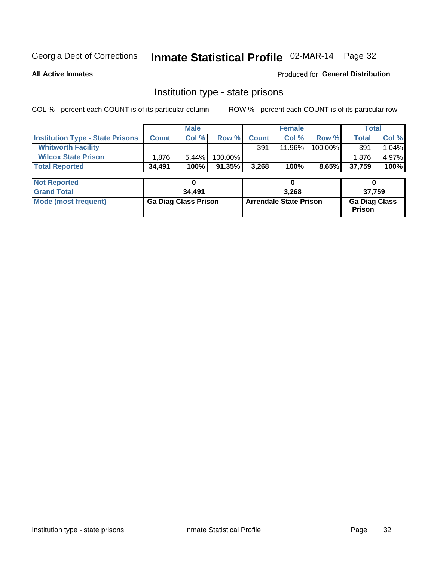# Inmate Statistical Profile 02-MAR-14 Page 32

**All Active Inmates** 

Produced for General Distribution

### Institution type - state prisons

COL % - percent each COUNT is of its particular column

|                                         | <b>Male</b>                 |        | <b>Female</b>                 |              |        | <b>Total</b>                          |        |        |  |
|-----------------------------------------|-----------------------------|--------|-------------------------------|--------------|--------|---------------------------------------|--------|--------|--|
| <b>Institution Type - State Prisons</b> | <b>Count</b>                | Col %  | Row %                         | <b>Count</b> | Col %  | Row %                                 | Total  | Col %  |  |
| <b>Whitworth Facility</b>               |                             |        |                               | 391          | 11.96% | 100.00%                               | 391    | 1.04%  |  |
| <b>Wilcox State Prison</b>              | 1,876                       | 5.44%  | 100.00%                       |              |        |                                       | 1.876  | 4.97%  |  |
| <b>Total Reported</b>                   | 34,491                      | 100%   | 91.35%                        | 3,268        | 100%   | 8.65%                                 | 37,759 | 100%   |  |
|                                         |                             |        |                               |              |        |                                       |        |        |  |
| <b>Not Reported</b>                     |                             | 0      |                               |              | 0      |                                       | 0      |        |  |
| <b>Grand Total</b>                      |                             | 34,491 |                               |              | 3,268  |                                       |        | 37,759 |  |
| <b>Mode (most frequent)</b>             | <b>Ga Diag Class Prison</b> |        | <b>Arrendale State Prison</b> |              |        | <b>Ga Diag Class</b><br><b>Prison</b> |        |        |  |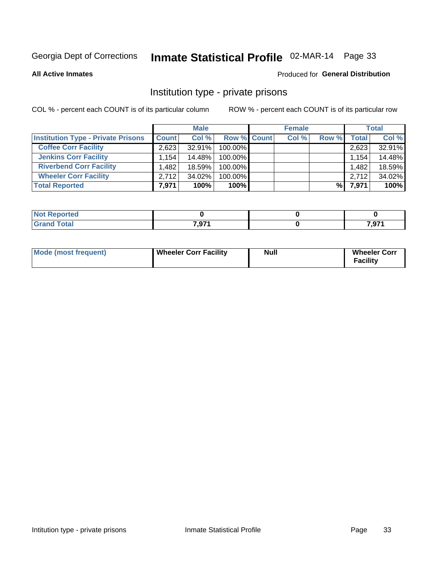# Inmate Statistical Profile 02-MAR-14 Page 33

**All Active Inmates** 

#### Produced for General Distribution

### Institution type - private prisons

COL % - percent each COUNT is of its particular column

|                                           | <b>Male</b>          |           |                    | <b>Female</b> |       |       | <b>Total</b> |  |
|-------------------------------------------|----------------------|-----------|--------------------|---------------|-------|-------|--------------|--|
| <b>Institution Type - Private Prisons</b> | <b>Count</b>         | Col %     | <b>Row % Count</b> | Col %         | Row % | Total | Col %        |  |
| <b>Coffee Corr Facility</b>               | 2.623                | 32.91%    | 100.00%            |               |       | 2,623 | 32.91%       |  |
| <b>Jenkins Corr Facility</b>              | $1.154$ <sup>1</sup> | 14.48%    | 100.00%            |               |       | 1,154 | 14.48%       |  |
| <b>Riverbend Corr Facility</b>            | .482                 | 18.59%    | 100.00%            |               |       | 1,482 | 18.59%       |  |
| <b>Wheeler Corr Facility</b>              | 2,712                | $34.02\%$ | 100.00%            |               |       | 2,712 | 34.02%       |  |
| <b>Total Reported</b>                     | 7,971                | 100%      | $100\%$            |               | %     | 7,971 | 100%         |  |

| Reported    |       |          |
|-------------|-------|----------|
| <b>otal</b> | 7.074 | 7.074    |
|             | ו ופ, | . ו כ, י |

| Mode (most frequent) | <b>Wheeler Corr Facility</b> | <b>Null</b> | <b>Wheeler Corr</b><br><b>Facility</b> |
|----------------------|------------------------------|-------------|----------------------------------------|
|----------------------|------------------------------|-------------|----------------------------------------|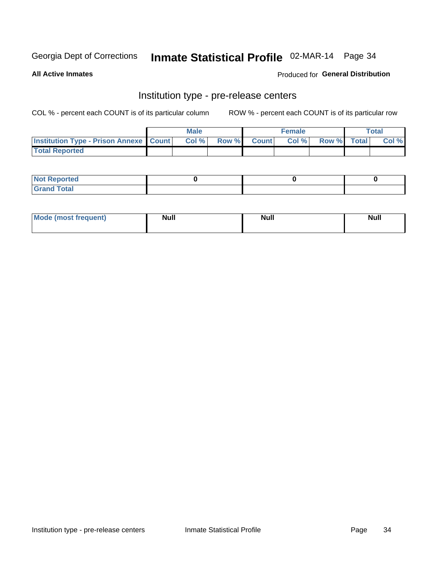# Inmate Statistical Profile 02-MAR-14 Page 34

**All Active Inmates** 

Produced for General Distribution

# Institution type - pre-release centers

COL % - percent each COUNT is of its particular column

|                                                   | <b>Male</b> |                    | <b>Female</b> |             | <b>Total</b> |
|---------------------------------------------------|-------------|--------------------|---------------|-------------|--------------|
| <b>Institution Type - Prison Annexe   Count  </b> | Col %       | <b>Row % Count</b> | Col %         | Row % Total | Col %        |
| <b>Total Reported</b>                             |             |                    |               |             |              |

| <b>Reported</b><br>I NOT |  |  |
|--------------------------|--|--|
| <b>Total</b><br>$C$ ren  |  |  |

| Mor<br><b>ruent</b> )<br>rea<br>nos | <b>Null</b> | <b>Moll</b><br>_____ | . .<br>Null |
|-------------------------------------|-------------|----------------------|-------------|
|                                     |             |                      |             |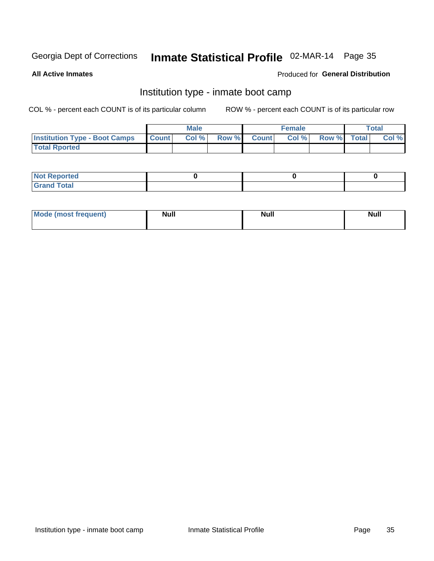# Inmate Statistical Profile 02-MAR-14 Page 35

**All Active Inmates** 

#### Produced for General Distribution

### Institution type - inmate boot camp

COL % - percent each COUNT is of its particular column

|                                      |              | <b>Male</b> |             | <b>Female</b> |             | Total |
|--------------------------------------|--------------|-------------|-------------|---------------|-------------|-------|
| <b>Institution Type - Boot Camps</b> | <b>Count</b> | Col %       | Row % Count | Col%          | Row % Total | Col % |
| <b>Total Rported</b>                 |              |             |             |               |             |       |

| <b>Not Reported</b><br>, , , , , |  |  |
|----------------------------------|--|--|
| Total<br><b>C</b> <sub>He</sub>  |  |  |

| <b>AhoM</b>       | <b>Null</b> | <b>Null</b> | Ab d' |
|-------------------|-------------|-------------|-------|
| <b>"requent</b> ) |             |             |       |
|                   |             |             |       |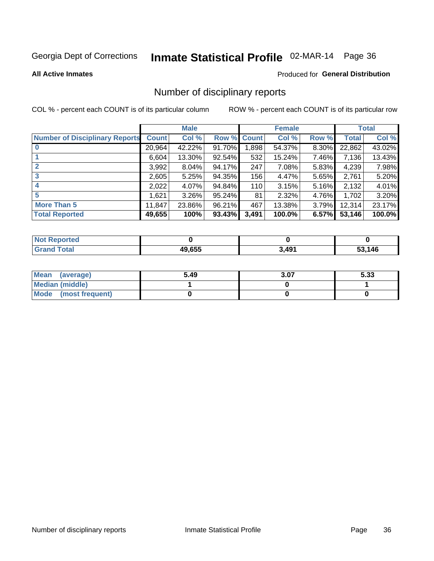# Inmate Statistical Profile 02-MAR-14 Page 36

#### **All Active Inmates**

#### Produced for General Distribution

### Number of disciplinary reports

COL % - percent each COUNT is of its particular column

|                                       |              | <b>Male</b> |        |       | <b>Female</b> |          |              | <b>Total</b> |
|---------------------------------------|--------------|-------------|--------|-------|---------------|----------|--------------|--------------|
| <b>Number of Disciplinary Reports</b> | <b>Count</b> | Col %       | Row %  | Count | Col %         | Row %    | <b>Total</b> | Col %        |
| $\bf{0}$                              | 20,964       | 42.22%      | 91.70% | 1,898 | 54.37%        | $8.30\%$ | 22,862       | 43.02%       |
|                                       | 6,604        | 13.30%      | 92.54% | 532   | 15.24%        | 7.46%    | 7,136        | 13.43%       |
| $\overline{2}$                        | 3,992        | $8.04\%$    | 94.17% | 247   | 7.08%         | 5.83%    | 4,239        | 7.98%        |
| 3                                     | 2,605        | 5.25%       | 94.35% | 156   | 4.47%         | 5.65%    | 2,761        | 5.20%        |
| 4                                     | 2,022        | 4.07%       | 94.84% | 110   | 3.15%         | 5.16%    | 2,132        | 4.01%        |
| 5                                     | 1,621        | $3.26\%$    | 95.24% | 81    | 2.32%         | 4.76%    | 1,702        | 3.20%        |
| <b>More Than 5</b>                    | 11,847       | 23.86%      | 96.21% | 467   | 13.38%        | $3.79\%$ | 12,314       | 23.17%       |
| <b>Total Reported</b>                 | 49,655       | 100%        | 93.43% | 3,491 | 100.0%        | 6.57%    | 53,146       | 100.0%       |

| orted<br><b>NOT</b> |        |       |      |
|---------------------|--------|-------|------|
| <b>Total</b>        | 49.655 | 3,491 | .146 |

| Mean (average)       | 5.49 | 3.07 | 5.33 |
|----------------------|------|------|------|
| Median (middle)      |      |      |      |
| Mode (most frequent) |      |      |      |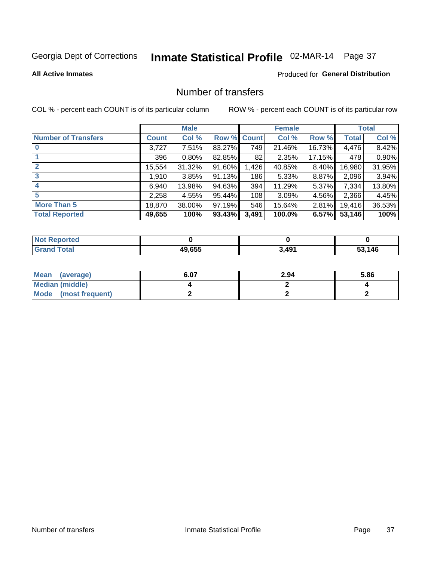# Inmate Statistical Profile 02-MAR-14 Page 37

#### **All Active Inmates**

### **Produced for General Distribution**

## Number of transfers

COL % - percent each COUNT is of its particular column

|                            |              | <b>Male</b> |             |       | <b>Female</b> |          |        | <b>Total</b> |
|----------------------------|--------------|-------------|-------------|-------|---------------|----------|--------|--------------|
| <b>Number of Transfers</b> | <b>Count</b> | Col %       | Row % Count |       | Col %         | Row %    | Total  | Col %        |
|                            | 3,727        | 7.51%       | 83.27%      | 749   | 21.46%        | 16.73%   | 4,476  | 8.42%        |
|                            | 396          | 0.80%       | 82.85%      | 82    | 2.35%         | 17.15%   | 478    | 0.90%        |
| $\mathbf{2}$               | 15,554       | 31.32%      | 91.60%      | 1,426 | 40.85%        | 8.40%    | 16,980 | 31.95%       |
| 3                          | 1,910        | 3.85%       | 91.13%      | 186   | 5.33%         | 8.87%    | 2,096  | 3.94%        |
| 4                          | 6,940        | 13.98%      | $94.63\%$   | 394   | 11.29%        | 5.37%    | 7,334  | 13.80%       |
| 5                          | 2,258        | 4.55%       | 95.44%      | 108   | 3.09%         | 4.56%    | 2,366  | 4.45%        |
| <b>More Than 5</b>         | 18,870       | 38.00%      | $97.19\%$   | 546   | 15.64%        | $2.81\%$ | 19,416 | 36.53%       |
| <b>Total Reported</b>      | 49,655       | 100%        | 93.43%      | 3,491 | 100.0%        | 6.57%    | 53,146 | 100%         |

| orted<br><b>NOT</b> |        |       |      |
|---------------------|--------|-------|------|
| <b>Total</b>        | 49.655 | 3,491 | .146 |

| Mean (average)         | 6.07 | 2.94 | 5.86 |
|------------------------|------|------|------|
| <b>Median (middle)</b> |      |      |      |
| Mode (most frequent)   |      |      |      |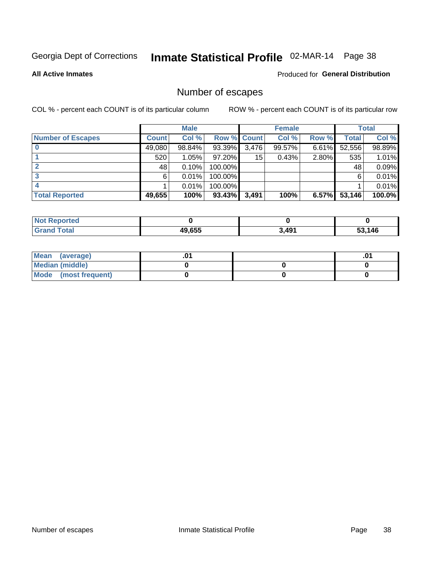# Inmate Statistical Profile 02-MAR-14 Page 38

**All Active Inmates** 

#### **Produced for General Distribution**

## Number of escapes

COL % - percent each COUNT is of its particular column

|                          |              | <b>Male</b> |             |       | <b>Female</b> |       |        | <b>Total</b> |
|--------------------------|--------------|-------------|-------------|-------|---------------|-------|--------|--------------|
| <b>Number of Escapes</b> | <b>Count</b> | Col %       | Row % Count |       | Col %         | Row % | Total  | Col %        |
|                          | 49,080       | 98.84%      | 93.39%      | 3,476 | 99.57%        | 6.61% | 52,556 | 98.89%       |
|                          | 520          | 1.05%       | $97.20\%$   | 15    | 0.43%         | 2.80% | 535    | 1.01%        |
|                          | 48           | 0.10%       | 100.00%     |       |               |       | 48     | 0.09%        |
|                          | 6            | 0.01%       | 100.00%     |       |               |       | 6      | 0.01%        |
|                          |              | 0.01%       | 100.00%     |       |               |       |        | 0.01%        |
| <b>Total Reported</b>    | 49,655       | 100%        | $93.43\%$   | 3,491 | 100%          | 6.57% | 53,146 | 100.0%       |

| <b>Not Reported</b> |        |       |        |
|---------------------|--------|-------|--------|
| Total               | 49,655 | 3,491 | 53,146 |

| Mean (average)       |  | .01 |
|----------------------|--|-----|
| Median (middle)      |  |     |
| Mode (most frequent) |  |     |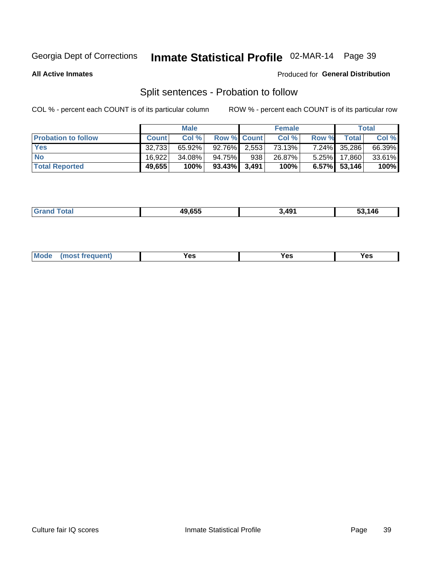# Inmate Statistical Profile 02-MAR-14 Page 39

**All Active Inmates** 

#### **Produced for General Distribution**

## Split sentences - Probation to follow

COL % - percent each COUNT is of its particular column

|                            |              | <b>Male</b> |                 |     | <b>Female</b> |       |                 | <b>Total</b> |
|----------------------------|--------------|-------------|-----------------|-----|---------------|-------|-----------------|--------------|
| <b>Probation to follow</b> | <b>Count</b> | Col%        | Row % Count     |     | Col %         | Row % | <b>Total</b>    | Col %        |
| <b>Yes</b>                 | 32.733       | $65.92\%$   | $92.76\%$ 2.553 |     | 73.13%        |       | 7.24% 35,286    | 66.39%       |
| <b>No</b>                  | 16,922       | 34.08%      | 94.75%          | 938 | 26.87%        |       | 5.25% 17,860    | 33.61%       |
| <b>Total Reported</b>      | 49,655       | 100%        | $93.43\%$ 3,491 |     | 100%          |       | $6.57\%$ 53,146 | 100%         |

| ________ | 10 CEE | 491 | $\overline{\phantom{a}}$<br>'4L<br>7. J<br>$\sim$<br>__ |
|----------|--------|-----|---------------------------------------------------------|
|          |        |     |                                                         |

| requent<br>′es<br>Yes<br><b>YAC</b><br>. |  | $Moo$ |  |  |  |
|------------------------------------------|--|-------|--|--|--|
|------------------------------------------|--|-------|--|--|--|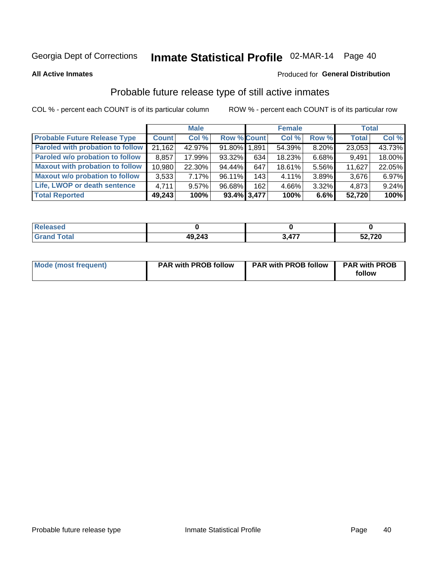# Inmate Statistical Profile 02-MAR-14 Page 40

**All Active Inmates** 

#### Produced for General Distribution

## Probable future release type of still active inmates

COL % - percent each COUNT is of its particular column

|                                         |              | <b>Male</b> |                    |                | <b>Female</b> |       | <b>Total</b> |        |
|-----------------------------------------|--------------|-------------|--------------------|----------------|---------------|-------|--------------|--------|
| <b>Probable Future Release Type</b>     | <b>Count</b> | Col %       | <b>Row % Count</b> |                | Col %         | Row % | <b>Total</b> | Col %  |
| <b>Paroled with probation to follow</b> | 21,162       | 42.97%      | 91.80% 1.891       |                | 54.39%        | 8.20% | 23,053       | 43.73% |
| Paroled w/o probation to follow         | 8,857        | 17.99%      | 93.32%             | 634            | 18.23%        | 6.68% | 9,491        | 18.00% |
| <b>Maxout with probation to follow</b>  | 10,980       | 22.30%      | 94.44%             | 647            | 18.61%        | 5.56% | 11,627       | 22.05% |
| <b>Maxout w/o probation to follow</b>   | 3,533        | 7.17%       | 96.11%             | 143            | 4.11%         | 3.89% | 3,676        | 6.97%  |
| Life, LWOP or death sentence            | 4.711        | $9.57\%$    | 96.68%             | 162            | 4.66%         | 3.32% | 4,873        | 9.24%  |
| <b>Total Reported</b>                   | 49,243       | 100%        |                    | $93.4\%$ 3,477 | 100%          | 6.6%  | 52,720       | 100%   |

| eleased     |        |     |        |
|-------------|--------|-----|--------|
| <b>otal</b> | 49,243 | A77 | 52,720 |

| Mode (most frequent) | <b>PAR with PROB follow</b> | <b>PAR with PROB follow</b> | <b>PAR with PROB</b> |
|----------------------|-----------------------------|-----------------------------|----------------------|
|                      |                             |                             | follow               |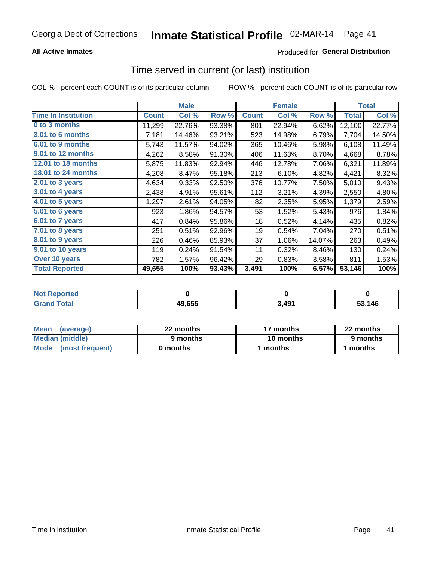### **All Active Inmates**

### Produced for General Distribution

# Time served in current (or last) institution

COL % - percent each COUNT is of its particular column

|                            |              | <b>Male</b> |        |              | <b>Female</b> |        |              | <b>Total</b> |
|----------------------------|--------------|-------------|--------|--------------|---------------|--------|--------------|--------------|
| <b>Time In Institution</b> | <b>Count</b> | Col %       | Row %  | <b>Count</b> | Col %         | Row %  | <b>Total</b> | Col %        |
| 0 to 3 months              | 11,299       | 22.76%      | 93.38% | 801          | 22.94%        | 6.62%  | 12,100       | 22.77%       |
| 3.01 to 6 months           | 7,181        | 14.46%      | 93.21% | 523          | 14.98%        | 6.79%  | 7,704        | 14.50%       |
| 6.01 to 9 months           | 5,743        | 11.57%      | 94.02% | 365          | 10.46%        | 5.98%  | 6,108        | 11.49%       |
| 9.01 to 12 months          | 4,262        | 8.58%       | 91.30% | 406          | 11.63%        | 8.70%  | 4,668        | 8.78%        |
| 12.01 to 18 months         | 5,875        | 11.83%      | 92.94% | 446          | 12.78%        | 7.06%  | 6,321        | 11.89%       |
| <b>18.01 to 24 months</b>  | 4,208        | 8.47%       | 95.18% | 213          | 6.10%         | 4.82%  | 4,421        | 8.32%        |
| 2.01 to 3 years            | 4,634        | 9.33%       | 92.50% | 376          | 10.77%        | 7.50%  | 5,010        | 9.43%        |
| $3.01$ to 4 years          | 2,438        | 4.91%       | 95.61% | 112          | 3.21%         | 4.39%  | 2,550        | 4.80%        |
| 4.01 to 5 years            | 1,297        | 2.61%       | 94.05% | 82           | 2.35%         | 5.95%  | 1,379        | 2.59%        |
| 5.01 to 6 years            | 923          | 1.86%       | 94.57% | 53           | 1.52%         | 5.43%  | 976          | 1.84%        |
| 6.01 to 7 years            | 417          | 0.84%       | 95.86% | 18           | 0.52%         | 4.14%  | 435          | 0.82%        |
| 7.01 to 8 years            | 251          | 0.51%       | 92.96% | 19           | 0.54%         | 7.04%  | 270          | 0.51%        |
| $8.01$ to 9 years          | 226          | 0.46%       | 85.93% | 37           | 1.06%         | 14.07% | 263          | 0.49%        |
| 9.01 to 10 years           | 119          | 0.24%       | 91.54% | 11           | 0.32%         | 8.46%  | 130          | 0.24%        |
| Over 10 years              | 782          | 1.57%       | 96.42% | 29           | 0.83%         | 3.58%  | 811          | 1.53%        |
| <b>Total Reported</b>      | 49,655       | 100%        | 93.43% | 3,491        | 100%          | 6.57%  | 53,146       | 100%         |

| <b>Penorted</b><br><b>Not</b> |        |            |      |
|-------------------------------|--------|------------|------|
| intal                         | 49,655 | <b>AQ1</b> | .146 |

| <b>Mean</b><br>(average) | 22 months | 17 months | 22 months |
|--------------------------|-----------|-----------|-----------|
| Median (middle)          | 9 months  | 10 months | 9 months  |
| Mode<br>(most frequent)  | 0 months  | months    | ∖ months  |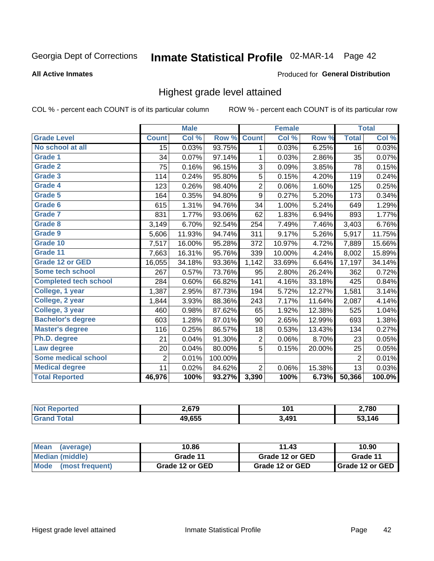# Inmate Statistical Profile 02-MAR-14 Page 42

#### **All Active Inmates**

#### **Produced for General Distribution**

## Highest grade level attained

COL % - percent each COUNT is of its particular column

|                              |                | <b>Male</b> |         |                  | <b>Female</b> |        |                | <b>Total</b> |
|------------------------------|----------------|-------------|---------|------------------|---------------|--------|----------------|--------------|
| <b>Grade Level</b>           | <b>Count</b>   | Col %       | Row %   | <b>Count</b>     | Col %         | Row %  | <b>Total</b>   | Col %        |
| No school at all             | 15             | 0.03%       | 93.75%  | 1                | 0.03%         | 6.25%  | 16             | 0.03%        |
| Grade 1                      | 34             | 0.07%       | 97.14%  | 1                | 0.03%         | 2.86%  | 35             | 0.07%        |
| <b>Grade 2</b>               | 75             | 0.16%       | 96.15%  | 3                | 0.09%         | 3.85%  | 78             | 0.15%        |
| <b>Grade 3</b>               | 114            | 0.24%       | 95.80%  | 5                | 0.15%         | 4.20%  | 119            | 0.24%        |
| <b>Grade 4</b>               | 123            | 0.26%       | 98.40%  | $\mathbf 2$      | 0.06%         | 1.60%  | 125            | 0.25%        |
| Grade 5                      | 164            | 0.35%       | 94.80%  | $\boldsymbol{9}$ | 0.27%         | 5.20%  | 173            | 0.34%        |
| Grade 6                      | 615            | 1.31%       | 94.76%  | 34               | 1.00%         | 5.24%  | 649            | 1.29%        |
| <b>Grade 7</b>               | 831            | 1.77%       | 93.06%  | 62               | 1.83%         | 6.94%  | 893            | 1.77%        |
| Grade 8                      | 3,149          | 6.70%       | 92.54%  | 254              | 7.49%         | 7.46%  | 3,403          | 6.76%        |
| Grade 9                      | 5,606          | 11.93%      | 94.74%  | 311              | 9.17%         | 5.26%  | 5,917          | 11.75%       |
| Grade 10                     | 7,517          | 16.00%      | 95.28%  | 372              | 10.97%        | 4.72%  | 7,889          | 15.66%       |
| Grade 11                     | 7,663          | 16.31%      | 95.76%  | 339              | 10.00%        | 4.24%  | 8,002          | 15.89%       |
| <b>Grade 12 or GED</b>       | 16,055         | 34.18%      | 93.36%  | 1,142            | 33.69%        | 6.64%  | 17,197         | 34.14%       |
| Some tech school             | 267            | 0.57%       | 73.76%  | 95               | 2.80%         | 26.24% | 362            | 0.72%        |
| <b>Completed tech school</b> | 284            | 0.60%       | 66.82%  | 141              | 4.16%         | 33.18% | 425            | 0.84%        |
| College, 1 year              | 1,387          | 2.95%       | 87.73%  | 194              | 5.72%         | 12.27% | 1,581          | 3.14%        |
| College, 2 year              | 1,844          | 3.93%       | 88.36%  | 243              | 7.17%         | 11.64% | 2,087          | 4.14%        |
| College, 3 year              | 460            | 0.98%       | 87.62%  | 65               | 1.92%         | 12.38% | 525            | 1.04%        |
| <b>Bachelor's degree</b>     | 603            | 1.28%       | 87.01%  | 90               | 2.65%         | 12.99% | 693            | 1.38%        |
| <b>Master's degree</b>       | 116            | 0.25%       | 86.57%  | 18               | 0.53%         | 13.43% | 134            | 0.27%        |
| Ph.D. degree                 | 21             | 0.04%       | 91.30%  | $\boldsymbol{2}$ | 0.06%         | 8.70%  | 23             | 0.05%        |
| Law degree                   | 20             | 0.04%       | 80.00%  | 5                | 0.15%         | 20.00% | 25             | 0.05%        |
| <b>Some medical school</b>   | $\overline{2}$ | 0.01%       | 100.00% |                  |               |        | $\overline{2}$ | 0.01%        |
| <b>Medical degree</b>        | 11             | 0.02%       | 84.62%  | $\overline{2}$   | 0.06%         | 15.38% | 13             | 0.03%        |
| <b>Total Reported</b>        | 46,976         | 100%        | 93.27%  | 3,390            | 100%          | 6.73%  | 50,366         | 100.0%       |

| הלה ה<br>- 2 | 101<br>ו שו<br>$ -$     | 2,780 |
|--------------|-------------------------|-------|
| 10 CEE       | 3.49 <sup>4</sup><br>-- | 146   |

| <b>Mean</b><br>(average)       | 10.86           | 11.43           | 10.90           |
|--------------------------------|-----------------|-----------------|-----------------|
| Median (middle)                | Grade 11        | Grade 12 or GED | Grade 11        |
| <b>Mode</b><br>(most frequent) | Grade 12 or GED | Grade 12 or GED | Grade 12 or GED |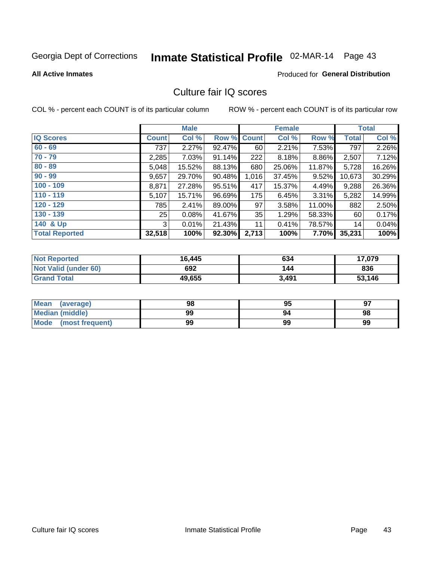# Inmate Statistical Profile 02-MAR-14 Page 43

**All Active Inmates** 

#### **Produced for General Distribution**

## Culture fair IQ scores

COL % - percent each COUNT is of its particular column

|                       |              | <b>Male</b> |             |       | <b>Female</b> |          |        | <b>Total</b> |
|-----------------------|--------------|-------------|-------------|-------|---------------|----------|--------|--------------|
| <b>IQ Scores</b>      | <b>Count</b> | Col %       | Row % Count |       | Col %         | Row %    | Total  | Col %        |
| $60 - 69$             | 737          | 2.27%       | 92.47%      | 60    | 2.21%         | 7.53%    | 797    | 2.26%        |
| $70 - 79$             | 2,285        | 7.03%       | 91.14%      | 222   | 8.18%         | 8.86%    | 2,507  | 7.12%        |
| $80 - 89$             | 5,048        | 15.52%      | 88.13%      | 680   | 25.06%        | 11.87%   | 5,728  | 16.26%       |
| $90 - 99$             | 9,657        | 29.70%      | 90.48%      | 1,016 | 37.45%        | $9.52\%$ | 10,673 | 30.29%       |
| $100 - 109$           | 8,871        | 27.28%      | 95.51%      | 417   | 15.37%        | 4.49%    | 9,288  | 26.36%       |
| $110 - 119$           | 5,107        | 15.71%      | 96.69%      | 175   | 6.45%         | $3.31\%$ | 5,282  | 14.99%       |
| $120 - 129$           | 785          | 2.41%       | 89.00%      | 97    | 3.58%         | 11.00%   | 882    | 2.50%        |
| $130 - 139$           | 25           | 0.08%       | 41.67%      | 35    | 1.29%         | 58.33%   | 60     | 0.17%        |
| 140 & Up              | 3            | 0.01%       | 21.43%      | 11    | 0.41%         | 78.57%   | 14     | 0.04%        |
| <b>Total Reported</b> | 32,518       | 100%        | 92.30%      | 2,713 | 100%          | 7.70%    | 35,231 | 100%         |

| <b>Not Reported</b>         | 16,445 | 634   | 17,079 |
|-----------------------------|--------|-------|--------|
| <b>Not Valid (under 60)</b> | 692    | 144   | 836    |
| <b>Grand Total</b>          | 49,655 | 3,491 | 53,146 |

| Mean<br>(average)       | 98 | 95 | 97 |
|-------------------------|----|----|----|
| Median (middle)         | 99 | 94 | 98 |
| Mode<br>(most frequent) | 99 | 99 | 99 |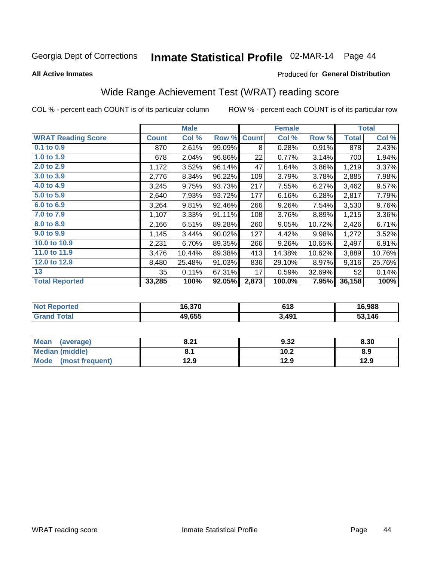# Inmate Statistical Profile 02-MAR-14 Page 44

**All Active Inmates** 

#### **Produced for General Distribution**

## Wide Range Achievement Test (WRAT) reading score

COL % - percent each COUNT is of its particular column

| <b>WRAT Reading Score</b><br>Col %<br><b>Count</b><br>Col %<br>Row %<br>Row %<br><b>Count</b><br>$0.1$ to $0.9$<br>2.61%<br>99.09%<br>0.28%<br>0.91%<br>870<br>8<br>1.0 to 1.9<br>96.86%<br>678<br>2.04%<br>22<br>0.77%<br>3.14%<br>2.0 to 2.9<br>3.86%<br>1,172<br>3.52%<br>96.14%<br>47<br>1.64%<br>3.0 to 3.9<br>8.34%<br>109<br>3.79%<br>3.78%<br>2,776<br>96.22%<br>4.0 to 4.9<br>217<br>3,245<br>9.75%<br>93.73%<br>7.55%<br>6.27%<br>5.0 to 5.9<br>7.93%<br>93.72%<br>177<br>6.28%<br>2,640<br>6.16%<br>6.0 to 6.9<br>3,264<br>9.81%<br>92.46%<br>266<br>9.26%<br>7.54%<br>7.0 to 7.9<br>1,107<br>3.33%<br>8.89%<br>91.11%<br>108<br>3.76%<br>8.0 to 8.9<br>2,166<br>89.28%<br>260<br>6.51%<br>9.05%<br>10.72%<br>9.0 to 9.9<br>1,145<br>3.44%<br>90.02%<br>127<br>4.42%<br>9.98%<br>10.0 to 10.9<br>266<br>2,231<br>6.70%<br>89.35%<br>9.26%<br>10.65% | <b>Total</b> | Col %  |
|----------------------------------------------------------------------------------------------------------------------------------------------------------------------------------------------------------------------------------------------------------------------------------------------------------------------------------------------------------------------------------------------------------------------------------------------------------------------------------------------------------------------------------------------------------------------------------------------------------------------------------------------------------------------------------------------------------------------------------------------------------------------------------------------------------------------------------------------------------------|--------------|--------|
|                                                                                                                                                                                                                                                                                                                                                                                                                                                                                                                                                                                                                                                                                                                                                                                                                                                                |              |        |
|                                                                                                                                                                                                                                                                                                                                                                                                                                                                                                                                                                                                                                                                                                                                                                                                                                                                | 878          | 2.43%  |
|                                                                                                                                                                                                                                                                                                                                                                                                                                                                                                                                                                                                                                                                                                                                                                                                                                                                | 700          | 1.94%  |
|                                                                                                                                                                                                                                                                                                                                                                                                                                                                                                                                                                                                                                                                                                                                                                                                                                                                | 1,219        | 3.37%  |
|                                                                                                                                                                                                                                                                                                                                                                                                                                                                                                                                                                                                                                                                                                                                                                                                                                                                | 2,885        | 7.98%  |
|                                                                                                                                                                                                                                                                                                                                                                                                                                                                                                                                                                                                                                                                                                                                                                                                                                                                | 3,462        | 9.57%  |
|                                                                                                                                                                                                                                                                                                                                                                                                                                                                                                                                                                                                                                                                                                                                                                                                                                                                | 2,817        | 7.79%  |
|                                                                                                                                                                                                                                                                                                                                                                                                                                                                                                                                                                                                                                                                                                                                                                                                                                                                | 3,530        | 9.76%  |
|                                                                                                                                                                                                                                                                                                                                                                                                                                                                                                                                                                                                                                                                                                                                                                                                                                                                | 1,215        | 3.36%  |
|                                                                                                                                                                                                                                                                                                                                                                                                                                                                                                                                                                                                                                                                                                                                                                                                                                                                | 2,426        | 6.71%  |
|                                                                                                                                                                                                                                                                                                                                                                                                                                                                                                                                                                                                                                                                                                                                                                                                                                                                | 1,272        | 3.52%  |
|                                                                                                                                                                                                                                                                                                                                                                                                                                                                                                                                                                                                                                                                                                                                                                                                                                                                | 2,497        | 6.91%  |
| 11.0 to 11.9<br>3,476<br>10.44%<br>89.38%<br>413<br>14.38%<br>10.62%                                                                                                                                                                                                                                                                                                                                                                                                                                                                                                                                                                                                                                                                                                                                                                                           | 3,889        | 10.76% |
| 12.0 to 12.9<br>25.48%<br>8,480<br>91.03%<br>836<br>29.10%<br>8.97%                                                                                                                                                                                                                                                                                                                                                                                                                                                                                                                                                                                                                                                                                                                                                                                            | 9,316        | 25.76% |
| 13<br>67.31%<br>35<br>0.11%<br>17<br>0.59%<br>32.69%                                                                                                                                                                                                                                                                                                                                                                                                                                                                                                                                                                                                                                                                                                                                                                                                           | 52           | 0.14%  |
| <b>Total Reported</b><br>33,285<br>92.05%<br>2,873<br>7.95%<br>100%<br>100.0%                                                                                                                                                                                                                                                                                                                                                                                                                                                                                                                                                                                                                                                                                                                                                                                  | 36,158       | 100%   |

| <b>Not Reported</b>    | 16,370 | 618   | 16,988 |
|------------------------|--------|-------|--------|
| $\tau$ otal<br>' Grand | 49,655 | 3,491 | 53,146 |

| <b>Mean</b><br>(average) | 8.21 | 9.32 | 8.30 |
|--------------------------|------|------|------|
| Median (middle)          |      | 10.2 | 8.9  |
| Mode<br>(most frequent)  | 12.9 | 12.9 | 12.9 |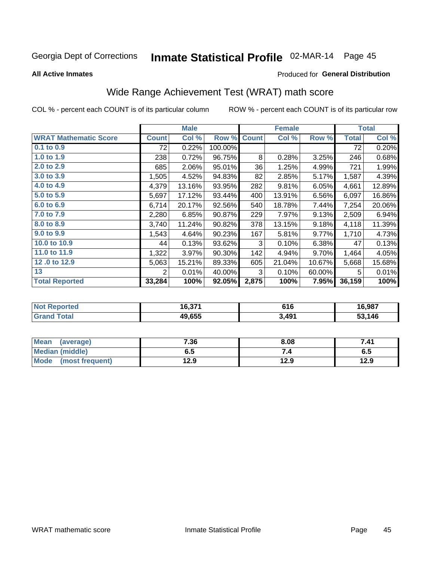# Inmate Statistical Profile 02-MAR-14 Page 45

**All Active Inmates** 

#### Produced for General Distribution

## Wide Range Achievement Test (WRAT) math score

COL % - percent each COUNT is of its particular column

|                              |              | <b>Male</b> |         |              | <b>Female</b> |        |              | <b>Total</b> |
|------------------------------|--------------|-------------|---------|--------------|---------------|--------|--------------|--------------|
| <b>WRAT Mathematic Score</b> | <b>Count</b> | Col %       | Row %   | <b>Count</b> | Col %         | Row %  | <b>Total</b> | Col %        |
| $0.1$ to $0.9$               | 72           | 0.22%       | 100.00% |              |               |        | 72           | 0.20%        |
| 1.0 to 1.9                   | 238          | 0.72%       | 96.75%  | 8            | 0.28%         | 3.25%  | 246          | 0.68%        |
| 2.0 to 2.9                   | 685          | 2.06%       | 95.01%  | 36           | 1.25%         | 4.99%  | 721          | 1.99%        |
| 3.0 to 3.9                   | 1,505        | 4.52%       | 94.83%  | 82           | 2.85%         | 5.17%  | 1,587        | 4.39%        |
| 4.0 to 4.9                   | 4,379        | 13.16%      | 93.95%  | 282          | 9.81%         | 6.05%  | 4,661        | 12.89%       |
| 5.0 to 5.9                   | 5,697        | 17.12%      | 93.44%  | 400          | 13.91%        | 6.56%  | 6,097        | 16.86%       |
| 6.0 to 6.9                   | 6,714        | 20.17%      | 92.56%  | 540          | 18.78%        | 7.44%  | 7,254        | 20.06%       |
| 7.0 to 7.9                   | 2,280        | 6.85%       | 90.87%  | 229          | 7.97%         | 9.13%  | 2,509        | 6.94%        |
| 8.0 to 8.9                   | 3,740        | 11.24%      | 90.82%  | 378          | 13.15%        | 9.18%  | 4,118        | 11.39%       |
| 9.0 to 9.9                   | 1,543        | 4.64%       | 90.23%  | 167          | 5.81%         | 9.77%  | 1,710        | 4.73%        |
| 10.0 to 10.9                 | 44           | 0.13%       | 93.62%  | 3            | 0.10%         | 6.38%  | 47           | 0.13%        |
| 11.0 to 11.9                 | 1,322        | 3.97%       | 90.30%  | 142          | 4.94%         | 9.70%  | 1,464        | 4.05%        |
| 12.0 to 12.9                 | 5,063        | 15.21%      | 89.33%  | 605          | 21.04%        | 10.67% | 5,668        | 15.68%       |
| 13                           | 2            | 0.01%       | 40.00%  | 3            | 0.10%         | 60.00% | 5            | 0.01%        |
| <b>Total Reported</b>        | 33,284       | 100%        | 92.05%  | 2,875        | 100%          | 7.95%  | 36,159       | 100%         |

| <b>Not</b>   | IC 274 | C4 C  | 16,987 |
|--------------|--------|-------|--------|
| Reported     | 10.31  | 0 I O |        |
| <b>Total</b> | 49.655 | 3,491 | 53,146 |

| <b>Mean</b><br>(average) | 7.36 | 8.08 | 7.41 |
|--------------------------|------|------|------|
| Median (middle)          | כ.ס  | ۰.,  | ხ.მ  |
| Mode<br>(most frequent)  | 12.9 | 12.9 | 12.9 |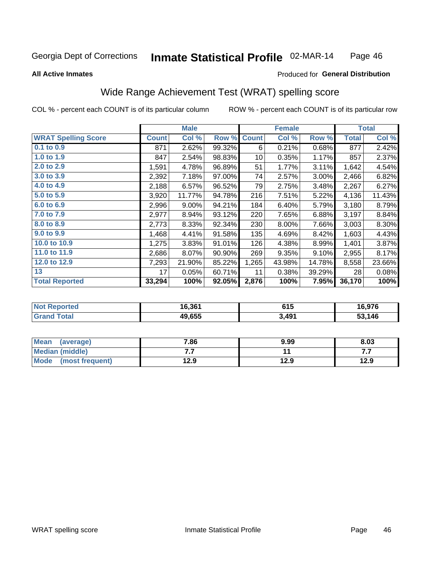#### Inmate Statistical Profile 02-MAR-14 Page 46

#### **All Active Inmates**

#### Produced for General Distribution

## Wide Range Achievement Test (WRAT) spelling score

COL % - percent each COUNT is of its particular column

|                            |              | <b>Male</b> |        |              | <b>Female</b> |        |              | <b>Total</b> |
|----------------------------|--------------|-------------|--------|--------------|---------------|--------|--------------|--------------|
| <b>WRAT Spelling Score</b> | <b>Count</b> | Col %       | Row %  | <b>Count</b> | Col %         | Row %  | <b>Total</b> | Col %        |
| 0.1 to 0.9                 | 871          | 2.62%       | 99.32% | 6            | 0.21%         | 0.68%  | 877          | 2.42%        |
| 1.0 to 1.9                 | 847          | 2.54%       | 98.83% | 10           | 0.35%         | 1.17%  | 857          | 2.37%        |
| 2.0 to 2.9                 | 1,591        | 4.78%       | 96.89% | 51           | 1.77%         | 3.11%  | 1,642        | 4.54%        |
| 3.0 to 3.9                 | 2,392        | 7.18%       | 97.00% | 74           | 2.57%         | 3.00%  | 2,466        | 6.82%        |
| 4.0 to 4.9                 | 2,188        | 6.57%       | 96.52% | 79           | 2.75%         | 3.48%  | 2,267        | 6.27%        |
| 5.0 to 5.9                 | 3,920        | 11.77%      | 94.78% | 216          | 7.51%         | 5.22%  | 4,136        | 11.43%       |
| 6.0 to 6.9                 | 2,996        | 9.00%       | 94.21% | 184          | 6.40%         | 5.79%  | 3,180        | 8.79%        |
| 7.0 to 7.9                 | 2,977        | 8.94%       | 93.12% | 220          | 7.65%         | 6.88%  | 3,197        | 8.84%        |
| 8.0 to 8.9                 | 2,773        | 8.33%       | 92.34% | 230          | 8.00%         | 7.66%  | 3,003        | 8.30%        |
| 9.0 to 9.9                 | 1,468        | 4.41%       | 91.58% | 135          | 4.69%         | 8.42%  | 1,603        | 4.43%        |
| 10.0 to 10.9               | 1,275        | 3.83%       | 91.01% | 126          | 4.38%         | 8.99%  | 1,401        | 3.87%        |
| 11.0 to 11.9               | 2,686        | 8.07%       | 90.90% | 269          | 9.35%         | 9.10%  | 2,955        | 8.17%        |
| 12.0 to 12.9               | 7,293        | 21.90%      | 85.22% | 1,265        | 43.98%        | 14.78% | 8,558        | 23.66%       |
| 13                         | 17           | 0.05%       | 60.71% | 11           | 0.38%         | 39.29% | 28           | 0.08%        |
| <b>Total Reported</b>      | 33,294       | 100%        | 92.05% | 2,876        | 100%          | 7.95%  | 36,170       | 100%         |

| <b>orted</b><br>NO. | 16,361 | 615   | 16,976 |
|---------------------|--------|-------|--------|
| $T \sim$ follows:   | 49,655 | 3,491 | 53,146 |

| <b>Mean</b><br>(average) | 7.86 | 9.99 | 8.03 |
|--------------------------|------|------|------|
| Median (middle)          | .    |      | .    |
| Mode (most frequent)     | 12.9 | 12.9 | 12.9 |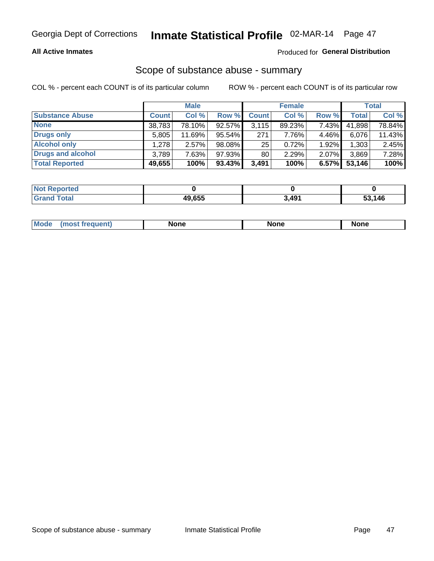#### **All Active Inmates**

#### Produced for General Distribution

# Scope of substance abuse - summary

COL % - percent each COUNT is of its particular column

|                        |              | <b>Male</b> |           |              | <b>Female</b> |       |              | <b>Total</b> |
|------------------------|--------------|-------------|-----------|--------------|---------------|-------|--------------|--------------|
| <b>Substance Abuse</b> | <b>Count</b> | Col %       | Row %     | <b>Count</b> | Col %         | Row % | <b>Total</b> | Col %        |
| <b>None</b>            | 38,783       | 78.10%      | 92.57%    | 3,115        | 89.23%        | 7.43% | 41,898       | 78.84%       |
| <b>Drugs only</b>      | 5,805        | 11.69%      | $95.54\%$ | 271          | 7.76%         | 4.46% | 6,076        | 11.43%       |
| <b>Alcohol only</b>    | .278         | $2.57\%$    | 98.08%    | 25           | 0.72%         | 1.92% | ,303         | 2.45%        |
| Drugs and alcohol      | 3.789        | 7.63%       | 97.93%    | 80           | 2.29%         | 2.07% | 3,869        | 7.28%        |
| <b>Total Reported</b>  | 49,655       | 100%        | $93.43\%$ | 3,491        | 100%          | 6.57% | 53,146       | 100%         |

| <b>Not</b><br><b>Reported</b> |        |       |      |
|-------------------------------|--------|-------|------|
| <b>Total</b>                  | 49.655 | 3,491 | .146 |

|  | Mode<br>auenu | None | None | None |
|--|---------------|------|------|------|
|--|---------------|------|------|------|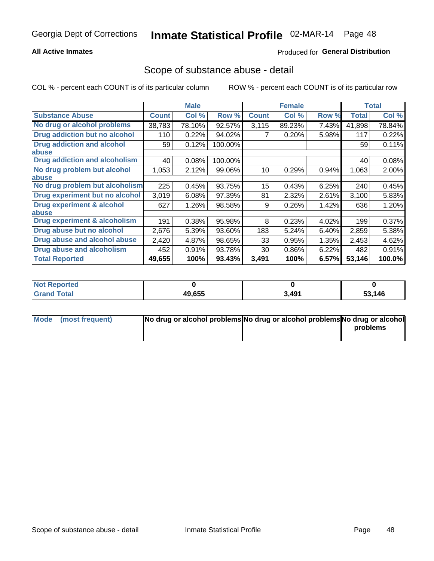#### **All Active Inmates**

#### Produced for General Distribution

### Scope of substance abuse - detail

COL % - percent each COUNT is of its particular column

|                                      |              | <b>Male</b> |         |              | <b>Female</b> |       |        | <b>Total</b> |
|--------------------------------------|--------------|-------------|---------|--------------|---------------|-------|--------|--------------|
| <b>Substance Abuse</b>               | <b>Count</b> | Col %       | Row %   | <b>Count</b> | Col %         | Row % | Total  | Col %        |
| No drug or alcohol problems          | 38,783       | 78.10%      | 92.57%  | 3,115        | 89.23%        | 7.43% | 41,898 | 78.84%       |
| Drug addiction but no alcohol        | 110          | 0.22%       | 94.02%  |              | 0.20%         | 5.98% | 117    | 0.22%        |
| <b>Drug addiction and alcohol</b>    | 59           | 0.12%       | 100.00% |              |               |       | 59     | 0.11%        |
| abuse                                |              |             |         |              |               |       |        |              |
| <b>Drug addiction and alcoholism</b> | 40           | 0.08%       | 100.00% |              |               |       | 40     | 0.08%        |
| No drug problem but alcohol          | 1,053        | 2.12%       | 99.06%  | 10           | 0.29%         | 0.94% | 1,063  | 2.00%        |
| abuse                                |              |             |         |              |               |       |        |              |
| No drug problem but alcoholism       | 225          | 0.45%       | 93.75%  | 15           | 0.43%         | 6.25% | 240    | 0.45%        |
| Drug experiment but no alcohol       | 3,019        | 6.08%       | 97.39%  | 81           | 2.32%         | 2.61% | 3,100  | 5.83%        |
| <b>Drug experiment &amp; alcohol</b> | 627          | 1.26%       | 98.58%  | 9            | 0.26%         | 1.42% | 636    | 1.20%        |
| <b>labuse</b>                        |              |             |         |              |               |       |        |              |
| Drug experiment & alcoholism         | 191          | 0.38%       | 95.98%  | 8            | 0.23%         | 4.02% | 199    | 0.37%        |
| Drug abuse but no alcohol            | 2,676        | 5.39%       | 93.60%  | 183          | 5.24%         | 6.40% | 2,859  | 5.38%        |
| Drug abuse and alcohol abuse         | 2,420        | 4.87%       | 98.65%  | 33           | 0.95%         | 1.35% | 2,453  | 4.62%        |
| <b>Drug abuse and alcoholism</b>     | 452          | 0.91%       | 93.78%  | 30           | 0.86%         | 6.22% | 482    | 0.91%        |
| <b>Total Reported</b>                | 49,655       | 100%        | 93.43%  | 3,491        | 100%          | 6.57% | 53,146 | 100.0%       |

| <b>ported</b><br><b>NOT</b> |        |       |        |
|-----------------------------|--------|-------|--------|
| <b>otal</b>                 | 49,655 | 3,491 | 53,146 |

| Mode (most frequent) | No drug or alcohol problems No drug or alcohol problems No drug or alcohol |          |
|----------------------|----------------------------------------------------------------------------|----------|
|                      |                                                                            | problems |
|                      |                                                                            |          |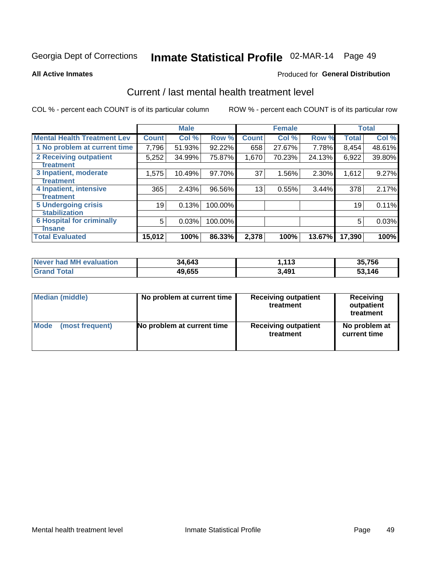# Inmate Statistical Profile 02-MAR-14 Page 49

**All Active Inmates** 

#### **Produced for General Distribution**

## Current / last mental health treatment level

COL % - percent each COUNT is of its particular column

|                                    |              | <b>Male</b> |         |              | <b>Female</b> |        |              | <b>Total</b> |
|------------------------------------|--------------|-------------|---------|--------------|---------------|--------|--------------|--------------|
| <b>Mental Health Treatment Lev</b> | <b>Count</b> | Col %       | Row %   | <b>Count</b> | Col %         | Row %  | <b>Total</b> | Col %        |
| 1 No problem at current time       | 7,796        | 51.93%      | 92.22%  | 658          | 27.67%        | 7.78%  | 8,454        | 48.61%       |
| 2 Receiving outpatient             | 5,252        | 34.99%      | 75.87%  | 1,670        | 70.23%        | 24.13% | 6,922        | 39.80%       |
| <b>Treatment</b>                   |              |             |         |              |               |        |              |              |
| 3 Inpatient, moderate              | 1,575        | 10.49%      | 97.70%  | 37           | 1.56%         | 2.30%  | 1,612        | 9.27%        |
| Treatment                          |              |             |         |              |               |        |              |              |
| 4 Inpatient, intensive             | 365          | 2.43%       | 96.56%  | 13           | 0.55%         | 3.44%  | 378          | 2.17%        |
| <b>Treatment</b>                   |              |             |         |              |               |        |              |              |
| 5 Undergoing crisis                | 19           | 0.13%       | 100.00% |              |               |        | 19           | 0.11%        |
| <b>stabilization</b>               |              |             |         |              |               |        |              |              |
| <b>6 Hospital for criminally</b>   | 5            | 0.03%       | 100.00% |              |               |        | 5            | 0.03%        |
| <b>Tinsane</b>                     |              |             |         |              |               |        |              |              |
| <b>Total Evaluated</b>             | 15,012       | 100%        | 86.33%  | 2,378        | 100%          | 13.67% | 17,390       | 100%         |

| Never had MH evaluation | 34,643 | 1,113 | 35,756 |
|-------------------------|--------|-------|--------|
| <b>Grand Total</b>      | 49,655 | 3,491 | 53,146 |

| Median (middle) | No problem at current time | <b>Receiving outpatient</b><br>treatment | <b>Receiving</b><br>outpatient<br>treatment |
|-----------------|----------------------------|------------------------------------------|---------------------------------------------|
| <b>Mode</b>     | No problem at current time | <b>Receiving outpatient</b>              | No problem at                               |
| (most frequent) |                            | treatment                                | current time                                |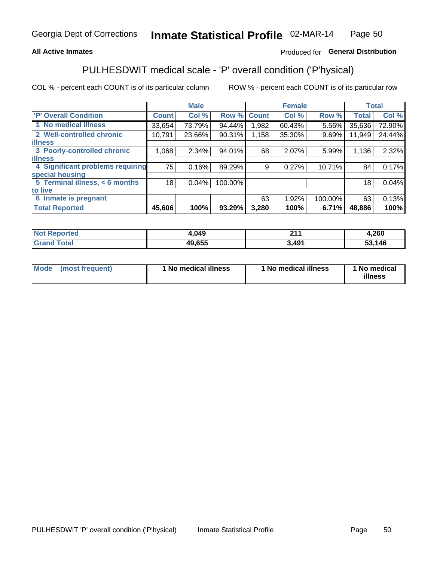#### **All Active Inmates**

### Produced for General Distribution

## PULHESDWIT medical scale - 'P' overall condition ('P'hysical)

COL % - percent each COUNT is of its particular column

|                                  |              | <b>Male</b> |         |              | <b>Female</b> |         |              | <b>Total</b> |
|----------------------------------|--------------|-------------|---------|--------------|---------------|---------|--------------|--------------|
| 'P' Overall Condition            | <b>Count</b> | Col %       | Row %   | <b>Count</b> | Col %         | Row %   | <b>Total</b> | Col %        |
| 1 No medical illness             | 33,654       | 73.79%      | 94.44%  | 1.982        | 60.43%        | 5.56%   | 35,636       | 72.90%       |
| 2 Well-controlled chronic        | 10,791       | 23.66%      | 90.31%  | 1,158        | 35.30%        | 9.69%   | 11,949       | 24.44%       |
| <b>lillness</b>                  |              |             |         |              |               |         |              |              |
| 3 Poorly-controlled chronic      | 1,068        | $2.34\%$    | 94.01%  | 68           | 2.07%         | 5.99%   | 1,136        | 2.32%        |
| <b>lillness</b>                  |              |             |         |              |               |         |              |              |
| 4 Significant problems requiring | 75           | 0.16%       | 89.29%  | 9            | 0.27%         | 10.71%  | 84           | 0.17%        |
| special housing                  |              |             |         |              |               |         |              |              |
| 5 Terminal illness, < 6 months   | 18           | 0.04%       | 100.00% |              |               |         | 18           | 0.04%        |
| to live                          |              |             |         |              |               |         |              |              |
| 6 Inmate is pregnant             |              |             |         | 63           | 1.92%         | 100.00% | 63           | 0.13%        |
| <b>Total Reported</b>            | 45,606       | 100%        | 93.29%  | 3,280        | 100%          | 6.71%   | 48,886       | 100%         |

| rer<br>N | ,049         | 244<br>.     | .260 |
|----------|--------------|--------------|------|
| $-1$     | 19.655<br>лL | ว 4Q1<br>тν. | ,146 |

| Mode | (most frequent) | 1 No medical illness | 1 No medical illness | 1 No medical<br>illness |
|------|-----------------|----------------------|----------------------|-------------------------|
|------|-----------------|----------------------|----------------------|-------------------------|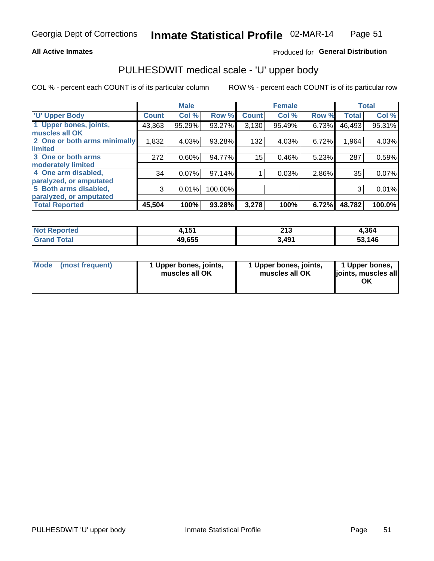#### **All Active Inmates**

#### Produced for General Distribution

# PULHESDWIT medical scale - 'U' upper body

COL % - percent each COUNT is of its particular column

|                              |              | <b>Male</b> |           |              | <b>Female</b> |       |              | <b>Total</b> |
|------------------------------|--------------|-------------|-----------|--------------|---------------|-------|--------------|--------------|
| <b>U' Upper Body</b>         | <b>Count</b> | Col %       | Row %     | <b>Count</b> | Col %         | Row % | <b>Total</b> | Col %        |
| 1 Upper bones, joints,       | 43,363       | 95.29%      | 93.27%    | 3,130        | 95.49%        | 6.73% | 46,493       | 95.31%       |
| muscles all OK               |              |             |           |              |               |       |              |              |
| 2 One or both arms minimally | 1,832        | 4.03%       | 93.28%    | 132          | 4.03%         | 6.72% | 1,964        | 4.03%        |
| limited                      |              |             |           |              |               |       |              |              |
| 3 One or both arms           | 272          | 0.60%       | 94.77%    | 15           | 0.46%         | 5.23% | 287          | 0.59%        |
| <b>moderately limited</b>    |              |             |           |              |               |       |              |              |
| 4 One arm disabled,          | 34           | 0.07%       | $97.14\%$ |              | 0.03%         | 2.86% | 35           | 0.07%        |
| paralyzed, or amputated      |              |             |           |              |               |       |              |              |
| 5 Both arms disabled,        | 3            | 0.01%       | 100.00%   |              |               |       | 3            | 0.01%        |
| paralyzed, or amputated      |              |             |           |              |               |       |              |              |
| <b>Total Reported</b>        | 45,504       | 100%        | 93.28%    | 3,278        | 100%          | 6.72% | 48,782       | 100.0%       |

| <b>Not Reported</b>   | 454<br>1, I J I | າ4 າ<br>2 I J | 4,364  |
|-----------------------|-----------------|---------------|--------|
| <b>Total</b><br>Grand | 49,655          | 3,491         | 53,146 |

| Mode (most frequent) | 1 Upper bones, joints,<br>muscles all OK | 1 Upper bones, joints,<br>muscles all OK | 1 Upper bones,<br>joints, muscles all<br>ΟK |
|----------------------|------------------------------------------|------------------------------------------|---------------------------------------------|
|----------------------|------------------------------------------|------------------------------------------|---------------------------------------------|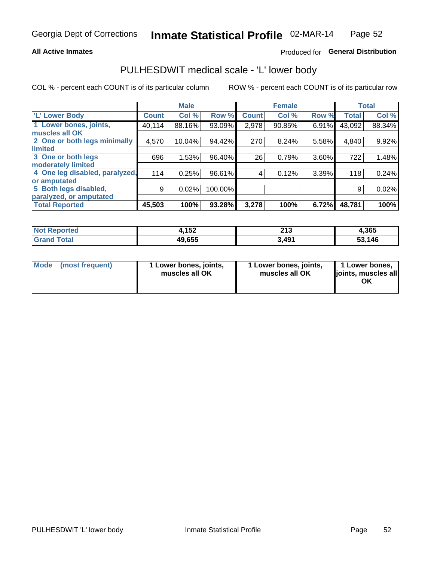#### **All Active Inmates**

### Produced for General Distribution

## PULHESDWIT medical scale - 'L' lower body

COL % - percent each COUNT is of its particular column

|                                |              | <b>Male</b> |         |              | <b>Female</b> |       |              | <b>Total</b> |
|--------------------------------|--------------|-------------|---------|--------------|---------------|-------|--------------|--------------|
| 'L' Lower Body                 | <b>Count</b> | Col %       | Row %   | <b>Count</b> | Col %         | Row % | <b>Total</b> | Col %        |
| 1 Lower bones, joints,         | 40,114       | 88.16%      | 93.09%  | 2,978        | 90.85%        | 6.91% | 43,092       | 88.34%       |
| muscles all OK                 |              |             |         |              |               |       |              |              |
| 2 One or both legs minimally   | 4,570        | 10.04%      | 94.42%  | 270          | 8.24%         | 5.58% | 4,840        | 9.92%        |
| limited                        |              |             |         |              |               |       |              |              |
| 3 One or both legs             | 696          | 1.53%       | 96.40%  | 26           | 0.79%         | 3.60% | 722          | 1.48%        |
| moderately limited             |              |             |         |              |               |       |              |              |
| 4 One leg disabled, paralyzed, | 114          | 0.25%       | 96.61%  | 4            | 0.12%         | 3.39% | 118          | 0.24%        |
| or amputated                   |              |             |         |              |               |       |              |              |
| 5 Both legs disabled,          | 9            | 0.02%       | 100.00% |              |               |       | 9            | 0.02%        |
| paralyzed, or amputated        |              |             |         |              |               |       |              |              |
| <b>Total Reported</b>          | 45,503       | 100%        | 93.28%  | 3,278        | 100%          | 6.72% | 48,781       | 100%         |

| <b>Not Reported</b>   | イドク<br>4, I JZ | າ4 າ<br>2 I J | 4,365  |
|-----------------------|----------------|---------------|--------|
| <b>Total</b><br>Grand | 49,655         | 3,491         | 53,146 |

|  | Mode (most frequent) | 1 Lower bones, joints,<br>muscles all OK | 1 Lower bones, joints,<br>muscles all OK | 1 Lower bones,<br>joints, muscles all<br>ΟK |
|--|----------------------|------------------------------------------|------------------------------------------|---------------------------------------------|
|--|----------------------|------------------------------------------|------------------------------------------|---------------------------------------------|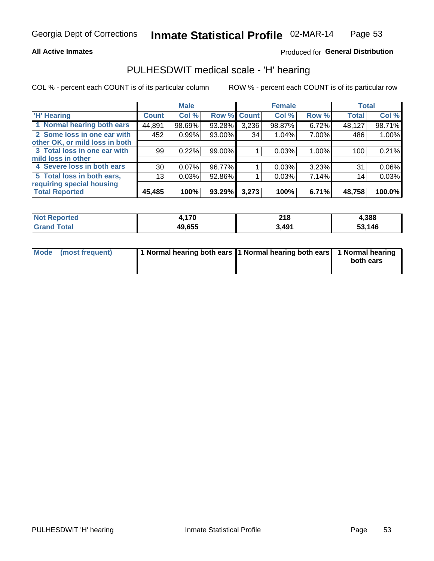#### **All Active Inmates**

### Produced for General Distribution

## PULHESDWIT medical scale - 'H' hearing

COL % - percent each COUNT is of its particular column

|                                |                 | <b>Male</b> |        |             | <b>Female</b> |       | <b>Total</b> |        |
|--------------------------------|-----------------|-------------|--------|-------------|---------------|-------|--------------|--------|
| <b>'H' Hearing</b>             | <b>Count</b>    | Col %       |        | Row % Count | Col %         | Row % | <b>Total</b> | Col %  |
| 1 Normal hearing both ears     | 44,891          | 98.69%      | 93.28% | 3,236       | 98.87%        | 6.72% | 48,127       | 98.71% |
| 2 Some loss in one ear with    | 452             | 0.99%       | 93.00% | 34          | $1.04\%$      | 7.00% | 486          | 1.00%  |
| other OK, or mild loss in both |                 |             |        |             |               |       |              |        |
| 3 Total loss in one ear with   | 99              | 0.22%       | 99.00% |             | 0.03%         | 1.00% | 100          | 0.21%  |
| mild loss in other             |                 |             |        |             |               |       |              |        |
| 4 Severe loss in both ears     | 30 <sub>1</sub> | 0.07%       | 96.77% |             | 0.03%         | 3.23% | 31           | 0.06%  |
| 5 Total loss in both ears,     | 13 <sub>1</sub> | 0.03%       | 92.86% |             | 0.03%         | 7.14% | 14           | 0.03%  |
| requiring special housing      |                 |             |        |             |               |       |              |        |
| <b>Total Reported</b>          | 45,485          | 100%        | 93.29% | 3,273       | 100%          | 6.71% | 48,758       | 100.0% |

| reo | 17N              | 240<br>∠ I O<br>$\sim$ | l.388              |
|-----|------------------|------------------------|--------------------|
|     | AN CEE<br>49.655 | 49′،د                  | ,146<br>- -<br>JJ, |

| Mode (most frequent) | 1 Normal hearing both ears 1 Normal hearing both ears 1 Normal hearing | both ears |
|----------------------|------------------------------------------------------------------------|-----------|
|                      |                                                                        |           |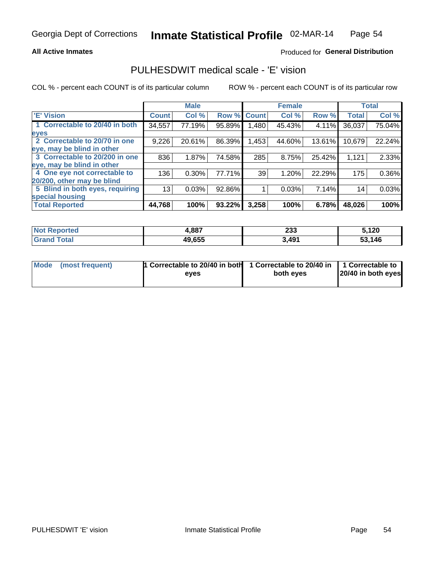#### **All Active Inmates**

#### Produced for General Distribution

## PULHESDWIT medical scale - 'E' vision

COL % - percent each COUNT is of its particular column

|                                 |              | <b>Male</b> |        |              | <b>Female</b> |        |              | <b>Total</b> |
|---------------------------------|--------------|-------------|--------|--------------|---------------|--------|--------------|--------------|
| 'E' Vision                      | <b>Count</b> | Col %       | Row %  | <b>Count</b> | Col %         | Row %  | <b>Total</b> | Col %        |
| 1 Correctable to 20/40 in both  | 34,557       | 77.19%      | 95.89% | .480         | 45.43%        | 4.11%  | 36,037       | 75.04%       |
| eyes                            |              |             |        |              |               |        |              |              |
| 2 Correctable to 20/70 in one   | 9,226        | 20.61%      | 86.39% | 1,453        | 44.60%        | 13.61% | 10,679       | 22.24%       |
| eye, may be blind in other      |              |             |        |              |               |        |              |              |
| 3 Correctable to 20/200 in one  | 836          | 1.87%       | 74.58% | 285          | 8.75%         | 25.42% | 1,121        | 2.33%        |
| eye, may be blind in other      |              |             |        |              |               |        |              |              |
| 4 One eye not correctable to    | 136          | $0.30\%$    | 77.71% | 39           | 1.20%         | 22.29% | 175          | 0.36%        |
| 20/200, other may be blind      |              |             |        |              |               |        |              |              |
| 5 Blind in both eyes, requiring | 13           | 0.03%       | 92.86% |              | 0.03%         | 7.14%  | 14           | 0.03%        |
| special housing                 |              |             |        |              |               |        |              |              |
| <b>Total Reported</b>           | 44,768       | 100%        | 93.22% | 3,258        | 100%          | 6.78%  | 48,026       | 100%         |

| <b>Not Reported</b>   | 4,887  | າາາ<br>ددء | 5,120  |
|-----------------------|--------|------------|--------|
| Total<br><b>Grand</b> | 49,655 | 3,491      | 53,146 |

| Mode (most frequent) | 1 Correctable to 20/40 in both<br>eves | 1 Correctable to 20/40 in   1 Correctable to  <br>both eves | 20/40 in both eyes |
|----------------------|----------------------------------------|-------------------------------------------------------------|--------------------|
|                      |                                        |                                                             |                    |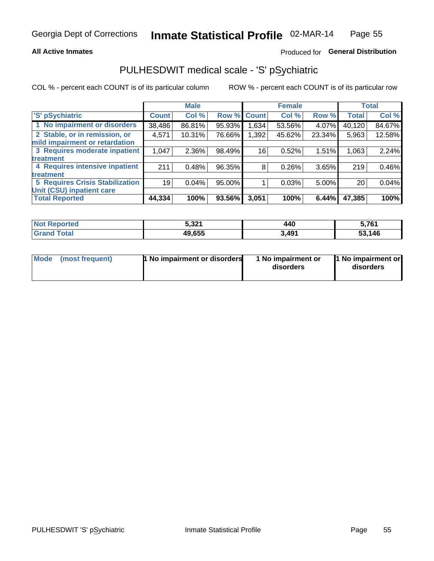#### **All Active Inmates**

### Produced for General Distribution

## PULHESDWIT medical scale - 'S' pSychiatric

COL % - percent each COUNT is of its particular column

|                                        |              | <b>Male</b> |        |              | <b>Female</b> |        |              | <b>Total</b> |
|----------------------------------------|--------------|-------------|--------|--------------|---------------|--------|--------------|--------------|
| 'S' pSychiatric                        | <b>Count</b> | Col %       | Row %  | <b>Count</b> | Col %         | Row %  | <b>Total</b> | Col %        |
| 1 No impairment or disorders           | 38,486       | 86.81%      | 95.93% | .634         | 53.56%        | 4.07%  | 40,120       | 84.67%       |
| 2 Stable, or in remission, or          | 4,571        | 10.31%      | 76.66% | 1,392        | 45.62%        | 23.34% | 5,963        | 12.58%       |
| mild impairment or retardation         |              |             |        |              |               |        |              |              |
| 3 Requires moderate inpatient          | 1,047        | 2.36%       | 98.49% | 16           | 0.52%         | 1.51%  | 1,063        | 2.24%        |
| treatment                              |              |             |        |              |               |        |              |              |
| 4 Requires intensive inpatient         | 211          | 0.48%       | 96.35% | 8            | 0.26%         | 3.65%  | 219          | 0.46%        |
| treatment                              |              |             |        |              |               |        |              |              |
| <b>5 Requires Crisis Stabilization</b> | 19           | 0.04%       | 95.00% |              | 0.03%         | 5.00%  | 20           | 0.04%        |
| Unit (CSU) inpatient care              |              |             |        |              |               |        |              |              |
| <b>Total Reported</b>                  | 44,334       | 100%        | 93.56% | 3,051        | 100%          | 6.44%  | 47,385       | 100%         |

| <b>Not Reported</b> | : 221<br>3.3Z . | 440   | 5,761        |
|---------------------|-----------------|-------|--------------|
| Total<br>. Gran∘    | 49,655          | 3,491 | 53,146<br>ວວ |

| Mode | (most frequent) | 1 No impairment or disorders | 1 No impairment or<br>disorders | 1 No impairment or<br>disorders |
|------|-----------------|------------------------------|---------------------------------|---------------------------------|
|------|-----------------|------------------------------|---------------------------------|---------------------------------|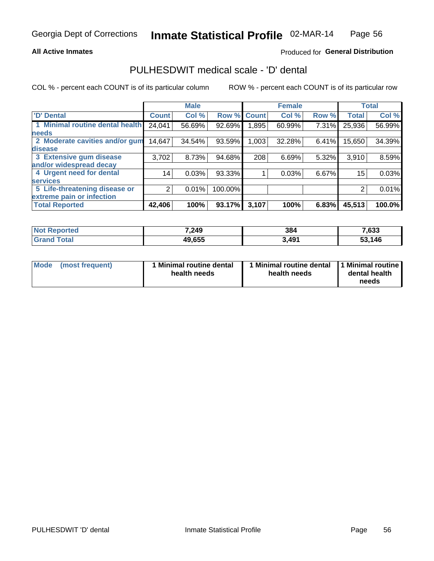#### **All Active Inmates**

### Produced for General Distribution

## PULHESDWIT medical scale - 'D' dental

COL % - percent each COUNT is of its particular column

|                                 |              | <b>Male</b> |         |              | <b>Female</b> |       |              | <b>Total</b> |
|---------------------------------|--------------|-------------|---------|--------------|---------------|-------|--------------|--------------|
| 'D' Dental                      | <b>Count</b> | Col %       | Row %   | <b>Count</b> | Col %         | Row % | <b>Total</b> | Col %        |
| 1 Minimal routine dental health | 24,041       | 56.69%      | 92.69%  | .895         | 60.99%        | 7.31% | 25,936       | 56.99%       |
| <b>needs</b>                    |              |             |         |              |               |       |              |              |
| 2 Moderate cavities and/or gum  | 14,647       | 34.54%      | 93.59%  | 1,003        | 32.28%        | 6.41% | 15,650       | 34.39%       |
| disease                         |              |             |         |              |               |       |              |              |
| 3 Extensive gum disease         | 3,702        | 8.73%       | 94.68%  | 208          | 6.69%         | 5.32% | 3,910        | 8.59%        |
| and/or widespread decay         |              |             |         |              |               |       |              |              |
| 4 Urgent need for dental        | 14           | 0.03%       | 93.33%  |              | 0.03%         | 6.67% | 15           | 0.03%        |
| <b>services</b>                 |              |             |         |              |               |       |              |              |
| 5 Life-threatening disease or   | 2            | 0.01%       | 100.00% |              |               |       | 2            | 0.01%        |
| extreme pain or infection       |              |             |         |              |               |       |              |              |
| <b>Total Reported</b>           | 42,406       | 100%        | 93.17%  | 3,107        | 100%          | 6.83% | 45,513       | 100.0%       |

| <b>Not Reported</b> | 7,249  | 384   | 7,633  |
|---------------------|--------|-------|--------|
| <b>Grand Total</b>  | 49,655 | 3,491 | 53,146 |

| 1 Minimal routine dental<br>Mode<br>(most frequent)<br>health needs | 1 Minimal routine dental 1 Minimal routine<br>health needs | dental health<br>needs |
|---------------------------------------------------------------------|------------------------------------------------------------|------------------------|
|---------------------------------------------------------------------|------------------------------------------------------------|------------------------|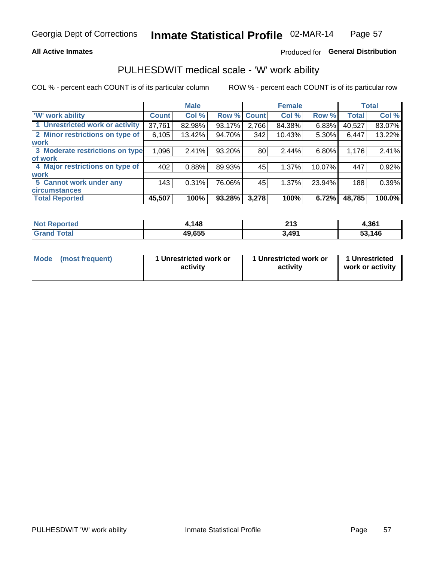#### **All Active Inmates**

### Produced for General Distribution

## PULHESDWIT medical scale - 'W' work ability

COL % - percent each COUNT is of its particular column

|                                 |                    | <b>Male</b> |        |             | <b>Female</b> |        |              | <b>Total</b> |
|---------------------------------|--------------------|-------------|--------|-------------|---------------|--------|--------------|--------------|
| 'W' work ability                | Count <sup>1</sup> | Col %       |        | Row % Count | Col %         | Row %  | <b>Total</b> | Col %        |
| 1 Unrestricted work or activity | 37,761             | 82.98%      | 93.17% | 2,766       | 84.38%        | 6.83%  | 40,527       | 83.07%       |
| 2 Minor restrictions on type of | 6,105              | 13.42%      | 94.70% | 342         | 10.43%        | 5.30%  | 6,447        | 13.22%       |
| <b>work</b>                     |                    |             |        |             |               |        |              |              |
| 3 Moderate restrictions on type | 1,096              | 2.41%       | 93.20% | 80          | 2.44%         | 6.80%  | 1,176        | 2.41%        |
| lof work                        |                    |             |        |             |               |        |              |              |
| 4 Major restrictions on type of | 402                | 0.88%       | 89.93% | 45          | 1.37%         | 10.07% | 447          | 0.92%        |
| <b>work</b>                     |                    |             |        |             |               |        |              |              |
| 5 Cannot work under any         | 143                | 0.31%       | 76.06% | 45          | 1.37%         | 23.94% | 188          | 0.39%        |
| <b>circumstances</b>            |                    |             |        |             |               |        |              |              |
| <b>Total Reported</b>           | 45,507             | 100%        | 93.28% | 3,278       | 100%          | 6.72%  | 48,785       | 100.0%       |

| Not R<br><b>Anorted</b> | 148    | 242<br>2 I J<br>$\sim$ | 361.ا  |
|-------------------------|--------|------------------------|--------|
| Гоtal                   | 49,655 | 3,491                  | 53,146 |

| Mode            | 1 Unrestricted work or | 1 Unrestricted work or | 1 Unrestricted   |
|-----------------|------------------------|------------------------|------------------|
| (most frequent) | activity               | activity               | work or activity |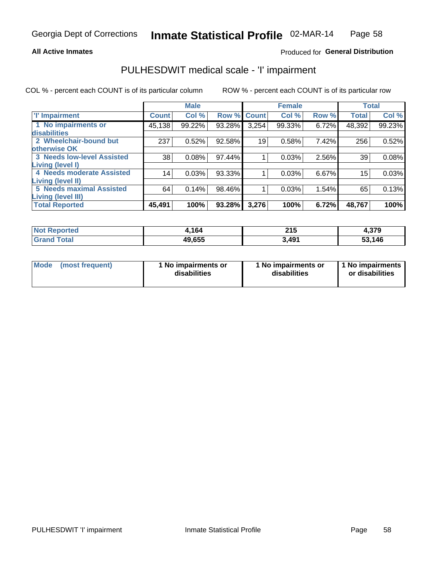#### **All Active Inmates**

### Produced for General Distribution

## PULHESDWIT medical scale - 'I' impairment

COL % - percent each COUNT is of its particular column

|                                                              |                 | <b>Male</b> |             |       | <b>Female</b> |       | <b>Total</b> |        |
|--------------------------------------------------------------|-----------------|-------------|-------------|-------|---------------|-------|--------------|--------|
| <b>T' Impairment</b>                                         | <b>Count</b>    | Col %       | Row % Count |       | Col %         | Row % | <b>Total</b> | Col %  |
| 1 No impairments or<br>disabilities                          | 45,138          | 99.22%      | 93.28%      | 3,254 | 99.33%        | 6.72% | 48,392       | 99.23% |
| 2 Wheelchair-bound but                                       | 237             | 0.52%       | 92.58%      | 19    | 0.58%         | 7.42% | 256          | 0.52%  |
| otherwise OK<br><b>3 Needs low-level Assisted</b>            | 38              | 0.08%       | 97.44%      |       | 0.03%         | 2.56% | 39           | 0.08%  |
| Living (level I)                                             |                 |             |             |       |               |       |              |        |
| 4 Needs moderate Assisted<br>Living (level II)               | 14 <sub>1</sub> | 0.03%       | 93.33%      |       | 0.03%         | 6.67% | 15           | 0.03%  |
| <b>5 Needs maximal Assisted</b><br><b>Living (level III)</b> | 64              | 0.14%       | 98.46%      |       | 0.03%         | 1.54% | 65           | 0.13%  |
| <b>Total Reported</b>                                        | 45,491          | 100%        | 93.28%      | 3,276 | 100%          | 6.72% | 48,767       | 100%   |

| ported | 164    | 215<br>$\sim$ | 4,379      |
|--------|--------|---------------|------------|
| ™otai  | 49,655 | 3,491         | ,146<br>აა |

| Mode | (most frequent) | 1 No impairments or<br>disabilities | 1 No impairments or<br>disabilities | 1 No impairments<br>or disabilities |
|------|-----------------|-------------------------------------|-------------------------------------|-------------------------------------|
|------|-----------------|-------------------------------------|-------------------------------------|-------------------------------------|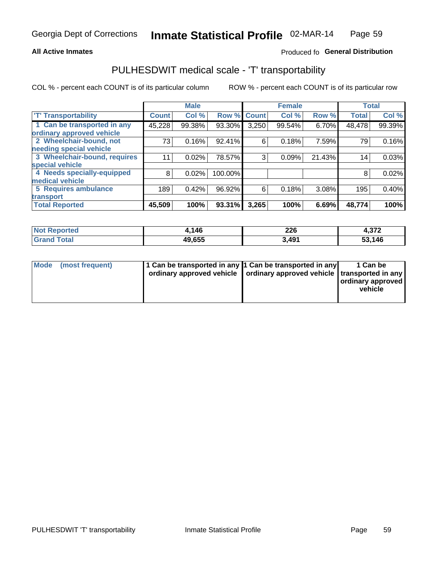#### **All Active Inmates**

#### Produced fo General Distribution

## PULHESDWIT medical scale - 'T' transportability

COL % - percent each COUNT is of its particular column

|                              |              | <b>Male</b> |         |              | <b>Female</b> |        |              | <b>Total</b> |
|------------------------------|--------------|-------------|---------|--------------|---------------|--------|--------------|--------------|
| <b>T' Transportability</b>   | <b>Count</b> | Col %       | Row %   | <b>Count</b> | Col %         | Row %  | <b>Total</b> | Col %        |
| 1 Can be transported in any  | 45,228       | 99.38%      | 93.30%  | 3,250        | 99.54%        | 6.70%  | 48,478       | 99.39%       |
| ordinary approved vehicle    |              |             |         |              |               |        |              |              |
| 2 Wheelchair-bound, not      | 73           | 0.16%       | 92.41%  | 6            | 0.18%         | 7.59%  | 79           | 0.16%        |
| needing special vehicle      |              |             |         |              |               |        |              |              |
| 3 Wheelchair-bound, requires | 11           | 0.02%       | 78.57%  | 3            | 0.09%         | 21.43% | 14           | 0.03%        |
| special vehicle              |              |             |         |              |               |        |              |              |
| 4 Needs specially-equipped   | 8            | 0.02%       | 100.00% |              |               |        | 8            | 0.02%        |
| medical vehicle              |              |             |         |              |               |        |              |              |
| 5 Requires ambulance         | 189          | 0.42%       | 96.92%  | 6            | 0.18%         | 3.08%  | 195          | 0.40%        |
| transport                    |              |             |         |              |               |        |              |              |
| <b>Total Reported</b>        | 45,509       | 100%        | 93.31%  | 3,265        | 100%          | 6.69%  | 48,774       | 100%         |

| <b>Not</b> | 146    | 226    | っつつ         |
|------------|--------|--------|-------------|
| Reported   |        | $\sim$ | 4.JI 4      |
| Total      | 49,655 | 3,491  | ,146<br>53, |

|  | Mode (most frequent) | 1 Can be transported in any 1 Can be transported in any<br>ordinary approved vehicle   ordinary approved vehicle   transported in any |  | 1 Can be<br>  ordinary approved  <br>vehicle |
|--|----------------------|---------------------------------------------------------------------------------------------------------------------------------------|--|----------------------------------------------|
|--|----------------------|---------------------------------------------------------------------------------------------------------------------------------------|--|----------------------------------------------|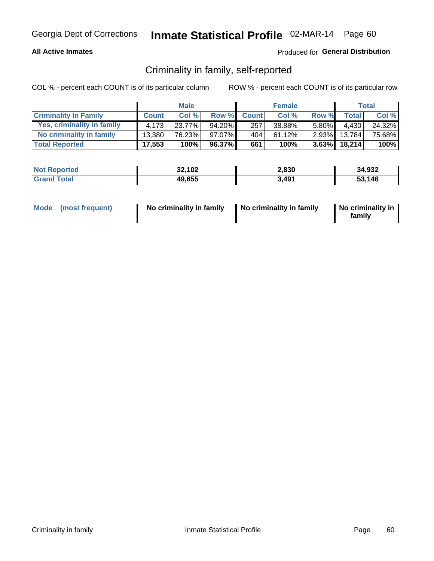#### **All Active Inmates**

### Produced for General Distribution

## Criminality in family, self-reported

COL % - percent each COUNT is of its particular column

|                              |              | <b>Male</b> |        |              | <b>Female</b> |          |                 | Total  |
|------------------------------|--------------|-------------|--------|--------------|---------------|----------|-----------------|--------|
| <b>Criminality In Family</b> | <b>Count</b> | Col %       | Row %  | <b>Count</b> | Col %         | Row %    | <b>Total</b>    | Col %  |
| Yes, criminality in family   | 4.173        | 23.77%      | 94.20% | 257          | 38.88%        | $5.80\%$ | 4,430           | 24.32% |
| No criminality in family     | 13.380       | 76.23%      | 97.07% | 404          | 61.12%        | 2.93%    | 13.784          | 75.68% |
| <b>Total Reported</b>        | 17,553       | 100%        | 96.37% | 661          | 100%          |          | $3.63\%$ 18,214 | 100%   |

| <b>Not Reported</b> | 32,102 | 2,830 | 34,932       |
|---------------------|--------|-------|--------------|
| Tota                | 49,655 | 3,491 | 53.146<br>55 |

|  | Mode (most frequent) | No criminality in family | No criminality in family | No criminality in<br>family |
|--|----------------------|--------------------------|--------------------------|-----------------------------|
|--|----------------------|--------------------------|--------------------------|-----------------------------|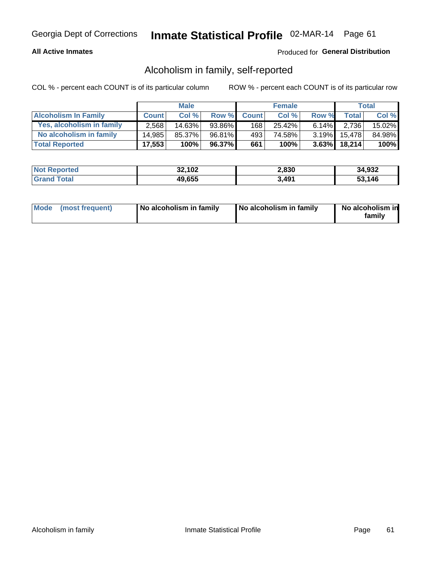#### **All Active Inmates**

#### Produced for General Distribution

## Alcoholism in family, self-reported

COL % - percent each COUNT is of its particular column

|                             |              | <b>Male</b> |        |              | <b>Female</b> |          |                   | Total   |
|-----------------------------|--------------|-------------|--------|--------------|---------------|----------|-------------------|---------|
| <b>Alcoholism In Family</b> | <b>Count</b> | Col %       | Row %  | <b>Count</b> | Col %         | Row %    | <b>Total</b>      | Col %   |
| Yes, alcoholism in family   | 2.568        | 14.63%      | 93.86% | 168          | 25.42%        | $6.14\%$ | 2.736             | 15.02%  |
| No alcoholism in family     | 14.985       | 85.37%      | 96.81% | 493          | 74.58%        |          | 3.19% 15,478      | 84.98%  |
| <b>Total Reported</b>       | 17,553       | 100%        | 96.37% | 661          | 100%          |          | $3.63\%$   18,214 | $100\%$ |

| <b>Not Reported</b> | 32,102 | 2,830 | 34,932 |
|---------------------|--------|-------|--------|
| l Grand T<br>™otal  | 49,655 | 3,491 | 53.146 |

|  | Mode (most frequent) | No alcoholism in family | No alcoholism in family | No alcoholism in<br>family |
|--|----------------------|-------------------------|-------------------------|----------------------------|
|--|----------------------|-------------------------|-------------------------|----------------------------|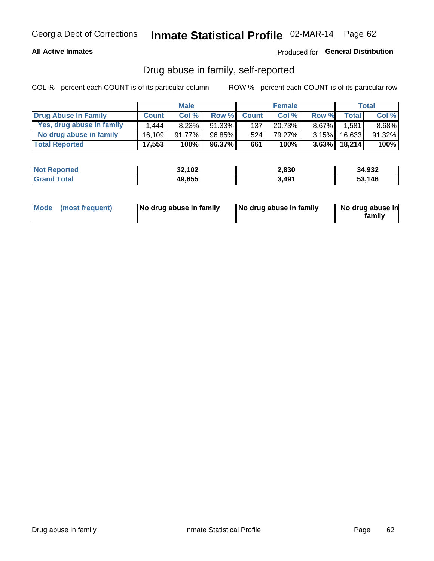#### **All Active Inmates**

### Produced for General Distribution

## Drug abuse in family, self-reported

COL % - percent each COUNT is of its particular column

|                           |              | <b>Male</b> |        |              | <b>Female</b> |          |              | Total    |
|---------------------------|--------------|-------------|--------|--------------|---------------|----------|--------------|----------|
| Drug Abuse In Family      | <b>Count</b> | Col %       | Row %  | <b>Count</b> | Col %         | Row %    | <b>Total</b> | Col %    |
| Yes, drug abuse in family | 1,444        | 8.23%       | 91.33% | 137          | 20.73%        | $8.67\%$ | 1,581        | $8.68\%$ |
| No drug abuse in family   | 16.109       | 91.77%      | 96.85% | 524          | 79.27%        | $3.15\%$ | 16,633       | 91.32%   |
| <b>Total Reported</b>     | 17,553       | 100%        | 96.37% | 661          | 100%          |          | 3.63% 18,214 | $100\%$  |

| <b>Not Reported</b> | 32,102 | 2,830 | 34,932       |
|---------------------|--------|-------|--------------|
| ⊺otai               | 49,655 | 3,491 | 53.146<br>55 |

|  | Mode (most frequent) | No drug abuse in family | No drug abuse in family | No drug abuse in<br>familv |
|--|----------------------|-------------------------|-------------------------|----------------------------|
|--|----------------------|-------------------------|-------------------------|----------------------------|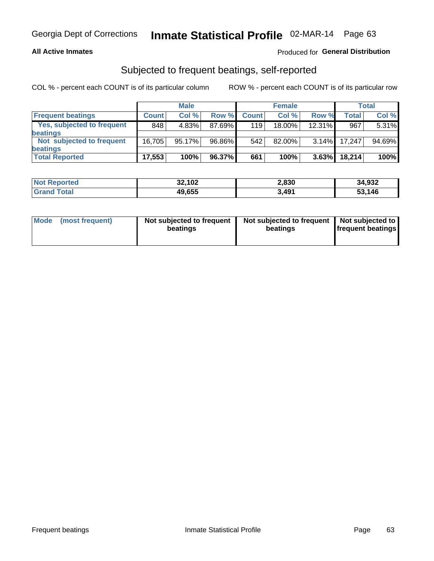#### **All Active Inmates**

### Produced for General Distribution

## Subjected to frequent beatings, self-reported

COL % - percent each COUNT is of its particular column

|                            |              | <b>Male</b> |        |              | <b>Female</b> |          |              | Total  |
|----------------------------|--------------|-------------|--------|--------------|---------------|----------|--------------|--------|
| <b>Frequent beatings</b>   | <b>Count</b> | Col %       | Row %  | <b>Count</b> | Col %         | Row %    | <b>Total</b> | Col %  |
| Yes, subjected to frequent | 848          | 4.83%       | 87.69% | 119          | 18.00%        | 12.31%   | 967          | 5.31%  |
| beatings                   |              |             |        |              |               |          |              |        |
| Not subjected to frequent  | 16.705       | 95.17%      | 96.86% | 542          | $82.00\%$     | $3.14\%$ | 17.247       | 94.69% |
| beatings                   |              |             |        |              |               |          |              |        |
| <b>Total Reported</b>      | 17,553       | 100%        | 96.37% | 661          | 100%          | 3.63%    | 18,214       | 100%   |

| <b>Not Reported</b> | 32,102 | 2,830 | 34,932 |
|---------------------|--------|-------|--------|
| 'Grand Total        | 49,655 | 3,491 | 53,146 |

| Mode (most frequent) | Not subjected to frequent<br>beatings | Not subjected to frequent<br>beatings | Not subjected to<br><b>frequent beatings</b> |
|----------------------|---------------------------------------|---------------------------------------|----------------------------------------------|
|                      |                                       |                                       |                                              |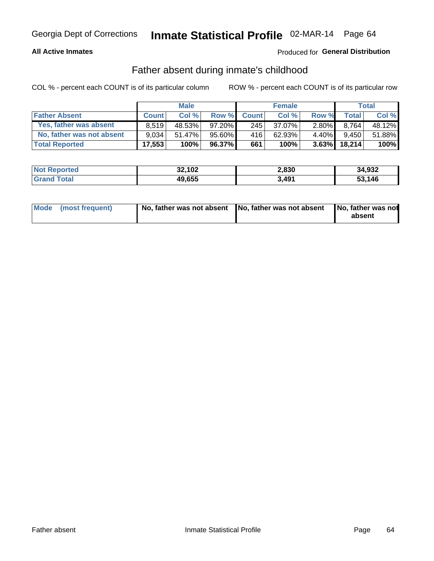#### **All Active Inmates**

### Produced for General Distribution

## Father absent during inmate's childhood

COL % - percent each COUNT is of its particular column

|                           |              | <b>Male</b> |           |              | <b>Female</b> |          |                | <b>Total</b> |
|---------------------------|--------------|-------------|-----------|--------------|---------------|----------|----------------|--------------|
| <b>Father Absent</b>      | <b>Count</b> | Col%        | Row %     | <b>Count</b> | Col %         | Row %    | <b>Total</b> I | Col %        |
| Yes, father was absent    | 8.519        | 48.53%      | $97.20\%$ | 245          | 37.07%        | $2.80\%$ | 8.764          | 48.12%       |
| No, father was not absent | 9.034        | 51.47%      | 95.60%    | 416          | 62.93%        | $4.40\%$ | 9.450          | 51.88%       |
| <b>Total Reported</b>     | 17,553       | 100%        | $96.37\%$ | 661          | 100%          | $3.63\%$ | 18,214         | 100%         |

| <b>Not Reported</b> | 32,102 | 2,830 | 34,932 |
|---------------------|--------|-------|--------|
| <b>Srand Total</b>  | 49,655 | 3,491 | 53.146 |

|  | Mode (most frequent) | No, father was not absent No, father was not absent |  | No, father was not<br>absent |
|--|----------------------|-----------------------------------------------------|--|------------------------------|
|--|----------------------|-----------------------------------------------------|--|------------------------------|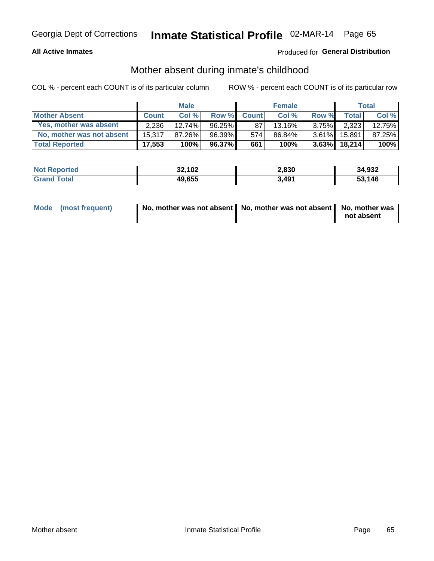#### **All Active Inmates**

### Produced for General Distribution

## Mother absent during inmate's childhood

COL % - percent each COUNT is of its particular column

|                           | <b>Male</b>  |           |              | <b>Female</b> |        |          | <b>Total</b> |        |
|---------------------------|--------------|-----------|--------------|---------------|--------|----------|--------------|--------|
| <b>Mother Absent</b>      | <b>Count</b> | Col%      | <b>Row %</b> | <b>Count</b>  | Col%   | Row %    | <b>Total</b> | Col %  |
| Yes, mother was absent    | 2.236        | $12.74\%$ | $96.25\%$    | 87            | 13.16% | $3.75\%$ | 2,323        | 12.75% |
| No, mother was not absent | 15.317       | 87.26%    | 96.39%       | 574           | 86.84% | $3.61\%$ | 15.891       | 87.25% |
| <b>Total Reported</b>     | 17,553       | 100%      | $96.37\%$    | 661           | 100%   | $3.63\%$ | 18.214       | 100%   |

| <b>Not Reported</b> | 32,102 | 2,830 | 34,932 |
|---------------------|--------|-------|--------|
| ⊺ota                | 49,655 | 3,491 | 53.146 |

| Mode (most frequent) | No, mother was not absent   No, mother was not absent   No, mother was | not absent |
|----------------------|------------------------------------------------------------------------|------------|
|                      |                                                                        |            |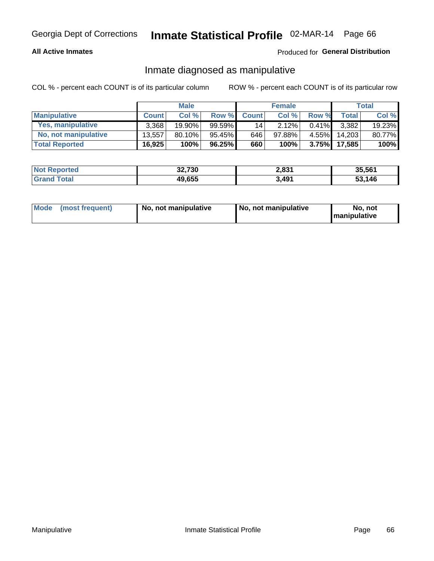#### **All Active Inmates**

### Produced for General Distribution

## Inmate diagnosed as manipulative

COL % - percent each COUNT is of its particular column

|                       | <b>Male</b>  |           |           | <b>Female</b> |        |          | Total              |        |
|-----------------------|--------------|-----------|-----------|---------------|--------|----------|--------------------|--------|
| <b>Manipulative</b>   | <b>Count</b> | Col%      | Row %     | <b>Count</b>  | Col%   | Row %    | Total <sub>1</sub> | Col %  |
| Yes, manipulative     | 3.368        | 19.90%    | 99.59%    | 141           | 2.12%  | $0.41\%$ | 3.382              | 19.23% |
| No, not manipulative  | 13.557       | $80.10\%$ | 95.45%    | 646           | 97.88% | $4.55\%$ | 14.203             | 80.77% |
| <b>Total Reported</b> | 16,925       | 100%      | $96.25\%$ | 660           | 100%   | 3.75%    | 17.585             | 100%   |

| <b>Not Reported</b> | 32,730 | 2,831 | 35,561 |
|---------------------|--------|-------|--------|
| <b>Grand Total</b>  | 49,655 | 3,491 | 53,146 |

|  | Mode (most frequent) | No, not manipulative | , No, not manipulative | No. not<br><b>I</b> manipulative |
|--|----------------------|----------------------|------------------------|----------------------------------|
|--|----------------------|----------------------|------------------------|----------------------------------|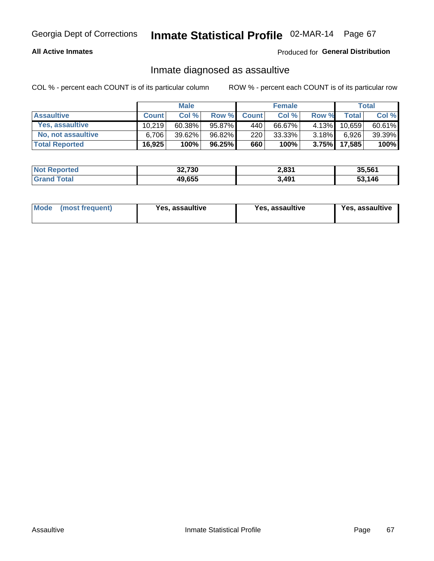#### **All Active Inmates**

Produced for General Distribution

## Inmate diagnosed as assaultive

COL % - percent each COUNT is of its particular column

|                       | <b>Male</b>  |           |        | <b>Female</b> |        |          | Total        |        |
|-----------------------|--------------|-----------|--------|---------------|--------|----------|--------------|--------|
| <b>Assaultive</b>     | <b>Count</b> | Col%      | Row %  | <b>Count</b>  | Col %  | Row %    | <b>Total</b> | Col %  |
| Yes, assaultive       | 10.219       | $60.38\%$ | 95.87% | 440           | 66.67% | 4.13%    | 10,659       | 60.61% |
| No, not assaultive    | 6.706        | $39.62\%$ | 96.82% | 220           | 33.33% | $3.18\%$ | 6,926        | 39.39% |
| <b>Total Reported</b> | 16,925       | 100%      | 96.25% | 660           | 100%   | $3.75\%$ | 17,585       | 100%   |

| <b>Not Reported</b> | 32,730 | 2,831 | 35,561 |
|---------------------|--------|-------|--------|
| Гоtа                | 49,655 | 3,491 | 53.146 |

| Mode (most frequent)<br>Yes, assaultive | Yes, assaultive | <b>Yes, assaultive</b> |
|-----------------------------------------|-----------------|------------------------|
|-----------------------------------------|-----------------|------------------------|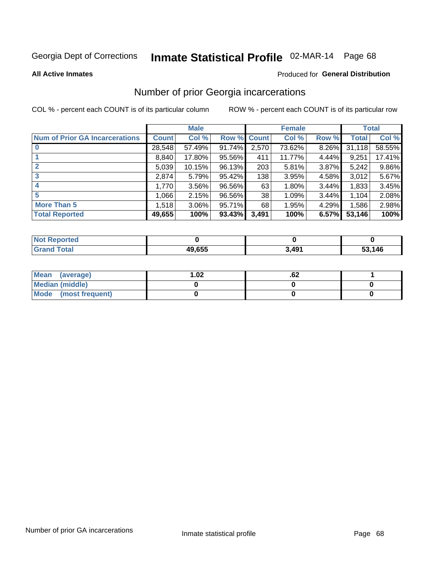# Inmate Statistical Profile 02-MAR-14 Page 68

**All Active Inmates** 

#### **Produced for General Distribution**

## Number of prior Georgia incarcerations

COL % - percent each COUNT is of its particular column

|                                       |              | <b>Male</b> |                    |       | <b>Female</b> |       |        | <b>Total</b> |
|---------------------------------------|--------------|-------------|--------------------|-------|---------------|-------|--------|--------------|
| <b>Num of Prior GA Incarcerations</b> | <b>Count</b> | Col %       | <b>Row % Count</b> |       | Col %         | Row % | Total  | Col %        |
|                                       | 28,548       | 57.49%      | 91.74%             | 2,570 | 73.62%        | 8.26% | 31,118 | 58.55%       |
|                                       | 8,840        | 17.80%      | 95.56%             | 411   | 11.77%        | 4.44% | 9,251  | 17.41%       |
| $\overline{2}$                        | 5,039        | 10.15%      | 96.13%             | 203   | 5.81%         | 3.87% | 5,242  | 9.86%        |
| 3                                     | 2,874        | 5.79%       | 95.42%             | 138   | 3.95%         | 4.58% | 3,012  | 5.67%        |
| $\boldsymbol{4}$                      | 1,770        | 3.56%       | 96.56%             | 63    | 1.80%         | 3.44% | 1,833  | 3.45%        |
| 5                                     | 1,066        | 2.15%       | 96.56%             | 38    | 1.09%         | 3.44% | 1,104  | 2.08%        |
| <b>More Than 5</b>                    | 1,518        | $3.06\%$    | 95.71%             | 68    | 1.95%         | 4.29% | 1,586  | 2.98%        |
| <b>Total Reported</b>                 | 49,655       | 100%        | 93.43%             | 3,491 | 100%          | 6.57% | 53,146 | 100%         |

| <b>Not</b><br><b>Reported</b> |        |       |        |
|-------------------------------|--------|-------|--------|
| <b>Total</b><br>Grand         | 49,655 | 3,491 | 53,146 |

| Mean (average)       | 1.02 | .vz |  |
|----------------------|------|-----|--|
| Median (middle)      |      |     |  |
| Mode (most frequent) |      |     |  |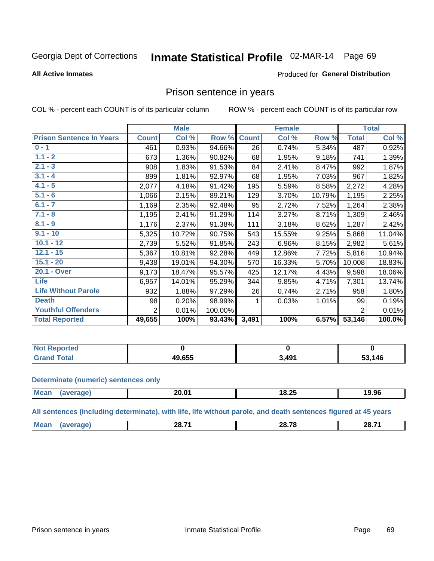# Inmate Statistical Profile 02-MAR-14 Page 69

#### **All Active Inmates**

#### Produced for General Distribution

### Prison sentence in years

COL % - percent each COUNT is of its particular column

ROW % - percent each COUNT is of its particular row

|                                 | <b>Male</b>    |        |         |              | <b>Female</b> | <b>Total</b> |                |        |
|---------------------------------|----------------|--------|---------|--------------|---------------|--------------|----------------|--------|
| <b>Prison Sentence In Years</b> | <b>Count</b>   | Col %  | Row %   | <b>Count</b> | Col %         | Row %        | <b>Total</b>   | Col %  |
| $0 - 1$                         | 461            | 0.93%  | 94.66%  | 26           | 0.74%         | 5.34%        | 487            | 0.92%  |
| $1.1 - 2$                       | 673            | 1.36%  | 90.82%  | 68           | 1.95%         | 9.18%        | 741            | 1.39%  |
| $2.1 - 3$                       | 908            | 1.83%  | 91.53%  | 84           | 2.41%         | 8.47%        | 992            | 1.87%  |
| $3.1 - 4$                       | 899            | 1.81%  | 92.97%  | 68           | 1.95%         | 7.03%        | 967            | 1.82%  |
| $4.1 - 5$                       | 2,077          | 4.18%  | 91.42%  | 195          | 5.59%         | 8.58%        | 2,272          | 4.28%  |
| $5.1 - 6$                       | 1,066          | 2.15%  | 89.21%  | 129          | 3.70%         | 10.79%       | 1,195          | 2.25%  |
| $6.1 - 7$                       | 1,169          | 2.35%  | 92.48%  | 95           | 2.72%         | 7.52%        | 1,264          | 2.38%  |
| $7.1 - 8$                       | 1,195          | 2.41%  | 91.29%  | 114          | 3.27%         | 8.71%        | 1,309          | 2.46%  |
| $8.1 - 9$                       | 1,176          | 2.37%  | 91.38%  | 111          | 3.18%         | 8.62%        | 1,287          | 2.42%  |
| $9.1 - 10$                      | 5,325          | 10.72% | 90.75%  | 543          | 15.55%        | 9.25%        | 5,868          | 11.04% |
| $10.1 - 12$                     | 2,739          | 5.52%  | 91.85%  | 243          | 6.96%         | 8.15%        | 2,982          | 5.61%  |
| $12.1 - 15$                     | 5,367          | 10.81% | 92.28%  | 449          | 12.86%        | 7.72%        | 5,816          | 10.94% |
| $15.1 - 20$                     | 9,438          | 19.01% | 94.30%  | 570          | 16.33%        | 5.70%        | 10,008         | 18.83% |
| 20.1 - Over                     | 9,173          | 18.47% | 95.57%  | 425          | 12.17%        | 4.43%        | 9,598          | 18.06% |
| <b>Life</b>                     | 6,957          | 14.01% | 95.29%  | 344          | 9.85%         | 4.71%        | 7,301          | 13.74% |
| <b>Life Without Parole</b>      | 932            | 1.88%  | 97.29%  | 26           | 0.74%         | 2.71%        | 958            | 1.80%  |
| <b>Death</b>                    | 98             | 0.20%  | 98.99%  |              | 0.03%         | 1.01%        | 99             | 0.19%  |
| <b>Youthful Offenders</b>       | $\overline{2}$ | 0.01%  | 100.00% |              |               |              | $\overline{2}$ | 0.01%  |
| <b>Total Reported</b>           | 49,655         | 100%   | 93.43%  | 3,491        | 100%          | 6.57%        | 53,146         | 100.0% |

| Reported<br>I NOT |        |                    |           |
|-------------------|--------|--------------------|-----------|
| <b>otal</b>       | 19,655 | $\Lambda$ 04<br>43 | 146<br>гη |

#### **Determinate (numeric) sentences only**

| <b>Mean</b> | 20.01 | 18.25 | 19.96 |
|-------------|-------|-------|-------|
|             |       |       |       |

All sentences (including determinate), with life, life without parole, and death sentences figured at 45 years

| M | -- - -<br>эc<br>–.<br>_v., | -- --<br>ንአ<br>____ | 28.71 |
|---|----------------------------|---------------------|-------|
|   |                            |                     |       |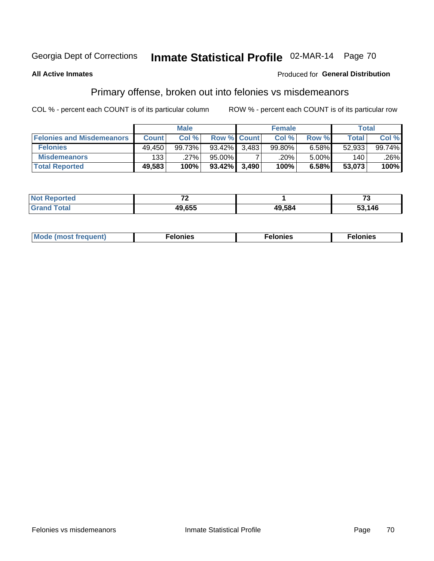# Inmate Statistical Profile 02-MAR-14 Page 70

#### **All Active Inmates**

#### **Produced for General Distribution**

## Primary offense, broken out into felonies vs misdemeanors

COL % - percent each COUNT is of its particular column

|                                  | <b>Male</b>  |        |                    | <b>Female</b> |        |       | Total        |        |
|----------------------------------|--------------|--------|--------------------|---------------|--------|-------|--------------|--------|
| <b>Felonies and Misdemeanors</b> | <b>Count</b> | Col %  | <b>Row % Count</b> |               | Col %  | Row % | <b>Total</b> | Col %  |
| <b>Felonies</b>                  | 49.450       | 99.73% | 93.42%             | 3.483         | 99.80% | 6.58% | 52,933       | 99.74% |
| <b>Misdemeanors</b>              | 133          | .27%   | 95.00%             |               | .20%   | 5.00% | 140          | .26%   |
| <b>Total Reported</b>            | 49,583       | 100%   | 93.42% 3,490       |               | 100%   | 6.58% | 53,073       | 100%   |

| <b>Not Reported</b> | $-$    |        | --     |
|---------------------|--------|--------|--------|
| Grand<br>Гоtal      | 19.655 | 49,584 | 53,146 |

| Мı     | . | nes | onies |
|--------|---|-----|-------|
| 1Uenti | . | .   | .     |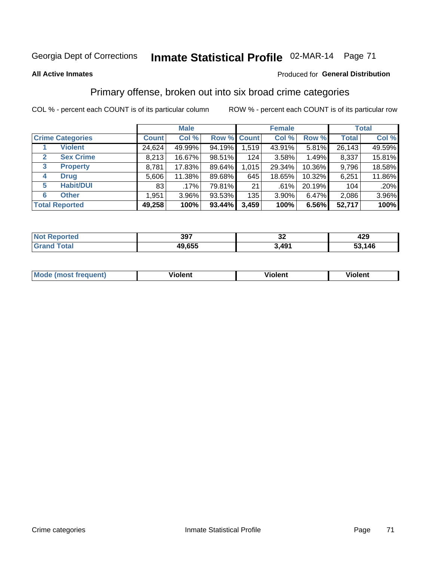## Georgia Dept of Corrections **Inmate Statistical Profile** 02-MAR-14 Page 71

#### **All Active Inmates**

#### Produced for **General Distribution**

## Primary offense, broken out into six broad crime categories

COL % - percent each COUNT is of its particular column ROW % - percent each COUNT is of its particular row

|                                  |              | <b>Male</b> |           |             | <b>Female</b> |        |              | <b>Total</b> |  |
|----------------------------------|--------------|-------------|-----------|-------------|---------------|--------|--------------|--------------|--|
| <b>Crime Categories</b>          | <b>Count</b> | Col %       |           | Row % Count | Col %         | Row %  | <b>Total</b> | Col %        |  |
| <b>Violent</b>                   | 24,624       | 49.99%      | 94.19%    | 1,519       | 43.91%        | 5.81%  | 26,143       | 49.59%       |  |
| <b>Sex Crime</b><br>$\mathbf{2}$ | 8,213        | 16.67%      | 98.51%    | 124         | 3.58%         | 1.49%  | 8,337        | 15.81%       |  |
| 3<br><b>Property</b>             | 8,781        | 17.83%      | 89.64%    | 1,015       | 29.34%        | 10.36% | 9,796        | 18.58%       |  |
| <b>Drug</b><br>4                 | 5,606        | 11.38%      | 89.68%    | 645         | 18.65%        | 10.32% | 6,251        | 11.86%       |  |
| <b>Habit/DUI</b><br>5            | 83           | .17%        | 79.81%    | 21          | .61%          | 20.19% | 104          | .20%         |  |
| <b>Other</b><br>6                | 1,951        | 3.96%       | 93.53%    | 135         | 3.90%         | 6.47%  | 2,086        | 3.96%        |  |
| <b>Total Reported</b>            | 49,258       | 100%        | $93.44\%$ | 3,459       | 100%          | 6.56%  | 52,717       | 100%         |  |

| eported<br>N. | 397    | ^'<br>JŁ.         | 429 |
|---------------|--------|-------------------|-----|
| <b>otal</b>   | 49,655 | $\Lambda$ Q1<br>™ | 146 |

| <b>Mode (most frequent)</b> | .<br>ïolent | 'iolent | ---<br>Violent |
|-----------------------------|-------------|---------|----------------|
|                             |             |         |                |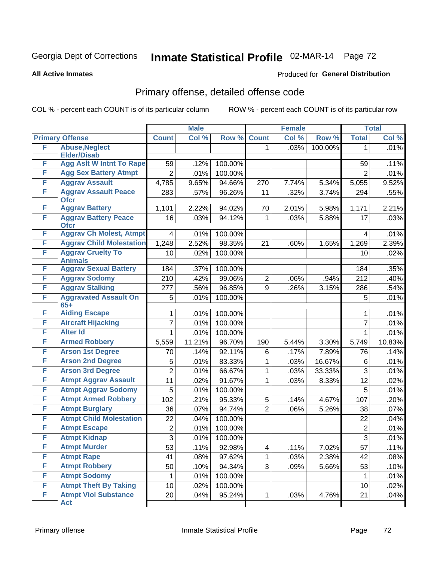## Georgia Dept of Corrections **Inmate Statistical Profile** 02-MAR-14 Page 72

**All Active Inmates**

#### Produced for **General Distribution**

## Primary offense, detailed offense code

COL % - percent each COUNT is of its particular column ROW % - percent each COUNT is of its particular row

|   |                                            |                | <b>Male</b> |         |                | <b>Female</b> |         |                | <b>Total</b> |
|---|--------------------------------------------|----------------|-------------|---------|----------------|---------------|---------|----------------|--------------|
|   | <b>Primary Offense</b>                     | <b>Count</b>   | Col %       | Row %   | <b>Count</b>   | Col %         | Row %   | <b>Total</b>   | Col %        |
| F | <b>Abuse, Neglect</b>                      |                |             |         | 1.             | .03%          | 100.00% | 1              | .01%         |
|   | <b>Elder/Disab</b>                         |                |             |         |                |               |         |                |              |
| F | <b>Agg Aslt W Intnt To Rape</b>            | 59             | .12%        | 100.00% |                |               |         | 59             | .11%         |
| F | <b>Agg Sex Battery Atmpt</b>               | $\overline{2}$ | .01%        | 100.00% |                |               |         | $\overline{2}$ | .01%         |
| F | <b>Aggrav Assault</b>                      | 4,785          | 9.65%       | 94.66%  | 270            | 7.74%         | 5.34%   | 5,055          | 9.52%        |
| F | <b>Aggrav Assault Peace</b><br><b>Ofcr</b> | 283            | .57%        | 96.26%  | 11             | .32%          | 3.74%   | 294            | .55%         |
| F | <b>Aggrav Battery</b>                      | 1,101          | 2.22%       | 94.02%  | 70             | 2.01%         | 5.98%   | 1,171          | 2.21%        |
| F | <b>Aggrav Battery Peace</b><br><b>Ofcr</b> | 16             | .03%        | 94.12%  | 1              | .03%          | 5.88%   | 17             | .03%         |
| F | <b>Aggrav Ch Molest, Atmpt</b>             | 4              | .01%        | 100.00% |                |               |         | 4              | .01%         |
| F | <b>Aggrav Child Molestation</b>            | 1,248          | 2.52%       | 98.35%  | 21             | .60%          | 1.65%   | 1,269          | 2.39%        |
| F | <b>Aggrav Cruelty To</b><br><b>Animals</b> | 10             | .02%        | 100.00% |                |               |         | 10             | .02%         |
| F | <b>Aggrav Sexual Battery</b>               | 184            | .37%        | 100.00% |                |               |         | 184            | .35%         |
| F | <b>Aggrav Sodomy</b>                       | 210            | .42%        | 99.06%  | $\overline{2}$ | .06%          | .94%    | 212            | .40%         |
| F | <b>Aggrav Stalking</b>                     | 277            | .56%        | 96.85%  | 9              | .26%          | 3.15%   | 286            | .54%         |
| F | <b>Aggravated Assault On</b><br>$65+$      | 5              | .01%        | 100.00% |                |               |         | 5              | .01%         |
| F | <b>Aiding Escape</b>                       | 1              | .01%        | 100.00% |                |               |         | 1              | .01%         |
| F | <b>Aircraft Hijacking</b>                  | 7              | .01%        | 100.00% |                |               |         | $\overline{7}$ | .01%         |
| F | <b>Alter Id</b>                            | 1              | .01%        | 100.00% |                |               |         | 1              | .01%         |
| F | <b>Armed Robbery</b>                       | 5,559          | 11.21%      | 96.70%  | 190            | 5.44%         | 3.30%   | 5,749          | 10.83%       |
| F | <b>Arson 1st Degree</b>                    | 70             | .14%        | 92.11%  | 6              | .17%          | 7.89%   | 76             | .14%         |
| F | <b>Arson 2nd Degree</b>                    | 5              | .01%        | 83.33%  | 1              | .03%          | 16.67%  | 6              | .01%         |
| F | <b>Arson 3rd Degree</b>                    | $\overline{2}$ | .01%        | 66.67%  | 1              | .03%          | 33.33%  | 3              | .01%         |
| F | <b>Atmpt Aggrav Assault</b>                | 11             | .02%        | 91.67%  | 1              | .03%          | 8.33%   | 12             | .02%         |
| F | <b>Atmpt Aggrav Sodomy</b>                 | 5              | .01%        | 100.00% |                |               |         | 5              | .01%         |
| F | <b>Atmpt Armed Robbery</b>                 | 102            | .21%        | 95.33%  | 5              | .14%          | 4.67%   | 107            | .20%         |
| F | <b>Atmpt Burglary</b>                      | 36             | .07%        | 94.74%  | $\overline{2}$ | .06%          | 5.26%   | 38             | .07%         |
| F | <b>Atmpt Child Molestation</b>             | 22             | .04%        | 100.00% |                |               |         | 22             | .04%         |
| F | <b>Atmpt Escape</b>                        | $\mathbf 2$    | .01%        | 100.00% |                |               |         | 2              | .01%         |
| F | <b>Atmpt Kidnap</b>                        | $\overline{3}$ | .01%        | 100.00% |                |               |         | $\overline{3}$ | .01%         |
| F | <b>Atmpt Murder</b>                        | 53             | .11%        | 92.98%  | 4              | .11%          | 7.02%   | 57             | .11%         |
| F | <b>Atmpt Rape</b>                          | 41             | .08%        | 97.62%  | 1.             | .03%          | 2.38%   | 42             | .08%         |
| F | <b>Atmpt Robbery</b>                       | 50             | .10%        | 94.34%  | 3              | .09%          | 5.66%   | 53             | .10%         |
| F | <b>Atmpt Sodomy</b>                        | 1              | .01%        | 100.00% |                |               |         | 1              | .01%         |
| F | <b>Atmpt Theft By Taking</b>               | 10             | .02%        | 100.00% |                |               |         | 10             | .02%         |
| F | <b>Atmpt Viol Substance</b><br><b>Act</b>  | 20             | .04%        | 95.24%  | $\mathbf 1$    | .03%          | 4.76%   | 21             | .04%         |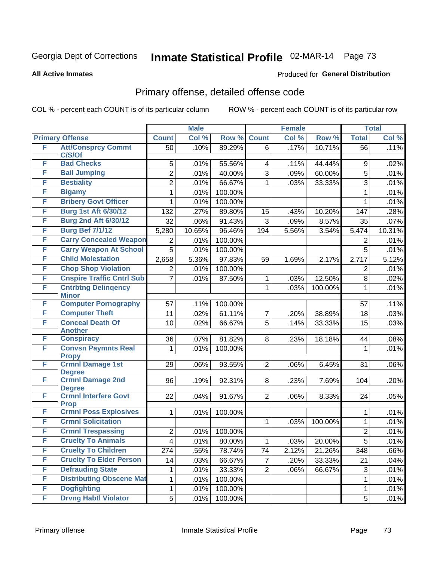**All Active Inmates**

#### Produced for **General Distribution**

### Primary offense, detailed offense code

|   |                                            |                         | <b>Male</b> |         |                | <b>Female</b> |         |                | <b>Total</b> |
|---|--------------------------------------------|-------------------------|-------------|---------|----------------|---------------|---------|----------------|--------------|
|   | <b>Primary Offense</b>                     | <b>Count</b>            | Col %       | Row %   | <b>Count</b>   | Col %         | Row %   | <b>Total</b>   | Col %        |
| F | <b>Att/Consprcy Commt</b>                  | 50                      | .10%        | 89.29%  | 6              | .17%          | 10.71%  | 56             | .11%         |
| F | C/S/Of<br><b>Bad Checks</b>                |                         |             |         |                |               |         |                |              |
| F | <b>Bail Jumping</b>                        | 5                       | .01%        | 55.56%  | 4              | .11%          | 44.44%  | 9              | .02%         |
| F |                                            | $\overline{2}$          | .01%        | 40.00%  | 3              | .09%          | 60.00%  | 5              | .01%         |
|   | <b>Bestiality</b>                          | $\overline{2}$          | .01%        | 66.67%  | 1              | .03%          | 33.33%  | 3              | .01%         |
| F | <b>Bigamy</b>                              | 1                       | .01%        | 100.00% |                |               |         | 1              | .01%         |
| F | <b>Bribery Govt Officer</b>                | 1                       | .01%        | 100.00% |                |               |         | 1              | .01%         |
| F | <b>Burg 1st Aft 6/30/12</b>                | 132                     | .27%        | 89.80%  | 15             | .43%          | 10.20%  | 147            | .28%         |
| F | <b>Burg 2nd Aft 6/30/12</b>                | 32                      | .06%        | 91.43%  | 3              | .09%          | 8.57%   | 35             | .07%         |
| F | <b>Burg Bef 7/1/12</b>                     | 5,280                   | 10.65%      | 96.46%  | 194            | 5.56%         | 3.54%   | 5,474          | 10.31%       |
| F | <b>Carry Concealed Weapon</b>              | 2                       | .01%        | 100.00% |                |               |         | 2              | .01%         |
| F | <b>Carry Weapon At School</b>              | 5                       | .01%        | 100.00% |                |               |         | 5              | .01%         |
| F | <b>Child Molestation</b>                   | 2,658                   | 5.36%       | 97.83%  | 59             | 1.69%         | 2.17%   | 2,717          | 5.12%        |
| F | <b>Chop Shop Violation</b>                 | 2                       | .01%        | 100.00% |                |               |         | 2              | .01%         |
| F | <b>Cnspire Traffic Cntrl Sub</b>           | $\overline{7}$          | .01%        | 87.50%  | 1              | .03%          | 12.50%  | 8              | .02%         |
| F | <b>Cntrbtng Delingency</b><br><b>Minor</b> |                         |             |         | 1              | .03%          | 100.00% | $\mathbf{1}$   | .01%         |
| F | <b>Computer Pornography</b>                | 57                      | .11%        | 100.00% |                |               |         | 57             | .11%         |
| F | <b>Computer Theft</b>                      | 11                      | .02%        | 61.11%  | 7              | .20%          | 38.89%  | 18             | .03%         |
| F | <b>Conceal Death Of</b>                    | 10                      | .02%        | 66.67%  | $\overline{5}$ | .14%          | 33.33%  | 15             | .03%         |
|   | <b>Another</b>                             |                         |             |         |                |               |         |                |              |
| F | <b>Conspiracy</b>                          | 36                      | .07%        | 81.82%  | 8              | .23%          | 18.18%  | 44             | .08%         |
| F | <b>Convsn Paymnts Real</b><br><b>Propy</b> | 1                       | .01%        | 100.00% |                |               |         | 1              | .01%         |
| F | <b>Crmnl Damage 1st</b>                    | 29                      | .06%        | 93.55%  | $\overline{2}$ | .06%          | 6.45%   | 31             | .06%         |
|   | <b>Degree</b>                              |                         |             |         |                |               |         |                |              |
| F | <b>Crmnl Damage 2nd</b><br><b>Degree</b>   | 96                      | .19%        | 92.31%  | 8 <sup>1</sup> | .23%          | 7.69%   | 104            | .20%         |
| F | <b>Crmnl Interfere Govt</b>                | 22                      | .04%        | 91.67%  | $\overline{2}$ | .06%          | 8.33%   | 24             | .05%         |
|   | <b>Prop</b>                                |                         |             |         |                |               |         |                |              |
| F | <b>Crmnl Poss Explosives</b>               | 1                       | .01%        | 100.00% |                |               |         | 1              | .01%         |
| F | <b>Crmnl Solicitation</b>                  |                         |             |         | 1              | .03%          | 100.00% | $\mathbf{1}$   | .01%         |
| F | <b>Crmnl Trespassing</b>                   | $\overline{c}$          | .01%        | 100.00% |                |               |         | $\overline{2}$ | .01%         |
| F | <b>Cruelty To Animals</b>                  | $\overline{\mathbf{4}}$ | .01%        | 80.00%  | $\mathbf 1$    | .03%          | 20.00%  | $\overline{5}$ | .01%         |
| F | <b>Cruelty To Children</b>                 | 274                     | .55%        | 78.74%  | 74             | 2.12%         | 21.26%  | 348            | .66%         |
| F | <b>Cruelty To Elder Person</b>             | 14                      | .03%        | 66.67%  | $\overline{7}$ | .20%          | 33.33%  | 21             | .04%         |
| F | <b>Defrauding State</b>                    | 1                       | .01%        | 33.33%  | $\overline{2}$ | .06%          | 66.67%  | $\sqrt{3}$     | .01%         |
| F | <b>Distributing Obscene Mat</b>            | 1                       | .01%        | 100.00% |                |               |         | $\mathbf{1}$   | .01%         |
| F | <b>Dogfighting</b>                         | 1                       | .01%        | 100.00% |                |               |         | $\mathbf 1$    | .01%         |
| F | <b>Drvng Habtl Violator</b>                | 5                       | .01%        | 100.00% |                |               |         | 5              | .01%         |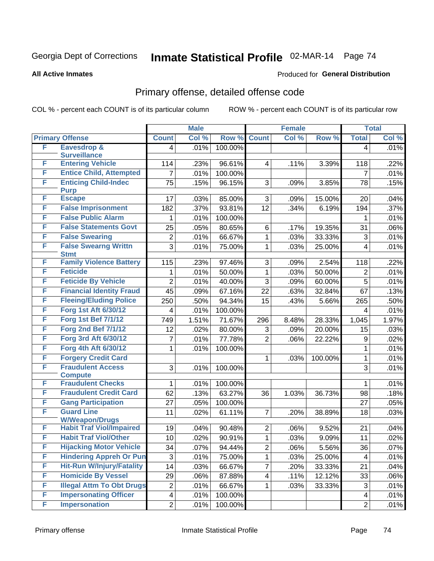#### **All Active Inmates**

#### Produced for **General Distribution**

### Primary offense, detailed offense code

|        |                                            |                         | <b>Male</b> |         |                         | <b>Female</b> |         |                | <b>Total</b> |
|--------|--------------------------------------------|-------------------------|-------------|---------|-------------------------|---------------|---------|----------------|--------------|
|        | <b>Primary Offense</b>                     | <b>Count</b>            | Col %       | Row %   | <b>Count</b>            | Col %         | Row %   | <b>Total</b>   | Col %        |
| F      | <b>Eavesdrop &amp;</b>                     | 4 <sup>1</sup>          | .01%        | 100.00% |                         |               |         | $\overline{4}$ | .01%         |
|        | <b>Surveillance</b>                        |                         |             |         |                         |               |         |                |              |
| F      | <b>Entering Vehicle</b>                    | 114                     | .23%        | 96.61%  | $\overline{4}$          | .11%          | 3.39%   | 118            | .22%         |
| F<br>F | <b>Entice Child, Attempted</b>             | $\overline{7}$          | .01%        | 100.00% |                         |               |         | $\overline{7}$ | .01%         |
|        | <b>Enticing Child-Indec</b><br><b>Purp</b> | 75                      | .15%        | 96.15%  | 3                       | .09%          | 3.85%   | 78             | .15%         |
| F      | <b>Escape</b>                              | 17                      | .03%        | 85.00%  | 3                       | .09%          | 15.00%  | 20             | .04%         |
| F      | <b>False Imprisonment</b>                  | 182                     | .37%        | 93.81%  | 12                      | .34%          | 6.19%   | 194            | .37%         |
| F      | <b>False Public Alarm</b>                  | 1                       | .01%        | 100.00% |                         |               |         | 1              | .01%         |
| F      | <b>False Statements Govt</b>               | 25                      | .05%        | 80.65%  | 6                       | .17%          | 19.35%  | 31             | .06%         |
| F      | <b>False Swearing</b>                      | $\overline{c}$          | .01%        | 66.67%  | $\mathbf{1}$            | .03%          | 33.33%  | 3              | .01%         |
| F      | <b>False Swearng Writtn</b>                | $\overline{3}$          | .01%        | 75.00%  | $\mathbf{1}$            | .03%          | 25.00%  | 4              | .01%         |
|        | <b>Stmt</b>                                |                         |             |         |                         |               |         |                |              |
| F      | <b>Family Violence Battery</b>             | 115                     | .23%        | 97.46%  | 3                       | .09%          | 2.54%   | 118            | .22%         |
| F      | <b>Feticide</b>                            | 1                       | .01%        | 50.00%  | $\mathbf{1}$            | .03%          | 50.00%  | $\overline{2}$ | .01%         |
| F      | <b>Feticide By Vehicle</b>                 | $\overline{2}$          | .01%        | 40.00%  | 3                       | .09%          | 60.00%  | $\overline{5}$ | .01%         |
| F      | <b>Financial Identity Fraud</b>            | 45                      | .09%        | 67.16%  | 22                      | .63%          | 32.84%  | 67             | .13%         |
| F      | <b>Fleeing/Eluding Police</b>              | 250                     | .50%        | 94.34%  | 15                      | .43%          | 5.66%   | 265            | .50%         |
| F      | <b>Forg 1st Aft 6/30/12</b>                | 4                       | .01%        | 100.00% |                         |               |         | 4              | .01%         |
| F      | <b>Forg 1st Bef 7/1/12</b>                 | 749                     | 1.51%       | 71.67%  | 296                     | 8.48%         | 28.33%  | 1,045          | 1.97%        |
| F      | <b>Forg 2nd Bef 7/1/12</b>                 | 12                      | .02%        | 80.00%  | 3                       | .09%          | 20.00%  | 15             | .03%         |
| F      | Forg 3rd Aft 6/30/12                       | 7                       | .01%        | 77.78%  | $\overline{2}$          | .06%          | 22.22%  | 9              | .02%         |
| F      | Forg 4th Aft 6/30/12                       | 1                       | .01%        | 100.00% |                         |               |         | 1              | .01%         |
| F      | <b>Forgery Credit Card</b>                 |                         |             |         | 1                       | .03%          | 100.00% | 1              | .01%         |
| F      | <b>Fraudulent Access</b>                   | 3                       | .01%        | 100.00% |                         |               |         | 3              | .01%         |
| F      | <b>Compute</b><br><b>Fraudulent Checks</b> | 1                       | .01%        | 100.00% |                         |               |         | 1              | .01%         |
| F      | <b>Fraudulent Credit Card</b>              | 62                      | .13%        | 63.27%  | 36                      | 1.03%         | 36.73%  | 98             | .18%         |
| F      | <b>Gang Participation</b>                  | 27                      | .05%        | 100.00% |                         |               |         | 27             | .05%         |
| F      | <b>Guard Line</b>                          | 11                      | .02%        | 61.11%  | $\overline{7}$          | .20%          | 38.89%  | 18             | .03%         |
|        | <b>W/Weapon/Drugs</b>                      |                         |             |         |                         |               |         |                |              |
| F      | <b>Habit Traf Viol/Impaired</b>            | 19                      | .04%        | 90.48%  | $\overline{2}$          | .06%          | 9.52%   | 21             | .04%         |
| F      | <b>Habit Traf Viol/Other</b>               | 10 <sup>1</sup>         | .02%        | 90.91%  | $\mathbf 1$             | .03%          | 9.09%   | 11             | .02%         |
| F      | <b>Hijacking Motor Vehicle</b>             | 34                      | .07%        | 94.44%  | $\overline{2}$          | .06%          | 5.56%   | 36             | .07%         |
| F      | <b>Hindering Appreh Or Pun</b>             | 3                       | .01%        | 75.00%  | 1                       | .03%          | 25.00%  | 4              | .01%         |
| F      | <b>Hit-Run W/Injury/Fatality</b>           | 14                      | .03%        | 66.67%  | $\overline{7}$          | .20%          | 33.33%  | 21             | .04%         |
| F      | <b>Homicide By Vessel</b>                  | 29                      | .06%        | 87.88%  | $\overline{\mathbf{4}}$ | .11%          | 12.12%  | 33             | .06%         |
| F      | <b>Illegal Attm To Obt Drugs</b>           | $\boldsymbol{2}$        | .01%        | 66.67%  | 1                       | .03%          | 33.33%  | 3              | .01%         |
| F      | <b>Impersonating Officer</b>               | $\overline{\mathbf{4}}$ | .01%        | 100.00% |                         |               |         | 4              | .01%         |
| F      | <b>Impersonation</b>                       | $\overline{2}$          | .01%        | 100.00% |                         |               |         | $\overline{2}$ | .01%         |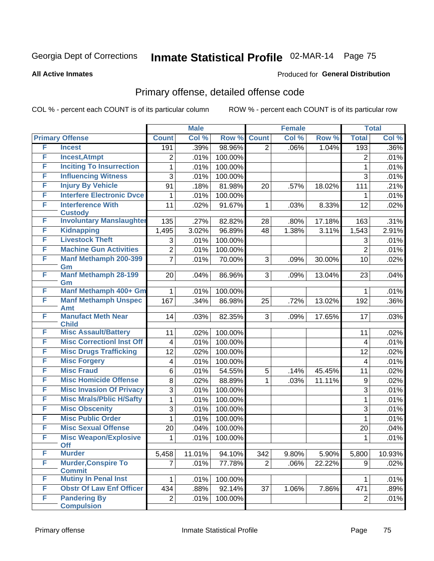Produced for **General Distribution**

#### **All Active Inmates**

### Primary offense, detailed offense code

|   |                                             |                | <b>Male</b> |         | <b>Female</b>  |       |        |                  | <b>Total</b> |
|---|---------------------------------------------|----------------|-------------|---------|----------------|-------|--------|------------------|--------------|
|   | <b>Primary Offense</b>                      | <b>Count</b>   | Col %       | Row %   | <b>Count</b>   | Col % | Row %  | <b>Total</b>     | Col %        |
| F | <b>Incest</b>                               | 191            | .39%        | 98.96%  | $\overline{2}$ | .06%  | 1.04%  | 193              | .36%         |
| F | <b>Incest, Atmpt</b>                        | $\overline{2}$ | .01%        | 100.00% |                |       |        | 2                | .01%         |
| F | <b>Inciting To Insurrection</b>             | 1              | .01%        | 100.00% |                |       |        | 1                | .01%         |
| F | <b>Influencing Witness</b>                  | 3              | .01%        | 100.00% |                |       |        | 3                | .01%         |
| F | <b>Injury By Vehicle</b>                    | 91             | .18%        | 81.98%  | 20             | .57%  | 18.02% | 111              | .21%         |
| F | <b>Interfere Electronic Dvce</b>            | 1              | .01%        | 100.00% |                |       |        | 1                | .01%         |
| F | <b>Interference With</b>                    | 11             | .02%        | 91.67%  | 1              | .03%  | 8.33%  | 12               | .02%         |
|   | <b>Custody</b>                              |                |             |         |                |       |        |                  |              |
| F | <b>Involuntary Manslaughter</b>             | 135            | .27%        | 82.82%  | 28             | .80%  | 17.18% | 163              | .31%         |
| F | <b>Kidnapping</b>                           | 1,495          | 3.02%       | 96.89%  | 48             | 1.38% | 3.11%  | 1,543            | 2.91%        |
| F | <b>Livestock Theft</b>                      | 3              | .01%        | 100.00% |                |       |        | 3                | .01%         |
| F | <b>Machine Gun Activities</b>               | $\overline{2}$ | $.01\%$     | 100.00% |                |       |        | $\overline{2}$   | .01%         |
| F | <b>Manf Methamph 200-399</b>                | $\overline{7}$ | .01%        | 70.00%  | 3              | .09%  | 30.00% | 10               | .02%         |
| F | Gm<br><b>Manf Methamph 28-199</b>           | 20             | .04%        | 86.96%  | 3 <sup>1</sup> | .09%  | 13.04% | 23               | .04%         |
|   | Gm                                          |                |             |         |                |       |        |                  |              |
| F | Manf Methamph 400+ Gm                       | 1              | .01%        | 100.00% |                |       |        | 1                | .01%         |
| F | <b>Manf Methamph Unspec</b>                 | 167            | .34%        | 86.98%  | 25             | .72%  | 13.02% | 192              | .36%         |
|   | Amt                                         |                |             |         |                |       |        |                  |              |
| F | <b>Manufact Meth Near</b>                   | 14             | .03%        | 82.35%  | 3 <sup>1</sup> | .09%  | 17.65% | 17               | .03%         |
| F | <b>Child</b><br><b>Misc Assault/Battery</b> | 11             | .02%        | 100.00% |                |       |        | 11               | .02%         |
| F | <b>Misc CorrectionI Inst Off</b>            |                |             |         |                |       |        |                  | .01%         |
| F | <b>Misc Drugs Trafficking</b>               | $\overline{4}$ | .01%        | 100.00% |                |       |        | $\overline{4}$   |              |
| F |                                             | 12             | .02%        | 100.00% |                |       |        | 12               | .02%         |
|   | <b>Misc Forgery</b>                         | 4              | .01%        | 100.00% |                |       |        | 4                | .01%         |
| F | <b>Misc Fraud</b>                           | 6              | .01%        | 54.55%  | 5              | .14%  | 45.45% | 11               | .02%         |
| F | <b>Misc Homicide Offense</b>                | 8              | .02%        | 88.89%  | $\mathbf 1$    | .03%  | 11.11% | $\boldsymbol{9}$ | .02%         |
| F | <b>Misc Invasion Of Privacy</b>             | 3              | .01%        | 100.00% |                |       |        | 3                | .01%         |
| F | <b>Misc Mrals/Pblic H/Safty</b>             | 1              | .01%        | 100.00% |                |       |        | 1                | .01%         |
| F | <b>Misc Obscenity</b>                       | 3              | .01%        | 100.00% |                |       |        | 3                | .01%         |
| F | <b>Misc Public Order</b>                    | 1              | .01%        | 100.00% |                |       |        | 1                | .01%         |
| F | <b>Misc Sexual Offense</b>                  | 20             | $.04\%$     | 100.00% |                |       |        | 20               | .04%         |
| F | <b>Misc Weapon/Explosive</b><br><b>Off</b>  | 1              | .01%        | 100.00% |                |       |        | 1                | .01%         |
| F | <b>Murder</b>                               | 5,458          | 11.01%      | 94.10%  | 342            | 9.80% | 5.90%  | 5,800            | 10.93%       |
| F | <b>Murder, Conspire To</b>                  | $\overline{7}$ | .01%        | 77.78%  | $\overline{2}$ | .06%  | 22.22% | 9                | .02%         |
|   | <b>Commit</b>                               |                |             |         |                |       |        |                  |              |
| F | <b>Mutiny In Penal Inst</b>                 | 1              | .01%        | 100.00% |                |       |        | 1                | .01%         |
| F | <b>Obstr Of Law Enf Officer</b>             | 434            | .88%        | 92.14%  | 37             | 1.06% | 7.86%  | 471              | .89%         |
| F | <b>Pandering By</b>                         | $\overline{2}$ | .01%        | 100.00% |                |       |        | $\overline{2}$   | .01%         |
|   | <b>Compulsion</b>                           |                |             |         |                |       |        |                  |              |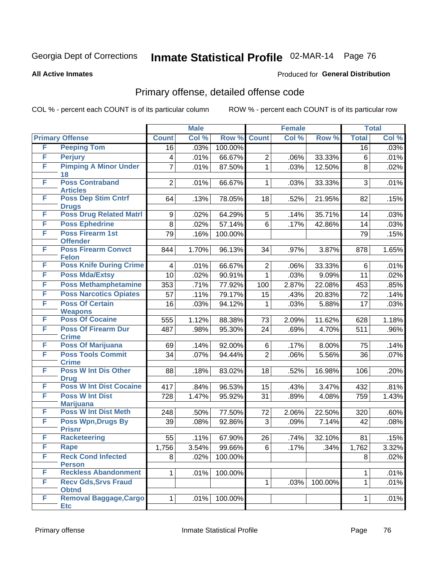**All Active Inmates**

#### Produced for **General Distribution**

### Primary offense, detailed offense code

|   |                                             |                 | <b>Male</b> |                  |                | <b>Female</b> |         |              | <b>Total</b> |
|---|---------------------------------------------|-----------------|-------------|------------------|----------------|---------------|---------|--------------|--------------|
|   | <b>Primary Offense</b>                      | <b>Count</b>    | Col %       | Row <sup>%</sup> | <b>Count</b>   | Col %         | Row %   | <b>Total</b> | Col %        |
| F | <b>Peeping Tom</b>                          | $\overline{16}$ | .03%        | 100.00%          |                |               |         | 16           | .03%         |
| F | <b>Perjury</b>                              | 4               | .01%        | 66.67%           | $\overline{2}$ | .06%          | 33.33%  | 6            | .01%         |
| F | <b>Pimping A Minor Under</b><br>18          | 7               | .01%        | 87.50%           | $\mathbf{1}$   | .03%          | 12.50%  | 8            | .02%         |
| F | <b>Poss Contraband</b><br><b>Articles</b>   | $\overline{2}$  | .01%        | 66.67%           | 1              | .03%          | 33.33%  | 3            | .01%         |
| F | <b>Poss Dep Stim Cntrf</b><br><b>Drugs</b>  | 64              | .13%        | 78.05%           | 18             | .52%          | 21.95%  | 82           | .15%         |
| F | <b>Poss Drug Related Matri</b>              | 9               | .02%        | 64.29%           | 5              | .14%          | 35.71%  | 14           | .03%         |
| F | <b>Poss Ephedrine</b>                       | 8               | .02%        | 57.14%           | 6              | .17%          | 42.86%  | 14           | .03%         |
| F | <b>Poss Firearm 1st</b><br><b>Offender</b>  | 79              | .16%        | 100.00%          |                |               |         | 79           | .15%         |
| F | <b>Poss Firearm Convct</b><br><b>Felon</b>  | 844             | 1.70%       | 96.13%           | 34             | .97%          | 3.87%   | 878          | 1.65%        |
| F | <b>Poss Knife During Crime</b>              | 4               | .01%        | 66.67%           | $\overline{2}$ | .06%          | 33.33%  | 6            | .01%         |
| F | <b>Poss Mda/Extsy</b>                       | 10              | .02%        | 90.91%           | 1              | .03%          | 9.09%   | 11           | .02%         |
| F | <b>Poss Methamphetamine</b>                 | 353             | .71%        | 77.92%           | 100            | 2.87%         | 22.08%  | 453          | .85%         |
| F | <b>Poss Narcotics Opiates</b>               | 57              | .11%        | 79.17%           | 15             | .43%          | 20.83%  | 72           | .14%         |
| F | <b>Poss Of Certain</b><br><b>Weapons</b>    | 16              | .03%        | 94.12%           | 1              | .03%          | 5.88%   | 17           | .03%         |
| F | <b>Poss Of Cocaine</b>                      | 555             | 1.12%       | 88.38%           | 73             | 2.09%         | 11.62%  | 628          | 1.18%        |
| F | <b>Poss Of Firearm Dur</b><br><b>Crime</b>  | 487             | .98%        | 95.30%           | 24             | .69%          | 4.70%   | 511          | .96%         |
| F | <b>Poss Of Marijuana</b>                    | 69              | .14%        | 92.00%           | 6              | .17%          | 8.00%   | 75           | .14%         |
| F | <b>Poss Tools Commit</b><br><b>Crime</b>    | 34              | .07%        | 94.44%           | $\overline{2}$ | .06%          | 5.56%   | 36           | .07%         |
| F | <b>Poss W Int Dis Other</b><br><b>Drug</b>  | 88              | .18%        | 83.02%           | 18             | .52%          | 16.98%  | 106          | .20%         |
| F | <b>Poss W Int Dist Cocaine</b>              | 417             | .84%        | 96.53%           | 15             | .43%          | 3.47%   | 432          | .81%         |
| F | <b>Poss W Int Dist</b><br><b>Marijuana</b>  | 728             | 1.47%       | 95.92%           | 31             | .89%          | 4.08%   | 759          | 1.43%        |
| F | <b>Poss W Int Dist Meth</b>                 | 248             | .50%        | 77.50%           | 72             | 2.06%         | 22.50%  | 320          | .60%         |
| F | <b>Poss Wpn, Drugs By</b>                   | 39              | .08%        | 92.86%           | 3              | .09%          | 7.14%   | 42           | .08%         |
| F | <b>Prisnr</b><br><b>Racketeering</b>        | 55              | .11%        | 67.90%           | 26             | .74%          | 32.10%  | 81           | .15%         |
| F | Rape                                        | 1,756           | 3.54%       | 99.66%           | 6              | .17%          | .34%    | 1,762        | 3.32%        |
| F | <b>Reck Cond Infected</b>                   | 8               | .02%        | 100.00%          |                |               |         | 8            | .02%         |
|   | <b>Person</b>                               |                 |             |                  |                |               |         |              |              |
| F | <b>Reckless Abandonment</b>                 | 1               | .01%        | 100.00%          |                |               |         | 1            | .01%         |
| F | <b>Recv Gds, Srvs Fraud</b><br><b>Obtnd</b> |                 |             |                  | 1              | .03%          | 100.00% | 1            | .01%         |
| F | <b>Removal Baggage, Cargo</b><br><b>Etc</b> | 1               | .01%        | 100.00%          |                |               |         | 1            | .01%         |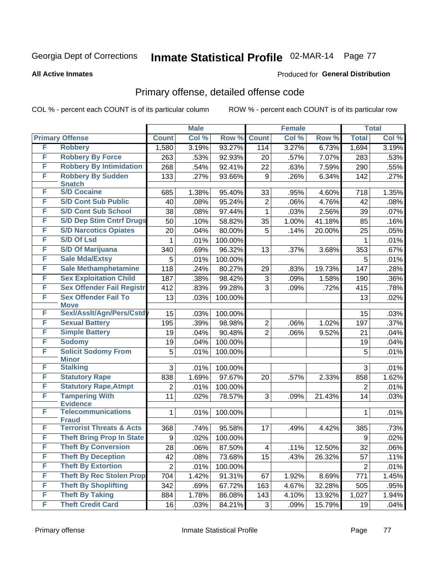#### **All Active Inmates**

#### Produced for **General Distribution**

### Primary offense, detailed offense code

|   |                                     | <b>Male</b>      |       | <b>Female</b> |                |       | <b>Total</b> |                  |       |
|---|-------------------------------------|------------------|-------|---------------|----------------|-------|--------------|------------------|-------|
|   | <b>Primary Offense</b>              | <b>Count</b>     | Col % | Row %         | <b>Count</b>   | Col % | Row %        | <b>Total</b>     | Col % |
| F | <b>Robbery</b>                      | 1,580            | 3.19% | 93.27%        | 114            | 3.27% | 6.73%        | 1,694            | 3.19% |
| F | <b>Robbery By Force</b>             | 263              | .53%  | 92.93%        | 20             | .57%  | 7.07%        | 283              | .53%  |
| F | <b>Robbery By Intimidation</b>      | 268              | .54%  | 92.41%        | 22             | .63%  | 7.59%        | 290              | .55%  |
| F | <b>Robbery By Sudden</b>            | 133              | .27%  | 93.66%        | 9              | .26%  | 6.34%        | 142              | .27%  |
|   | <b>Snatch</b>                       |                  |       |               |                |       |              |                  |       |
| F | <b>S/D Cocaine</b>                  | 685              | 1.38% | 95.40%        | 33             | .95%  | 4.60%        | 718              | 1.35% |
| F | <b>S/D Cont Sub Public</b>          | 40               | .08%  | 95.24%        | $\overline{2}$ | .06%  | 4.76%        | 42               | .08%  |
| F | <b>S/D Cont Sub School</b>          | 38               | .08%  | 97.44%        | 1              | .03%  | 2.56%        | 39               | .07%  |
| F | <b>S/D Dep Stim Cntrf Drugs</b>     | 50               | .10%  | 58.82%        | 35             | 1.00% | 41.18%       | 85               | .16%  |
| F | <b>S/D Narcotics Opiates</b>        | 20               | .04%  | 80.00%        | 5              | .14%  | 20.00%       | 25               | .05%  |
| F | <b>S/D Of Lsd</b>                   | 1                | .01%  | 100.00%       |                |       |              | 1                | .01%  |
| F | <b>S/D Of Marijuana</b>             | 340              | .69%  | 96.32%        | 13             | .37%  | 3.68%        | 353              | .67%  |
| F | <b>Sale Mda/Extsy</b>               | 5                | .01%  | 100.00%       |                |       |              | 5                | .01%  |
| F | <b>Sale Methamphetamine</b>         | 118              | .24%  | 80.27%        | 29             | .83%  | 19.73%       | 147              | .28%  |
| F | <b>Sex Exploitation Child</b>       | 187              | .38%  | 98.42%        | 3              | .09%  | 1.58%        | 190              | .36%  |
| F | <b>Sex Offender Fail Registr</b>    | 412              | .83%  | 99.28%        | 3              | .09%  | .72%         | 415              | .78%  |
| F | <b>Sex Offender Fail To</b>         | 13               | .03%  | 100.00%       |                |       |              | 13               | .02%  |
|   | <b>Move</b>                         |                  |       |               |                |       |              |                  |       |
| F | Sexl/Asslt/Agn/Pers/Cstd            | 15               | .03%  | 100.00%       |                |       |              | 15               | .03%  |
| F | <b>Sexual Battery</b>               | 195              | .39%  | 98.98%        | $\overline{2}$ | .06%  | 1.02%        | 197              | .37%  |
| F | <b>Simple Battery</b>               | 19               | .04%  | 90.48%        | $\overline{2}$ | .06%  | 9.52%        | 21               | .04%  |
| F | <b>Sodomy</b>                       | 19               | .04%  | 100.00%       |                |       |              | 19               | .04%  |
| F | <b>Solicit Sodomy From</b>          | 5                | .01%  | 100.00%       |                |       |              | 5                | .01%  |
| F | <b>Minor</b><br><b>Stalking</b>     | 3                | .01%  | 100.00%       |                |       |              | 3                | .01%  |
| F | <b>Statutory Rape</b>               | 838              | 1.69% | 97.67%        | 20             | .57%  | 2.33%        | 858              | 1.62% |
| F | <b>Statutory Rape, Atmpt</b>        |                  |       |               |                |       |              |                  |       |
| F | <b>Tampering With</b>               | $\overline{2}$   | .01%  | 100.00%       |                |       |              | $\overline{2}$   | .01%  |
|   | <b>Evidence</b>                     | 11               | .02%  | 78.57%        | 3              | .09%  | 21.43%       | 14               | .03%  |
| F | <b>Telecommunications</b>           | 1                | .01%  | 100.00%       |                |       |              | 1                | .01%  |
|   | <b>Fraud</b>                        |                  |       |               |                |       |              |                  |       |
| F | <b>Terrorist Threats &amp; Acts</b> | 368              | .74%  | 95.58%        | 17             | .49%  | 4.42%        | 385              | .73%  |
| F | <b>Theft Bring Prop In State</b>    | 9                | .02%  | 100.00%       |                |       |              | $\boldsymbol{9}$ | .02%  |
| F | <b>Theft By Conversion</b>          | 28               | .06%  | 87.50%        | 4              | .11%  | 12.50%       | 32               | .06%  |
| F | <b>Theft By Deception</b>           | 42               | .08%  | 73.68%        | 15             | .43%  | 26.32%       | 57               | .11%  |
| F | <b>Theft By Extortion</b>           | $\boldsymbol{2}$ | .01%  | 100.00%       |                |       |              | $\overline{2}$   | .01%  |
| F | <b>Theft By Rec Stolen Prop</b>     | 704              | 1.42% | 91.31%        | 67             | 1.92% | 8.69%        | 771              | 1.45% |
| F | <b>Theft By Shoplifting</b>         | 342              | .69%  | 67.72%        | 163            | 4.67% | 32.28%       | 505              | .95%  |
| F | <b>Theft By Taking</b>              | 884              | 1.78% | 86.08%        | 143            | 4.10% | 13.92%       | 1,027            | 1.94% |
| F | <b>Theft Credit Card</b>            | 16               | .03%  | 84.21%        | 3              | .09%  | 15.79%       | 19               | .04%  |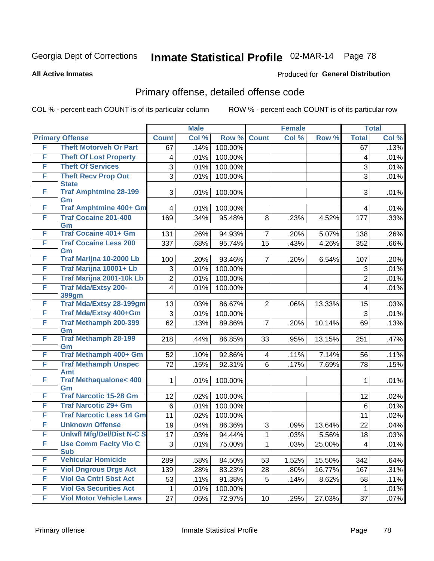**All Active Inmates**

#### Produced for **General Distribution**

### Primary offense, detailed offense code

|   |                                     |                         | <b>Male</b> |         |                | <b>Female</b> |        |                | <b>Total</b> |
|---|-------------------------------------|-------------------------|-------------|---------|----------------|---------------|--------|----------------|--------------|
|   | <b>Primary Offense</b>              | <b>Count</b>            | Col %       | Row %   | <b>Count</b>   | Col %         | Row %  | <b>Total</b>   | Col %        |
| F | <b>Theft Motorveh Or Part</b>       | 67                      | .14%        | 100.00% |                |               |        | 67             | .13%         |
| F | <b>Theft Of Lost Property</b>       | $\overline{\mathbf{4}}$ | .01%        | 100.00% |                |               |        | 4              | .01%         |
| F | <b>Theft Of Services</b>            | 3                       | .01%        | 100.00% |                |               |        | 3              | .01%         |
| F | <b>Theft Recv Prop Out</b>          | $\overline{3}$          | .01%        | 100.00% |                |               |        | 3              | .01%         |
|   | <b>State</b>                        |                         |             |         |                |               |        |                |              |
| F | <b>Traf Amphtmine 28-199</b><br>Gm  | 3                       | .01%        | 100.00% |                |               |        | 3              | .01%         |
| F | <b>Traf Amphtmine 400+ Gm</b>       | $\overline{\mathbf{4}}$ | .01%        | 100.00% |                |               |        | 4              | .01%         |
| F | <b>Traf Cocaine 201-400</b>         | 169                     | .34%        | 95.48%  | 8              | .23%          | 4.52%  | 177            | .33%         |
|   | Gm                                  |                         |             |         |                |               |        |                |              |
| F | <b>Traf Cocaine 401+ Gm</b>         | 131                     | .26%        | 94.93%  | $\overline{7}$ | .20%          | 5.07%  | 138            | .26%         |
| F | <b>Traf Cocaine Less 200</b><br>Gm  | 337                     | .68%        | 95.74%  | 15             | .43%          | 4.26%  | 352            | .66%         |
| F | Traf Marijna 10-2000 Lb             | 100                     | .20%        | 93.46%  | $\overline{7}$ | .20%          | 6.54%  | 107            | .20%         |
| F | Traf Marijna 10001+ Lb              | 3                       | .01%        | 100.00% |                |               |        | 3              | .01%         |
| F | Traf Marijna 2001-10k Lb            | $\overline{2}$          | .01%        | 100.00% |                |               |        | $\overline{2}$ | .01%         |
| F | <b>Traf Mda/Extsy 200-</b>          | $\overline{4}$          | .01%        | 100.00% |                |               |        | $\overline{4}$ | .01%         |
|   | <b>399gm</b>                        |                         |             |         |                |               |        |                |              |
| F | <b>Traf Mda/Extsy 28-199gm</b>      | 13                      | .03%        | 86.67%  | $\overline{2}$ | .06%          | 13.33% | 15             | .03%         |
| F | Traf Mda/Extsy 400+Gm               | 3                       | .01%        | 100.00% |                |               |        | 3              | .01%         |
| F | <b>Traf Methamph 200-399</b><br>Gm  | 62                      | .13%        | 89.86%  | $\overline{7}$ | .20%          | 10.14% | 69             | .13%         |
| F | <b>Traf Methamph 28-199</b>         | 218                     | .44%        | 86.85%  | 33             | .95%          | 13.15% | 251            | .47%         |
|   | Gm                                  |                         |             |         |                |               |        |                |              |
| F | Traf Methamph 400+ Gm               | 52                      | .10%        | 92.86%  | 4              | .11%          | 7.14%  | 56             | .11%         |
| F | <b>Traf Methamph Unspec</b><br>Amt  | 72                      | .15%        | 92.31%  | 6              | .17%          | 7.69%  | 78             | .15%         |
| F | <b>Traf Methaqualone&lt; 400</b>    | $\mathbf{1}$            | .01%        | 100.00% |                |               |        | $\mathbf{1}$   | .01%         |
|   | Gm                                  |                         |             |         |                |               |        |                |              |
| F | <b>Traf Narcotic 15-28 Gm</b>       | 12                      | .02%        | 100.00% |                |               |        | 12             | .02%         |
| F | <b>Traf Narcotic 29+ Gm</b>         | 6                       | .01%        | 100.00% |                |               |        | 6              | .01%         |
| F | <b>Traf Narcotic Less 14 Gm</b>     | 11                      | .02%        | 100.00% |                |               |        | 11             | .02%         |
| F | <b>Unknown Offense</b>              | 19                      | .04%        | 86.36%  | 3              | .09%          | 13.64% | 22             | .04%         |
| F | <b>Uniwfl Mfg/Del/Dist N-C S</b>    | 17                      | .03%        | 94.44%  | $\mathbf{1}$   | .03%          | 5.56%  | 18             | .03%         |
| F | Use Comm Facity Vio C<br><b>Sub</b> | 3                       | .01%        | 75.00%  | 1              | .03%          | 25.00% | 4              | .01%         |
| F | <b>Vehicular Homicide</b>           | 289                     | .58%        | 84.50%  | 53             | 1.52%         | 15.50% | 342            | .64%         |
| F | <b>Viol Dngrous Drgs Act</b>        | 139                     | .28%        | 83.23%  | 28             | .80%          | 16.77% | 167            | .31%         |
| F | <b>Viol Ga Cntrl Sbst Act</b>       | 53                      | .11%        | 91.38%  | 5              | .14%          | 8.62%  | 58             | .11%         |
| F | <b>Viol Ga Securities Act</b>       | 1                       | .01%        | 100.00% |                |               |        | $\mathbf 1$    | .01%         |
| F | <b>Viol Motor Vehicle Laws</b>      | 27                      | .05%        | 72.97%  | 10             | .29%          | 27.03% | 37             | .07%         |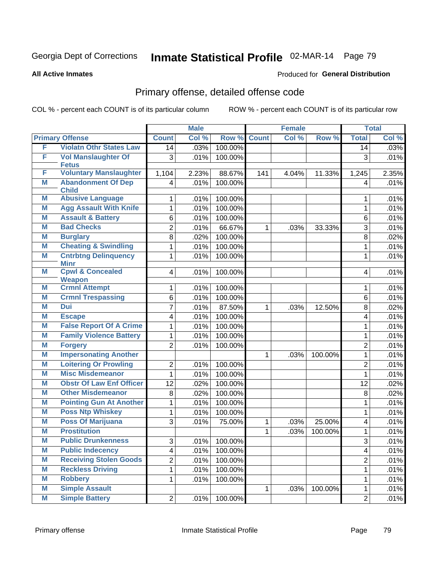**All Active Inmates**

#### Produced for **General Distribution**

### Primary offense, detailed offense code

|   |                                              |                         | <b>Male</b> |         |              | <b>Female</b> |         |                   | <b>Total</b> |
|---|----------------------------------------------|-------------------------|-------------|---------|--------------|---------------|---------|-------------------|--------------|
|   | <b>Primary Offense</b>                       | <b>Count</b>            | Col %       | Row %   | <b>Count</b> | Col %         | Row %   | <b>Total</b>      | Col %        |
| F | <b>Violatn Othr States Law</b>               | 14                      | .03%        | 100.00% |              |               |         | 14                | .03%         |
| F | <b>Vol Manslaughter Of</b><br><b>Fetus</b>   | 3                       | .01%        | 100.00% |              |               |         | 3                 | .01%         |
| F | <b>Voluntary Manslaughter</b>                | 1,104                   | 2.23%       | 88.67%  | 141          | 4.04%         | 11.33%  | 1,245             | 2.35%        |
| M | <b>Abandonment Of Dep</b><br><b>Child</b>    | $\overline{\mathbf{4}}$ | .01%        | 100.00% |              |               |         | 4                 | .01%         |
| M | <b>Abusive Language</b>                      | 1                       | .01%        | 100.00% |              |               |         | 1                 | .01%         |
| M | <b>Agg Assault With Knife</b>                | 1                       | .01%        | 100.00% |              |               |         | 1                 | .01%         |
| M | <b>Assault &amp; Battery</b>                 | 6                       | .01%        | 100.00% |              |               |         | 6                 | .01%         |
| M | <b>Bad Checks</b>                            | $\overline{2}$          | .01%        | 66.67%  | 1            | .03%          | 33.33%  | 3                 | .01%         |
| M | <b>Burglary</b>                              | 8                       | .02%        | 100.00% |              |               |         | 8                 | .02%         |
| M | <b>Cheating &amp; Swindling</b>              | 1                       | .01%        | 100.00% |              |               |         | 1                 | .01%         |
| M | <b>Cntrbtng Delinquency</b><br><b>Minr</b>   | 1                       | .01%        | 100.00% |              |               |         | 1                 | .01%         |
| M | <b>Cpwl &amp; Concealed</b><br><b>Weapon</b> | $\overline{4}$          | .01%        | 100.00% |              |               |         | 4                 | .01%         |
| M | <b>Crmnl Attempt</b>                         | 1                       | .01%        | 100.00% |              |               |         | 1                 | .01%         |
| M | <b>Crmnl Trespassing</b>                     | 6                       | .01%        | 100.00% |              |               |         | 6                 | .01%         |
| M | Dui                                          | 7                       | .01%        | 87.50%  | 1            | .03%          | 12.50%  | 8                 | .02%         |
| M | <b>Escape</b>                                | 4                       | .01%        | 100.00% |              |               |         | 4                 | .01%         |
| M | <b>False Report Of A Crime</b>               | 1                       | .01%        | 100.00% |              |               |         | 1                 | .01%         |
| M | <b>Family Violence Battery</b>               | 1                       | .01%        | 100.00% |              |               |         | 1                 | .01%         |
| M | <b>Forgery</b>                               | $\overline{2}$          | .01%        | 100.00% |              |               |         | $\overline{2}$    | .01%         |
| M | <b>Impersonating Another</b>                 |                         |             |         | $\mathbf{1}$ | .03%          | 100.00% | 1                 | .01%         |
| M | <b>Loitering Or Prowling</b>                 | $\overline{2}$          | .01%        | 100.00% |              |               |         | $\overline{2}$    | .01%         |
| M | <b>Misc Misdemeanor</b>                      | $\mathbf{1}$            | .01%        | 100.00% |              |               |         | $\mathbf{1}$      | .01%         |
| M | <b>Obstr Of Law Enf Officer</b>              | 12                      | .02%        | 100.00% |              |               |         | 12                | .02%         |
| M | <b>Other Misdemeanor</b>                     | 8                       | .02%        | 100.00% |              |               |         | 8                 | .02%         |
| M | <b>Pointing Gun At Another</b>               | 1                       | .01%        | 100.00% |              |               |         | $\mathbf{1}$      | .01%         |
| M | <b>Poss Ntp Whiskey</b>                      | 1                       | .01%        | 100.00% |              |               |         | 1                 | .01%         |
| M | <b>Poss Of Marijuana</b>                     | 3                       | .01%        | 75.00%  | 1            | .03%          | 25.00%  | 4                 | .01%         |
| M | <b>Prostitution</b>                          |                         |             |         | 1            | .03%          | 100.00% | 1                 | .01%         |
| M | <b>Public Drunkenness</b>                    | 3                       | .01%        | 100.00% |              |               |         | $\mathbf{z}$<br>ັ | .01%         |
| M | <b>Public Indecency</b>                      | $\overline{\mathbf{4}}$ | .01%        | 100.00% |              |               |         | 4                 | .01%         |
| M | <b>Receiving Stolen Goods</b>                | $\overline{2}$          | .01%        | 100.00% |              |               |         | $\overline{2}$    | .01%         |
| M | <b>Reckless Driving</b>                      | 1                       | .01%        | 100.00% |              |               |         | 1                 | .01%         |
| M | <b>Robbery</b>                               | 1                       | .01%        | 100.00% |              |               |         | 1                 | .01%         |
| M | <b>Simple Assault</b>                        |                         |             |         | $\mathbf{1}$ | .03%          | 100.00% | 1                 | .01%         |
| Μ | <b>Simple Battery</b>                        | $\overline{2}$          | .01%        | 100.00% |              |               |         | $\overline{2}$    | .01%         |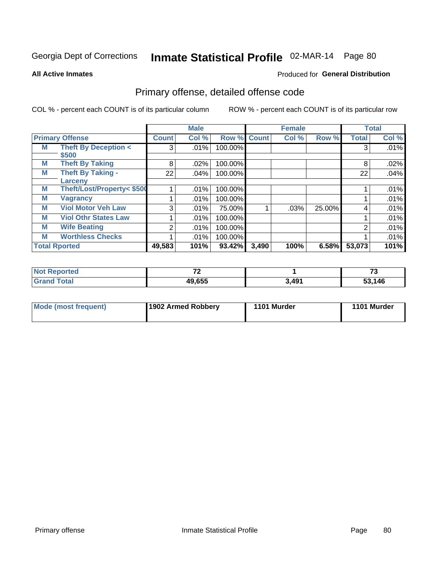Produced for **General Distribution**

#### **All Active Inmates**

### Primary offense, detailed offense code

|   |                                |                | <b>Male</b> |         |              | <b>Female</b> |        |                | <b>Total</b> |
|---|--------------------------------|----------------|-------------|---------|--------------|---------------|--------|----------------|--------------|
|   | <b>Primary Offense</b>         | <b>Count</b>   | Col %       | Row %   | <b>Count</b> | Col %         | Row %  | <b>Total</b>   | Col %        |
| M | <b>Theft By Deception &lt;</b> | 3 <sup>1</sup> | .01%        | 100.00% |              |               |        | 3              | .01%         |
|   | \$500                          |                |             |         |              |               |        |                |              |
| M | <b>Theft By Taking</b>         | 8              | .02%        | 100.00% |              |               |        | 8              | .02%         |
| M | <b>Theft By Taking -</b>       | 22             | .04%        | 100.00% |              |               |        | 22             | .04%         |
|   | Larceny                        |                |             |         |              |               |        |                |              |
| M | Theft/Lost/Property< \$500     |                | .01%        | 100.00% |              |               |        |                | .01%         |
| M | <b>Vagrancy</b>                |                | .01%        | 100.00% |              |               |        |                | .01%         |
| M | <b>Viol Motor Veh Law</b>      | 3              | .01%        | 75.00%  |              | .03%          | 25.00% | 4              | .01%         |
| M | <b>Viol Othr States Law</b>    |                | .01%        | 100.00% |              |               |        |                | .01%         |
| М | <b>Wife Beating</b>            | $\overline{2}$ | .01%        | 100.00% |              |               |        | $\overline{2}$ | .01%         |
| M | <b>Worthless Checks</b>        |                | $.01\%$     | 100.00% |              |               |        |                | .01%         |
|   | <b>Total Rported</b>           | 49,583         | 101%        | 93.42%  | 3,490        | 100%          | 6.58%  | 53,073         | 101%         |

| <b>Not F</b><br>Reported | $\rightarrow$ |       | --<br>. .   |
|--------------------------|---------------|-------|-------------|
| Total<br>l Gra           | 49,655        | 3,491 | .146<br>- - |

| Mode (most frequent) | 1902 Armed Robbery | 1101 Murder | 1101 Murder |
|----------------------|--------------------|-------------|-------------|
|----------------------|--------------------|-------------|-------------|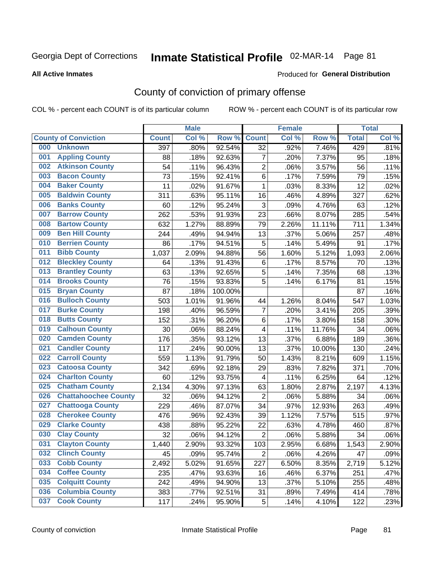#### **All Active Inmates**

#### Produced for **General Distribution**

### County of conviction of primary offense

|     |                             |              | <b>Male</b> |         |                           | <b>Female</b> |        |              | <b>Total</b> |
|-----|-----------------------------|--------------|-------------|---------|---------------------------|---------------|--------|--------------|--------------|
|     | <b>County of Conviction</b> | <b>Count</b> | Col %       | Row %   | <b>Count</b>              | Col %         | Row %  | <b>Total</b> | Col %        |
| 000 | <b>Unknown</b>              | 397          | .80%        | 92.54%  | 32                        | .92%          | 7.46%  | 429          | .81%         |
| 001 | <b>Appling County</b>       | 88           | .18%        | 92.63%  | $\overline{7}$            | .20%          | 7.37%  | 95           | .18%         |
| 002 | <b>Atkinson County</b>      | 54           | .11%        | 96.43%  | $\overline{2}$            | .06%          | 3.57%  | 56           | .11%         |
| 003 | <b>Bacon County</b>         | 73           | .15%        | 92.41%  | 6                         | .17%          | 7.59%  | 79           | .15%         |
| 004 | <b>Baker County</b>         | 11           | .02%        | 91.67%  | $\mathbf{1}$              | .03%          | 8.33%  | 12           | .02%         |
| 005 | <b>Baldwin County</b>       | 311          | .63%        | 95.11%  | 16                        | .46%          | 4.89%  | 327          | .62%         |
| 006 | <b>Banks County</b>         | 60           | .12%        | 95.24%  | $\ensuremath{\mathsf{3}}$ | .09%          | 4.76%  | 63           | .12%         |
| 007 | <b>Barrow County</b>        | 262          | .53%        | 91.93%  | 23                        | .66%          | 8.07%  | 285          | .54%         |
| 008 | <b>Bartow County</b>        | 632          | 1.27%       | 88.89%  | 79                        | 2.26%         | 11.11% | 711          | 1.34%        |
| 009 | <b>Ben Hill County</b>      | 244          | .49%        | 94.94%  | 13                        | .37%          | 5.06%  | 257          | .48%         |
| 010 | <b>Berrien County</b>       | 86           | .17%        | 94.51%  | $\mathbf 5$               | .14%          | 5.49%  | 91           | .17%         |
| 011 | <b>Bibb County</b>          | 1,037        | 2.09%       | 94.88%  | 56                        | 1.60%         | 5.12%  | 1,093        | 2.06%        |
| 012 | <b>Bleckley County</b>      | 64           | .13%        | 91.43%  | $\,6$                     | .17%          | 8.57%  | 70           | .13%         |
| 013 | <b>Brantley County</b>      | 63           | .13%        | 92.65%  | 5                         | .14%          | 7.35%  | 68           | .13%         |
| 014 | <b>Brooks County</b>        | 76           | .15%        | 93.83%  | 5                         | .14%          | 6.17%  | 81           | .15%         |
| 015 | <b>Bryan County</b>         | 87           | .18%        | 100.00% |                           |               |        | 87           | .16%         |
| 016 | <b>Bulloch County</b>       | 503          | 1.01%       | 91.96%  | 44                        | 1.26%         | 8.04%  | 547          | 1.03%        |
| 017 | <b>Burke County</b>         | 198          | .40%        | 96.59%  | $\overline{7}$            | .20%          | 3.41%  | 205          | .39%         |
| 018 | <b>Butts County</b>         | 152          | .31%        | 96.20%  | 6                         | .17%          | 3.80%  | 158          | .30%         |
| 019 | <b>Calhoun County</b>       | 30           | .06%        | 88.24%  | 4                         | .11%          | 11.76% | 34           | .06%         |
| 020 | <b>Camden County</b>        | 176          | .35%        | 93.12%  | 13                        | .37%          | 6.88%  | 189          | .36%         |
| 021 | <b>Candler County</b>       | 117          | .24%        | 90.00%  | 13                        | .37%          | 10.00% | 130          | .24%         |
| 022 | <b>Carroll County</b>       | 559          | 1.13%       | 91.79%  | 50                        | 1.43%         | 8.21%  | 609          | 1.15%        |
| 023 | <b>Catoosa County</b>       | 342          | .69%        | 92.18%  | 29                        | .83%          | 7.82%  | 371          | .70%         |
| 024 | <b>Charlton County</b>      | 60           | .12%        | 93.75%  | 4                         | .11%          | 6.25%  | 64           | .12%         |
| 025 | <b>Chatham County</b>       | 2,134        | 4.30%       | 97.13%  | 63                        | 1.80%         | 2.87%  | 2,197        | 4.13%        |
| 026 | <b>Chattahoochee County</b> | 32           | .06%        | 94.12%  | $\mathbf 2$               | .06%          | 5.88%  | 34           | .06%         |
| 027 | <b>Chattooga County</b>     | 229          | .46%        | 87.07%  | 34                        | .97%          | 12.93% | 263          | .49%         |
| 028 | <b>Cherokee County</b>      | 476          | .96%        | 92.43%  | 39                        | 1.12%         | 7.57%  | 515          | .97%         |
| 029 | <b>Clarke County</b>        | 438          | .88%        | 95.22%  | 22                        | .63%          | 4.78%  | 460          | .87%         |
| 030 | <b>Clay County</b>          | 32           | .06%        | 94.12%  | $\overline{2}$            | .06%          | 5.88%  | 34           | .06%         |
| 031 | <b>Clayton County</b>       | 1,440        | 2.90%       | 93.32%  | 103                       | 2.95%         | 6.68%  | 1,543        | 2.90%        |
| 032 | <b>Clinch County</b>        | 45           | .09%        | 95.74%  | $\overline{2}$            | .06%          | 4.26%  | 47           | .09%         |
| 033 | <b>Cobb County</b>          | 2,492        | 5.02%       | 91.65%  | 227                       | 6.50%         | 8.35%  | 2,719        | 5.12%        |
| 034 | <b>Coffee County</b>        | 235          | .47%        | 93.63%  | 16                        | .46%          | 6.37%  | 251          | .47%         |
| 035 | <b>Colquitt County</b>      | 242          | .49%        | 94.90%  | 13                        | .37%          | 5.10%  | 255          | .48%         |
| 036 | <b>Columbia County</b>      | 383          | .77%        | 92.51%  | 31                        | .89%          | 7.49%  | 414          | .78%         |
| 037 | <b>Cook County</b>          | 117          | .24%        | 95.90%  | 5                         | .14%          | 4.10%  | 122          | .23%         |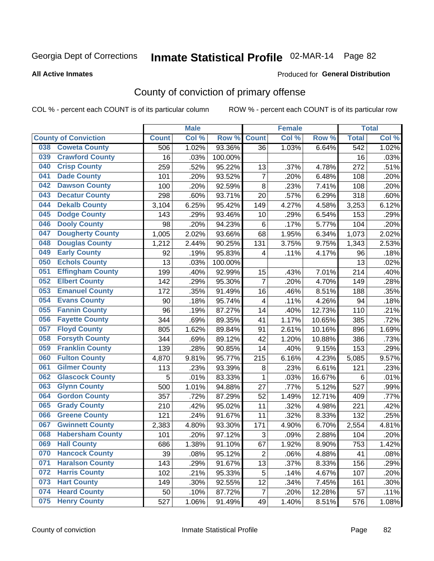#### **All Active Inmates**

#### Produced for **General Distribution**

### County of conviction of primary offense

|                                |              | <b>Male</b> |         |                | <b>Female</b> |        |                  | <b>Total</b> |
|--------------------------------|--------------|-------------|---------|----------------|---------------|--------|------------------|--------------|
| <b>County of Conviction</b>    | <b>Count</b> | Col %       | Row %   | <b>Count</b>   | Col %         | Row %  | <b>Total</b>     | Col %        |
| <b>Coweta County</b><br>038    | 506          | 1.02%       | 93.36%  | 36             | 1.03%         | 6.64%  | $\overline{542}$ | 1.02%        |
| <b>Crawford County</b><br>039  | 16           | .03%        | 100.00% |                |               |        | 16               | .03%         |
| <b>Crisp County</b><br>040     | 259          | .52%        | 95.22%  | 13             | .37%          | 4.78%  | 272              | .51%         |
| <b>Dade County</b><br>041      | 101          | .20%        | 93.52%  | $\overline{7}$ | .20%          | 6.48%  | 108              | .20%         |
| <b>Dawson County</b><br>042    | 100          | .20%        | 92.59%  | 8              | .23%          | 7.41%  | 108              | .20%         |
| <b>Decatur County</b><br>043   | 298          | .60%        | 93.71%  | 20             | .57%          | 6.29%  | 318              | .60%         |
| <b>Dekalb County</b><br>044    | 3,104        | 6.25%       | 95.42%  | 149            | 4.27%         | 4.58%  | 3,253            | 6.12%        |
| <b>Dodge County</b><br>045     | 143          | .29%        | 93.46%  | 10             | .29%          | 6.54%  | 153              | .29%         |
| <b>Dooly County</b><br>046     | 98           | .20%        | 94.23%  | 6              | .17%          | 5.77%  | 104              | .20%         |
| <b>Dougherty County</b><br>047 | 1,005        | 2.02%       | 93.66%  | 68             | 1.95%         | 6.34%  | 1,073            | 2.02%        |
| <b>Douglas County</b><br>048   | 1,212        | 2.44%       | 90.25%  | 131            | 3.75%         | 9.75%  | 1,343            | 2.53%        |
| <b>Early County</b><br>049     | 92           | .19%        | 95.83%  | 4              | .11%          | 4.17%  | 96               | .18%         |
| <b>Echols County</b><br>050    | 13           | .03%        | 100.00% |                |               |        | 13               | .02%         |
| 051<br><b>Effingham County</b> | 199          | .40%        | 92.99%  | 15             | .43%          | 7.01%  | 214              | .40%         |
| <b>Elbert County</b><br>052    | 142          | .29%        | 95.30%  | $\overline{7}$ | .20%          | 4.70%  | 149              | .28%         |
| <b>Emanuel County</b><br>053   | 172          | .35%        | 91.49%  | 16             | .46%          | 8.51%  | 188              | .35%         |
| <b>Evans County</b><br>054     | 90           | .18%        | 95.74%  | 4              | .11%          | 4.26%  | 94               | .18%         |
| <b>Fannin County</b><br>055    | 96           | .19%        | 87.27%  | 14             | .40%          | 12.73% | 110              | .21%         |
| <b>Fayette County</b><br>056   | 344          | .69%        | 89.35%  | 41             | 1.17%         | 10.65% | 385              | .72%         |
| <b>Floyd County</b><br>057     | 805          | 1.62%       | 89.84%  | 91             | 2.61%         | 10.16% | 896              | 1.69%        |
| <b>Forsyth County</b><br>058   | 344          | .69%        | 89.12%  | 42             | 1.20%         | 10.88% | 386              | .73%         |
| <b>Franklin County</b><br>059  | 139          | .28%        | 90.85%  | 14             | .40%          | 9.15%  | 153              | .29%         |
| <b>Fulton County</b><br>060    | 4,870        | 9.81%       | 95.77%  | 215            | 6.16%         | 4.23%  | 5,085            | 9.57%        |
| <b>Gilmer County</b><br>061    | 113          | .23%        | 93.39%  | 8              | .23%          | 6.61%  | 121              | .23%         |
| <b>Glascock County</b><br>062  | 5            | .01%        | 83.33%  | 1              | .03%          | 16.67% | 6                | .01%         |
| 063<br><b>Glynn County</b>     | 500          | 1.01%       | 94.88%  | 27             | .77%          | 5.12%  | 527              | .99%         |
| <b>Gordon County</b><br>064    | 357          | .72%        | 87.29%  | 52             | 1.49%         | 12.71% | 409              | .77%         |
| 065<br><b>Grady County</b>     | 210          | .42%        | 95.02%  | 11             | .32%          | 4.98%  | 221              | .42%         |
| <b>Greene County</b><br>066    | 121          | .24%        | 91.67%  | 11             | .32%          | 8.33%  | 132              | .25%         |
| <b>Gwinnett County</b><br>067  | 2,383        | 4.80%       | 93.30%  | 171            | 4.90%         | 6.70%  | 2,554            | 4.81%        |
| <b>Habersham County</b><br>068 | 101          | .20%        | 97.12%  | 3              | .09%          | 2.88%  | 104              | .20%         |
| 069<br><b>Hall County</b>      | 686          | 1.38%       | 91.10%  | 67             | 1.92%         | 8.90%  | 753              | 1.42%        |
| <b>Hancock County</b><br>070   | 39           | .08%        | 95.12%  | $\overline{2}$ | .06%          | 4.88%  | 41               | .08%         |
| <b>Haralson County</b><br>071  | 143          | .29%        | 91.67%  | 13             | .37%          | 8.33%  | 156              | .29%         |
| <b>Harris County</b><br>072    | 102          | .21%        | 95.33%  | 5              | .14%          | 4.67%  | 107              | .20%         |
| <b>Hart County</b><br>073      | 149          | .30%        | 92.55%  | 12             | .34%          | 7.45%  | 161              | .30%         |
| <b>Heard County</b><br>074     | 50           | .10%        | 87.72%  | $\overline{7}$ | .20%          | 12.28% | 57               | .11%         |
| <b>Henry County</b><br>075     | 527          | 1.06%       | 91.49%  | 49             | 1.40%         | 8.51%  | 576              | 1.08%        |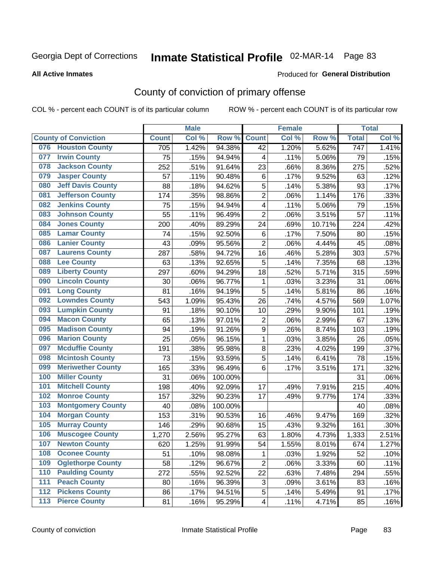#### **All Active Inmates**

#### Produced for **General Distribution**

### County of conviction of primary offense

|       |                             |              | <b>Male</b> |         |                  | <b>Female</b> |        |                  | <b>Total</b> |
|-------|-----------------------------|--------------|-------------|---------|------------------|---------------|--------|------------------|--------------|
|       | <b>County of Conviction</b> | <b>Count</b> | Col %       | Row %   | <b>Count</b>     | Col%          | Row %  | <b>Total</b>     | Col %        |
| 076   | <b>Houston County</b>       | 705          | 1.42%       | 94.38%  | 42               | 1.20%         | 5.62%  | $\overline{747}$ | 1.41%        |
| 077   | <b>Irwin County</b>         | 75           | .15%        | 94.94%  | 4                | .11%          | 5.06%  | 79               | .15%         |
| 078   | <b>Jackson County</b>       | 252          | .51%        | 91.64%  | 23               | .66%          | 8.36%  | 275              | .52%         |
| 079   | <b>Jasper County</b>        | 57           | .11%        | 90.48%  | 6                | .17%          | 9.52%  | 63               | .12%         |
| 080   | <b>Jeff Davis County</b>    | 88           | .18%        | 94.62%  | 5                | .14%          | 5.38%  | 93               | .17%         |
| 081   | <b>Jefferson County</b>     | 174          | .35%        | 98.86%  | $\overline{2}$   | .06%          | 1.14%  | 176              | .33%         |
| 082   | <b>Jenkins County</b>       | 75           | .15%        | 94.94%  | 4                | .11%          | 5.06%  | 79               | .15%         |
| 083   | <b>Johnson County</b>       | 55           | .11%        | 96.49%  | $\overline{2}$   | .06%          | 3.51%  | 57               | .11%         |
| 084   | <b>Jones County</b>         | 200          | .40%        | 89.29%  | 24               | .69%          | 10.71% | 224              | .42%         |
| 085   | <b>Lamar County</b>         | 74           | .15%        | 92.50%  | 6                | .17%          | 7.50%  | 80               | .15%         |
| 086   | <b>Lanier County</b>        | 43           | .09%        | 95.56%  | $\overline{2}$   | .06%          | 4.44%  | 45               | .08%         |
| 087   | <b>Laurens County</b>       | 287          | .58%        | 94.72%  | 16               | .46%          | 5.28%  | 303              | .57%         |
| 088   | <b>Lee County</b>           | 63           | .13%        | 92.65%  | 5                | .14%          | 7.35%  | 68               | .13%         |
| 089   | <b>Liberty County</b>       | 297          | .60%        | 94.29%  | 18               | .52%          | 5.71%  | 315              | .59%         |
| 090   | <b>Lincoln County</b>       | 30           | .06%        | 96.77%  | 1                | .03%          | 3.23%  | 31               | .06%         |
| 091   | <b>Long County</b>          | 81           | .16%        | 94.19%  | 5                | .14%          | 5.81%  | 86               | .16%         |
| 092   | <b>Lowndes County</b>       | 543          | 1.09%       | 95.43%  | 26               | .74%          | 4.57%  | 569              | 1.07%        |
| 093   | <b>Lumpkin County</b>       | 91           | .18%        | 90.10%  | 10               | .29%          | 9.90%  | 101              | .19%         |
| 094   | <b>Macon County</b>         | 65           | .13%        | 97.01%  | $\mathbf 2$      | .06%          | 2.99%  | 67               | .13%         |
| 095   | <b>Madison County</b>       | 94           | .19%        | 91.26%  | $\boldsymbol{9}$ | .26%          | 8.74%  | 103              | .19%         |
| 096   | <b>Marion County</b>        | 25           | .05%        | 96.15%  | $\mathbf{1}$     | .03%          | 3.85%  | 26               | .05%         |
| 097   | <b>Mcduffie County</b>      | 191          | .38%        | 95.98%  | 8                | .23%          | 4.02%  | 199              | .37%         |
| 098   | <b>Mcintosh County</b>      | 73           | .15%        | 93.59%  | 5                | .14%          | 6.41%  | 78               | .15%         |
| 099   | <b>Meriwether County</b>    | 165          | .33%        | 96.49%  | 6                | .17%          | 3.51%  | 171              | .32%         |
| 100   | <b>Miller County</b>        | 31           | .06%        | 100.00% |                  |               |        | 31               | .06%         |
| 101   | <b>Mitchell County</b>      | 198          | .40%        | 92.09%  | 17               | .49%          | 7.91%  | 215              | .40%         |
| 102   | <b>Monroe County</b>        | 157          | .32%        | 90.23%  | 17               | .49%          | 9.77%  | 174              | .33%         |
| 103   | <b>Montgomery County</b>    | 40           | .08%        | 100.00% |                  |               |        | 40               | .08%         |
| 104   | <b>Morgan County</b>        | 153          | .31%        | 90.53%  | 16               | .46%          | 9.47%  | 169              | .32%         |
| 105   | <b>Murray County</b>        | 146          | .29%        | 90.68%  | 15               | .43%          | 9.32%  | 161              | .30%         |
| 106   | <b>Muscogee County</b>      | 1,270        | 2.56%       | 95.27%  | 63               | 1.80%         | 4.73%  | 1,333            | 2.51%        |
| 107   | <b>Newton County</b>        | 620          | 1.25%       | 91.99%  | 54               | 1.55%         | 8.01%  | 674              | 1.27%        |
| 108   | <b>Oconee County</b>        | 51           | .10%        | 98.08%  | 1                | .03%          | 1.92%  | 52               | .10%         |
| 109   | <b>Oglethorpe County</b>    | 58           | .12%        | 96.67%  | $\overline{2}$   | .06%          | 3.33%  | 60               | .11%         |
| 110   | <b>Paulding County</b>      | 272          | .55%        | 92.52%  | 22               | .63%          | 7.48%  | 294              | .55%         |
| 111   | <b>Peach County</b>         | 80           | .16%        | 96.39%  | 3                | .09%          | 3.61%  | 83               | .16%         |
| 112   | <b>Pickens County</b>       | 86           | .17%        | 94.51%  | 5                | .14%          | 5.49%  | 91               | .17%         |
| $113$ | <b>Pierce County</b>        | 81           | .16%        | 95.29%  | 4                | .11%          | 4.71%  | 85               | .16%         |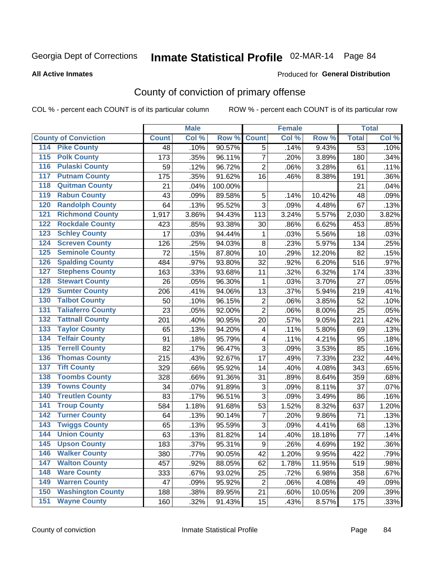**All Active Inmates**

#### Produced for **General Distribution**

### County of conviction of primary offense

|                                        |              | <b>Male</b> |         |                           | <b>Female</b> |        |                 | <b>Total</b> |
|----------------------------------------|--------------|-------------|---------|---------------------------|---------------|--------|-----------------|--------------|
| <b>County of Conviction</b>            | <b>Count</b> | Col %       | Row %   | <b>Count</b>              | Col %         | Row %  | <b>Total</b>    | Col %        |
| 114 Pike County                        | 48           | .10%        | 90.57%  | $\overline{5}$            | .14%          | 9.43%  | $\overline{53}$ | .10%         |
| <b>Polk County</b><br>$\overline{115}$ | 173          | .35%        | 96.11%  | $\overline{7}$            | .20%          | 3.89%  | 180             | .34%         |
| <b>Pulaski County</b><br>116           | 59           | .12%        | 96.72%  | $\overline{2}$            | .06%          | 3.28%  | 61              | .11%         |
| <b>Putnam County</b><br>117            | 175          | .35%        | 91.62%  | 16                        | .46%          | 8.38%  | 191             | .36%         |
| 118<br><b>Quitman County</b>           | 21           | .04%        | 100.00% |                           |               |        | 21              | .04%         |
| <b>Rabun County</b><br>119             | 43           | .09%        | 89.58%  | 5                         | .14%          | 10.42% | 48              | .09%         |
| <b>Randolph County</b><br>120          | 64           | .13%        | 95.52%  | 3                         | .09%          | 4.48%  | 67              | .13%         |
| <b>Richmond County</b><br>121          | 1,917        | 3.86%       | 94.43%  | 113                       | 3.24%         | 5.57%  | 2,030           | 3.82%        |
| <b>Rockdale County</b><br>122          | 423          | .85%        | 93.38%  | 30                        | .86%          | 6.62%  | 453             | .85%         |
| <b>Schley County</b><br>123            | 17           | .03%        | 94.44%  | $\mathbf 1$               | .03%          | 5.56%  | 18              | .03%         |
| <b>Screven County</b><br>124           | 126          | .25%        | 94.03%  | 8                         | .23%          | 5.97%  | 134             | .25%         |
| <b>Seminole County</b><br>125          | 72           | .15%        | 87.80%  | 10                        | .29%          | 12.20% | 82              | .15%         |
| 126<br><b>Spalding County</b>          | 484          | .97%        | 93.80%  | 32                        | .92%          | 6.20%  | 516             | .97%         |
| 127<br><b>Stephens County</b>          | 163          | .33%        | 93.68%  | 11                        | .32%          | 6.32%  | 174             | .33%         |
| <b>Stewart County</b><br>128           | 26           | .05%        | 96.30%  | 1                         | .03%          | 3.70%  | 27              | .05%         |
| <b>Sumter County</b><br>129            | 206          | .41%        | 94.06%  | 13                        | .37%          | 5.94%  | 219             | .41%         |
| <b>Talbot County</b><br>130            | 50           | .10%        | 96.15%  | $\overline{2}$            | .06%          | 3.85%  | 52              | .10%         |
| <b>Taliaferro County</b><br>131        | 23           | .05%        | 92.00%  | $\overline{2}$            | .06%          | 8.00%  | 25              | .05%         |
| <b>Tattnall County</b><br>132          | 201          | .40%        | 90.95%  | 20                        | .57%          | 9.05%  | 221             | .42%         |
| <b>Taylor County</b><br>133            | 65           | .13%        | 94.20%  | 4                         | .11%          | 5.80%  | 69              | .13%         |
| <b>Telfair County</b><br>134           | 91           | .18%        | 95.79%  | $\overline{\mathbf{4}}$   | .11%          | 4.21%  | 95              | .18%         |
| <b>Terrell County</b><br>135           | 82           | .17%        | 96.47%  | 3                         | .09%          | 3.53%  | 85              | .16%         |
| <b>Thomas County</b><br>136            | 215          | .43%        | 92.67%  | 17                        | .49%          | 7.33%  | 232             | .44%         |
| <b>Tift County</b><br>137              | 329          | .66%        | 95.92%  | 14                        | .40%          | 4.08%  | 343             | .65%         |
| <b>Toombs County</b><br>138            | 328          | .66%        | 91.36%  | 31                        | .89%          | 8.64%  | 359             | .68%         |
| <b>Towns County</b><br>139             | 34           | .07%        | 91.89%  | $\ensuremath{\mathsf{3}}$ | .09%          | 8.11%  | 37              | .07%         |
| <b>Treutlen County</b><br>140          | 83           | .17%        | 96.51%  | 3                         | .09%          | 3.49%  | 86              | .16%         |
| <b>Troup County</b><br>141             | 584          | 1.18%       | 91.68%  | 53                        | 1.52%         | 8.32%  | 637             | 1.20%        |
| <b>Turner County</b><br>142            | 64           | .13%        | 90.14%  | 7                         | .20%          | 9.86%  | 71              | .13%         |
| <b>Twiggs County</b><br>143            | 65           | .13%        | 95.59%  | 3                         | .09%          | 4.41%  | 68              | .13%         |
| <b>Union County</b><br>144             | 63           | .13%        | 81.82%  | 14                        | .40%          | 18.18% | 77              | .14%         |
| 145<br><b>Upson County</b>             | 183          | .37%        | 95.31%  | 9                         | .26%          | 4.69%  | 192             | .36%         |
| <b>Walker County</b><br>146            | 380          | .77%        | 90.05%  | 42                        | 1.20%         | 9.95%  | 422             | .79%         |
| <b>Walton County</b><br>147            | 457          | .92%        | 88.05%  | 62                        | 1.78%         | 11.95% | 519             | .98%         |
| <b>Ware County</b><br>148              | 333          | .67%        | 93.02%  | 25                        | .72%          | 6.98%  | 358             | .67%         |
| <b>Warren County</b><br>149            | 47           | .09%        | 95.92%  | $\overline{2}$            | .06%          | 4.08%  | 49              | .09%         |
| <b>Washington County</b><br>150        | 188          | .38%        | 89.95%  | 21                        | .60%          | 10.05% | 209             | .39%         |
| <b>Wayne County</b><br>151             | 160          | .32%        | 91.43%  | 15                        | .43%          | 8.57%  | 175             | .33%         |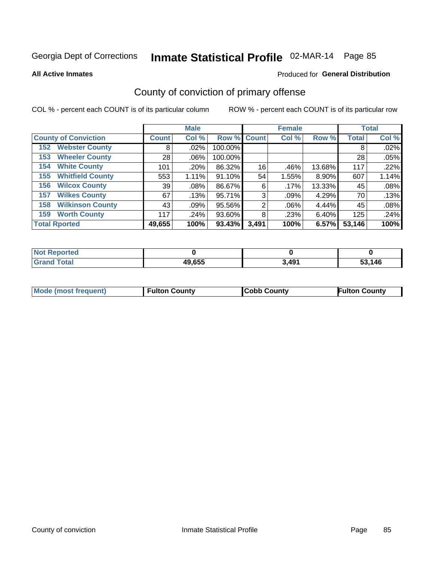**All Active Inmates**

#### Produced for **General Distribution**

### County of conviction of primary offense

|                                |              | <b>Male</b> |             |       | <b>Female</b> |        |              | <b>Total</b> |
|--------------------------------|--------------|-------------|-------------|-------|---------------|--------|--------------|--------------|
| <b>County of Conviction</b>    | <b>Count</b> | Col %       | Row % Count |       | Col %         | Row %  | <b>Total</b> | Col %        |
| <b>Webster County</b><br>152   | 8            | $.02\%$     | 100.00%     |       |               |        | 8            | .02%         |
| <b>Wheeler County</b><br>153   | 28           | $.06\%$     | 100.00%     |       |               |        | 28           | .05%         |
| <b>White County</b><br>154     | 101          | .20%        | 86.32%      | 16    | .46%          | 13.68% | 117          | .22%         |
| <b>Whitfield County</b><br>155 | 553          | 1.11%       | 91.10%      | 54    | 1.55%         | 8.90%  | 607          | 1.14%        |
| <b>Wilcox County</b><br>156    | 39           | $.08\%$     | 86.67%      | 6     | .17%          | 13.33% | 45           | .08%         |
| <b>Wilkes County</b><br>157    | 67           | .13%        | 95.71%      | 3     | $.09\%$       | 4.29%  | 70           | .13%         |
| <b>Wilkinson County</b><br>158 | 43           | .09%        | 95.56%      | 2     | $.06\%$       | 4.44%  | 45           | .08%         |
| <b>Worth County</b><br>159     | 117          | .24%        | 93.60%      | 8     | .23%          | 6.40%  | 125          | .24%         |
| <b>Total Rported</b>           | 49,655       | 100%        | 93.43%      | 3,491 | 100%          | 6.57%  | 53,146       | 100%         |

| <b>Not Reported</b> |        |       |        |
|---------------------|--------|-------|--------|
| <b>Grand Total</b>  | 49,655 | 3,491 | 53,146 |

| Mode (most frequent) | <b>Fulton County</b> | <b>Cobb County</b> | <b>Fulton County</b> |
|----------------------|----------------------|--------------------|----------------------|
|                      |                      |                    |                      |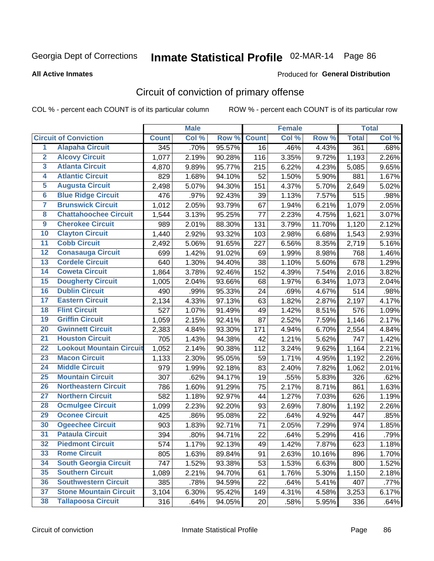Produced for **General Distribution**

#### **All Active Inmates**

### Circuit of conviction of primary offense

|                         |                                 |              | <b>Male</b> |        |              | <b>Female</b> |        |                      | <b>Total</b> |
|-------------------------|---------------------------------|--------------|-------------|--------|--------------|---------------|--------|----------------------|--------------|
|                         | <b>Circuit of Conviction</b>    | <b>Count</b> | Col %       | Row %  | <b>Count</b> | Col%          | Row %  | <b>Total</b>         | Col %        |
| $\overline{1}$          | <b>Alapaha Circuit</b>          | 345          | .70%        | 95.57% | 16           | .46%          | 4.43%  | 361                  | .68%         |
| $\overline{2}$          | <b>Alcovy Circuit</b>           | 1,077        | 2.19%       | 90.28% | 116          | 3.35%         | 9.72%  | 1,193                | 2.26%        |
| $\overline{\mathbf{3}}$ | <b>Atlanta Circuit</b>          | 4,870        | 9.89%       | 95.77% | 215          | 6.22%         | 4.23%  | 5,085                | 9.65%        |
| 4                       | <b>Atlantic Circuit</b>         | 829          | 1.68%       | 94.10% | 52           | 1.50%         | 5.90%  | 881                  | 1.67%        |
| 5                       | <b>Augusta Circuit</b>          | 2,498        | 5.07%       | 94.30% | 151          | 4.37%         | 5.70%  | 2,649                | 5.02%        |
| $\overline{\mathbf{6}}$ | <b>Blue Ridge Circuit</b>       | 476          | .97%        | 92.43% | 39           | 1.13%         | 7.57%  | 515                  | .98%         |
| $\overline{\mathbf{7}}$ | <b>Brunswick Circuit</b>        | 1,012        | 2.05%       | 93.79% | 67           | 1.94%         | 6.21%  | 1,079                | 2.05%        |
| 8                       | <b>Chattahoochee Circuit</b>    | 1,544        | 3.13%       | 95.25% | 77           | 2.23%         | 4.75%  | 1,621                | 3.07%        |
| $\overline{9}$          | <b>Cherokee Circuit</b>         | 989          | 2.01%       | 88.30% | 131          | 3.79%         | 11.70% | 1,120                | 2.12%        |
| 10                      | <b>Clayton Circuit</b>          | 1,440        | 2.92%       | 93.32% | 103          | 2.98%         | 6.68%  | 1,543                | 2.93%        |
| 11                      | <b>Cobb Circuit</b>             | 2,492        | 5.06%       | 91.65% | 227          | 6.56%         | 8.35%  | 2,719                | 5.16%        |
| 12                      | <b>Conasauga Circuit</b>        | 699          | 1.42%       | 91.02% | 69           | 1.99%         | 8.98%  | 768                  | 1.46%        |
| 13                      | <b>Cordele Circuit</b>          | 640          | 1.30%       | 94.40% | 38           | 1.10%         | 5.60%  | 678                  | 1.29%        |
| 14                      | <b>Coweta Circuit</b>           | 1,864        | 3.78%       | 92.46% | 152          | 4.39%         | 7.54%  | 2,016                | 3.82%        |
| 15                      | <b>Dougherty Circuit</b>        | 1,005        | 2.04%       | 93.66% | 68           | 1.97%         | 6.34%  | 1,073                | 2.04%        |
| 16                      | <b>Dublin Circuit</b>           | 490          | .99%        | 95.33% | 24           | .69%          | 4.67%  | 514                  | .98%         |
| 17                      | <b>Eastern Circuit</b>          | 2,134        | 4.33%       | 97.13% | 63           | 1.82%         | 2.87%  | $\overline{2}$ , 197 | 4.17%        |
| 18                      | <b>Flint Circuit</b>            | 527          | 1.07%       | 91.49% | 49           | 1.42%         | 8.51%  | 576                  | 1.09%        |
| 19                      | <b>Griffin Circuit</b>          | 1,059        | 2.15%       | 92.41% | 87           | 2.52%         | 7.59%  | 1,146                | 2.17%        |
| 20                      | <b>Gwinnett Circuit</b>         | 2,383        | 4.84%       | 93.30% | 171          | 4.94%         | 6.70%  | 2,554                | 4.84%        |
| $\overline{21}$         | <b>Houston Circuit</b>          | 705          | 1.43%       | 94.38% | 42           | 1.21%         | 5.62%  | 747                  | 1.42%        |
| $\overline{22}$         | <b>Lookout Mountain Circuit</b> | 1,052        | 2.14%       | 90.38% | 112          | 3.24%         | 9.62%  | 1,164                | 2.21%        |
| 23                      | <b>Macon Circuit</b>            | 1,133        | 2.30%       | 95.05% | 59           | 1.71%         | 4.95%  | 1,192                | 2.26%        |
| 24                      | <b>Middle Circuit</b>           | 979          | 1.99%       | 92.18% | 83           | 2.40%         | 7.82%  | 1,062                | 2.01%        |
| 25                      | <b>Mountain Circuit</b>         | 307          | .62%        | 94.17% | 19           | .55%          | 5.83%  | 326                  | .62%         |
| 26                      | <b>Northeastern Circuit</b>     | 786          | 1.60%       | 91.29% | 75           | 2.17%         | 8.71%  | 861                  | 1.63%        |
| $\overline{27}$         | <b>Northern Circuit</b>         | 582          | 1.18%       | 92.97% | 44           | 1.27%         | 7.03%  | 626                  | 1.19%        |
| 28                      | <b>Ocmulgee Circuit</b>         | 1,099        | 2.23%       | 92.20% | 93           | 2.69%         | 7.80%  | 1,192                | 2.26%        |
| 29                      | <b>Oconee Circuit</b>           | 425          | .86%        | 95.08% | 22           | .64%          | 4.92%  | 447                  | .85%         |
| 30                      | <b>Ogeechee Circuit</b>         | 903          | 1.83%       | 92.71% | 71           | 2.05%         | 7.29%  | 974                  | 1.85%        |
| $\overline{31}$         | <b>Pataula Circuit</b>          | 394          | .80%        | 94.71% | 22           | .64%          | 5.29%  | 416                  | .79%         |
| 32                      | <b>Piedmont Circuit</b>         | 574          | 1.17%       | 92.13% | 49           | 1.42%         | 7.87%  | 623                  | 1.18%        |
| 33                      | <b>Rome Circuit</b>             | 805          | 1.63%       | 89.84% | 91           | 2.63%         | 10.16% | 896                  | 1.70%        |
| 34                      | <b>South Georgia Circuit</b>    | 747          | 1.52%       | 93.38% | 53           | 1.53%         | 6.63%  | 800                  | 1.52%        |
| 35                      | <b>Southern Circuit</b>         | 1,089        | 2.21%       | 94.70% | 61           | 1.76%         | 5.30%  | 1,150                | 2.18%        |
| 36                      | <b>Southwestern Circuit</b>     | 385          | .78%        | 94.59% | 22           | .64%          | 5.41%  | 407                  | .77%         |
| 37                      | <b>Stone Mountain Circuit</b>   | 3,104        | 6.30%       | 95.42% | 149          | 4.31%         | 4.58%  | 3,253                | 6.17%        |
| 38                      | <b>Tallapoosa Circuit</b>       | 316          | .64%        | 94.05% | 20           | .58%          | 5.95%  | 336                  | .64%         |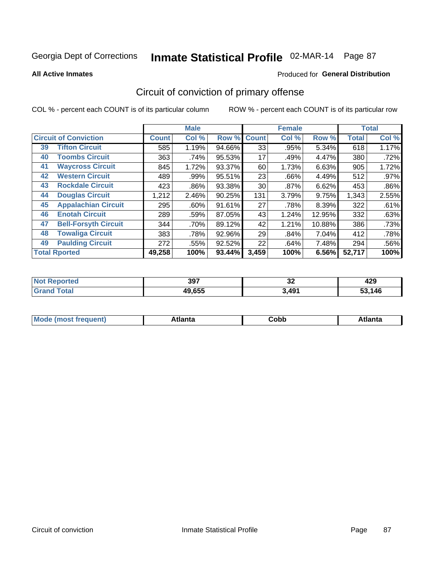#### **All Active Inmates**

# Produced for **General Distribution**

### Circuit of conviction of primary offense

|    |                              |              | <b>Male</b> |        |              | <b>Female</b> |        |              | <b>Total</b> |
|----|------------------------------|--------------|-------------|--------|--------------|---------------|--------|--------------|--------------|
|    | <b>Circuit of Conviction</b> | <b>Count</b> | Col %       | Row %  | <b>Count</b> | Col %         | Row %  | <b>Total</b> | Col %        |
| 39 | <b>Tifton Circuit</b>        | 585          | 1.19%       | 94.66% | 33           | .95%          | 5.34%  | 618          | 1.17%        |
| 40 | <b>Toombs Circuit</b>        | 363          | .74%        | 95.53% | 17           | .49%          | 4.47%  | 380          | .72%         |
| 41 | <b>Waycross Circuit</b>      | 845          | 1.72%       | 93.37% | 60           | 1.73%         | 6.63%  | 905          | 1.72%        |
| 42 | <b>Western Circuit</b>       | 489          | .99%        | 95.51% | 23           | .66%          | 4.49%  | 512          | $.97\%$      |
| 43 | <b>Rockdale Circuit</b>      | 423          | .86%        | 93.38% | 30           | .87%          | 6.62%  | 453          | .86%         |
| 44 | <b>Douglas Circuit</b>       | 1,212        | 2.46%       | 90.25% | 131          | 3.79%         | 9.75%  | 1,343        | 2.55%        |
| 45 | <b>Appalachian Circuit</b>   | 295          | $.60\%$     | 91.61% | 27           | .78%          | 8.39%  | 322          | .61%         |
| 46 | <b>Enotah Circuit</b>        | 289          | .59%        | 87.05% | 43           | 1.24%         | 12.95% | 332          | .63%         |
| 47 | <b>Bell-Forsyth Circuit</b>  | 344          | .70%        | 89.12% | 42           | 1.21%         | 10.88% | 386          | .73%         |
| 48 | <b>Towaliga Circuit</b>      | 383          | .78%        | 92.96% | 29           | .84%          | 7.04%  | 412          | .78%         |
| 49 | <b>Paulding Circuit</b>      | 272          | .55%        | 92.52% | 22           | .64%          | 7.48%  | 294          | .56%         |
|    | <b>Total Rported</b>         | 49,258       | 100%        | 93.44% | 3,459        | 100%          | 6.56%  | 52,717       | 100%         |

| тео | 397    | $\overline{\phantom{a}}$<br>IJΔ | "^^<br>429 |
|-----|--------|---------------------------------|------------|
|     | 49,655 | 3.491                           | 146        |

| M | . | -----<br>oг | ----<br>пLс |
|---|---|-------------|-------------|
|   |   | <b>OUNN</b> |             |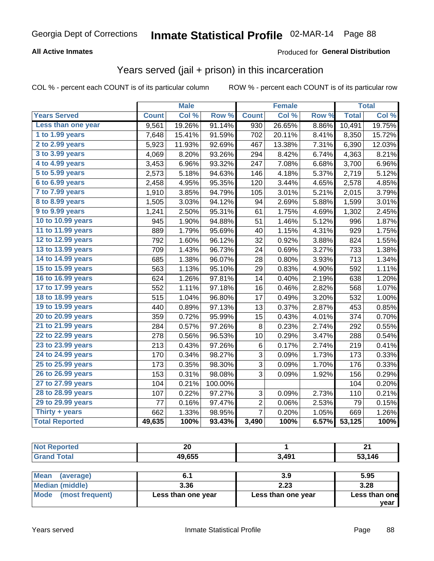#### **All Active Inmates**

#### Produced for **General Distribution**

### Years served (jail + prison) in this incarceration

|                              |              | <b>Male</b> |         |                | <b>Female</b> |       |              | <b>Total</b> |
|------------------------------|--------------|-------------|---------|----------------|---------------|-------|--------------|--------------|
| <b>Years Served</b>          | <b>Count</b> | Col %       | Row %   | <b>Count</b>   | Col %         | Row % | <b>Total</b> | Col %        |
| Less than one year           | 9,561        | 19.26%      | 91.14%  | 930            | 26.65%        | 8.86% | 10,491       | 19.75%       |
| 1 to 1.99 years              | 7,648        | 15.41%      | 91.59%  | 702            | 20.11%        | 8.41% | 8,350        | 15.72%       |
| 2 to 2.99 years              | 5,923        | 11.93%      | 92.69%  | 467            | 13.38%        | 7.31% | 6,390        | 12.03%       |
| $3$ to $3.99$ years          | 4,069        | 8.20%       | 93.26%  | 294            | 8.42%         | 6.74% | 4,363        | 8.21%        |
| 4 to 4.99 years              | 3,453        | 6.96%       | 93.32%  | 247            | 7.08%         | 6.68% | 3,700        | 6.96%        |
| $\overline{5}$ to 5.99 years | 2,573        | 5.18%       | 94.63%  | 146            | 4.18%         | 5.37% | 2,719        | 5.12%        |
| $6$ to $6.99$ years          | 2,458        | 4.95%       | 95.35%  | 120            | 3.44%         | 4.65% | 2,578        | 4.85%        |
| 7 to 7.99 years              | 1,910        | 3.85%       | 94.79%  | 105            | 3.01%         | 5.21% | 2,015        | 3.79%        |
| 8 to 8.99 years              | 1,505        | 3.03%       | 94.12%  | 94             | 2.69%         | 5.88% | 1,599        | 3.01%        |
| 9 to 9.99 years              | 1,241        | 2.50%       | 95.31%  | 61             | 1.75%         | 4.69% | 1,302        | 2.45%        |
| 10 to 10.99 years            | 945          | 1.90%       | 94.88%  | 51             | 1.46%         | 5.12% | 996          | 1.87%        |
| 11 to 11.99 years            | 889          | 1.79%       | 95.69%  | 40             | 1.15%         | 4.31% | 929          | 1.75%        |
| 12 to 12.99 years            | 792          | 1.60%       | 96.12%  | 32             | 0.92%         | 3.88% | 824          | 1.55%        |
| 13 to 13.99 years            | 709          | 1.43%       | 96.73%  | 24             | 0.69%         | 3.27% | 733          | 1.38%        |
| 14 to 14.99 years            | 685          | 1.38%       | 96.07%  | 28             | 0.80%         | 3.93% | 713          | 1.34%        |
| 15 to 15.99 years            | 563          | 1.13%       | 95.10%  | 29             | 0.83%         | 4.90% | 592          | 1.11%        |
| 16 to 16.99 years            | 624          | 1.26%       | 97.81%  | 14             | 0.40%         | 2.19% | 638          | 1.20%        |
| 17 to 17.99 years            | 552          | 1.11%       | 97.18%  | 16             | 0.46%         | 2.82% | 568          | 1.07%        |
| 18 to 18.99 years            | 515          | 1.04%       | 96.80%  | 17             | 0.49%         | 3.20% | 532          | 1.00%        |
| 19 to 19.99 years            | 440          | 0.89%       | 97.13%  | 13             | 0.37%         | 2.87% | 453          | 0.85%        |
| 20 to 20.99 years            | 359          | 0.72%       | 95.99%  | 15             | 0.43%         | 4.01% | 374          | 0.70%        |
| 21 to 21.99 years            | 284          | 0.57%       | 97.26%  | 8              | 0.23%         | 2.74% | 292          | 0.55%        |
| 22 to 22.99 years            | 278          | 0.56%       | 96.53%  | 10             | 0.29%         | 3.47% | 288          | 0.54%        |
| 23 to 23.99 years            | 213          | 0.43%       | 97.26%  | 6              | 0.17%         | 2.74% | 219          | 0.41%        |
| 24 to 24.99 years            | 170          | 0.34%       | 98.27%  | 3              | 0.09%         | 1.73% | 173          | 0.33%        |
| 25 to 25.99 years            | 173          | 0.35%       | 98.30%  | $\overline{3}$ | 0.09%         | 1.70% | 176          | 0.33%        |
| 26 to 26.99 years            | 153          | 0.31%       | 98.08%  | 3              | 0.09%         | 1.92% | 156          | 0.29%        |
| 27 to 27.99 years            | 104          | 0.21%       | 100.00% |                |               |       | 104          | 0.20%        |
| 28 to 28.99 years            | 107          | 0.22%       | 97.27%  | 3              | 0.09%         | 2.73% | 110          | 0.21%        |
| 29 to 29.99 years            | 77           | 0.16%       | 97.47%  | $\overline{c}$ | 0.06%         | 2.53% | 79           | 0.15%        |
| Thirty + years               | 662          | 1.33%       | 98.95%  | $\overline{7}$ | 0.20%         | 1.05% | 669          | 1.26%        |
| <b>Total Reported</b>        | 49,635       | 100%        | 93.43%  | 3,490          | 100%          | 6.57% | 53,125       | 100%         |

| <b>Not</b><br>enorted | 00<br>ZV<br>__ |       | ົ<br>$\sim$ |
|-----------------------|----------------|-------|-------------|
| fota'                 | 49,655         | 3,491 | ,146<br>-0  |

| <b>Mean</b><br>(average) |                    | 3.9                | 5.95          |
|--------------------------|--------------------|--------------------|---------------|
| Median (middle)          | 3.36               | 2.23               | 3.28          |
| Mode (most frequent)     | Less than one year | Less than one year | Less than one |
|                          |                    |                    | vear          |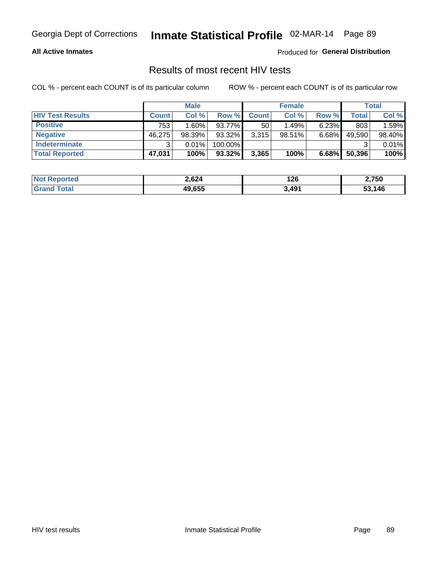#### **All Active Inmates**

Produced for **General Distribution**

### Results of most recent HIV tests

|                         | <b>Male</b>  |        |           | <b>Female</b> |           |          | Total  |        |
|-------------------------|--------------|--------|-----------|---------------|-----------|----------|--------|--------|
| <b>HIV Test Results</b> | <b>Count</b> | Col%   | Row %I    | <b>Count</b>  | Col %     | Row %    | Total  | Col %  |
| <b>Positive</b>         | 753          | 1.60%  | 93.77%    | 50            | 1.49%     | $6.23\%$ | 803    | 1.59%  |
| <b>Negative</b>         | 46,275       | 98.39% | 93.32%    | 3,315         | $98.51\%$ | $6.68\%$ | 49,590 | 98.40% |
| Indeterminate           | າ            | 0.01%  | 100.00%   |               |           |          |        | 0.01%  |
| <b>Total Reported</b>   | 47,031       | 100%   | $93.32\%$ | 3,365         | 100%      | $6.68\%$ | 50,396 | 100%   |

| <b>Not Reported</b>  | 2,624  | 126   | 2,750  |
|----------------------|--------|-------|--------|
| <b>Total</b><br>Gran | 49,655 | 3,491 | 53,146 |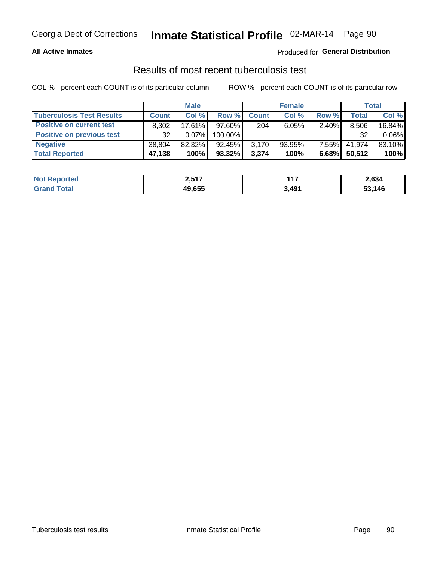#### **All Active Inmates**

#### Produced for **General Distribution**

### Results of most recent tuberculosis test

|                                  | <b>Male</b>  |          |           | <b>Female</b> |           |          | Total        |        |
|----------------------------------|--------------|----------|-----------|---------------|-----------|----------|--------------|--------|
| <b>Tuberculosis Test Results</b> | <b>Count</b> | Col %    | Row %     | <b>Count</b>  | Col %     | Row %    | <b>Total</b> | Col %  |
| <b>Positive on current test</b>  | 8.302        | 17.61%   | $97.60\%$ | 204           | 6.05%     | 2.40%    | 8,506        | 16.84% |
| Positive on previous test        | 32           | $0.07\%$ | 100.00%   |               |           |          | 32           | 0.06%  |
| <b>Negative</b>                  | 38.804       | 82.32%   | $92.45\%$ | 3,170         | $93.95\%$ | $7.55\%$ | 41.974       | 83.10% |
| <b>Total Reported</b>            | 47,138       | 100%     | 93.32%    | 3,374         | 100%      | $6.68\%$ | 50,512       | 100%   |

| <b>Not Reported</b> | 2,517  | $-11$ | 2,634  |
|---------------------|--------|-------|--------|
| Total<br>Gran       | 49,655 | 3,491 | 53,146 |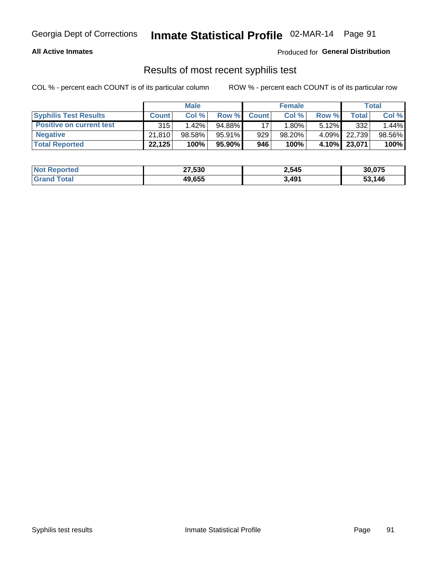#### **All Active Inmates**

Produced for **General Distribution**

#### Results of most recent syphilis test

|                                 | <b>Male</b>  |          |                 | <b>Female</b> |           |          | <b>Total</b> |        |
|---------------------------------|--------------|----------|-----------------|---------------|-----------|----------|--------------|--------|
| <b>Syphilis Test Results</b>    | <b>Count</b> | Col%     | Row %I          | <b>Count</b>  | Col %     | Row %    | Total I      | Col %  |
| <b>Positive on current test</b> | 315          | $1.42\%$ | 94.88%          |               | $1.80\%$  | $5.12\%$ | 332          | 1.44%  |
| <b>Negative</b>                 | 21,810       | 98.58%   | 95.91%          | 929           | $98.20\%$ | 4.09%    | 22.739       | 98.56% |
| <b>Total Reported</b>           | 22,125       | 100%     | 95.90% <b> </b> | 946           | 100%      | 4.10%    | 23,071       | 100%   |

| <b>Not Reported</b> | 27,530 | 2,545 | 30,075 |
|---------------------|--------|-------|--------|
| <b>Grand Total</b>  | 49,655 | 3,491 | 53.146 |